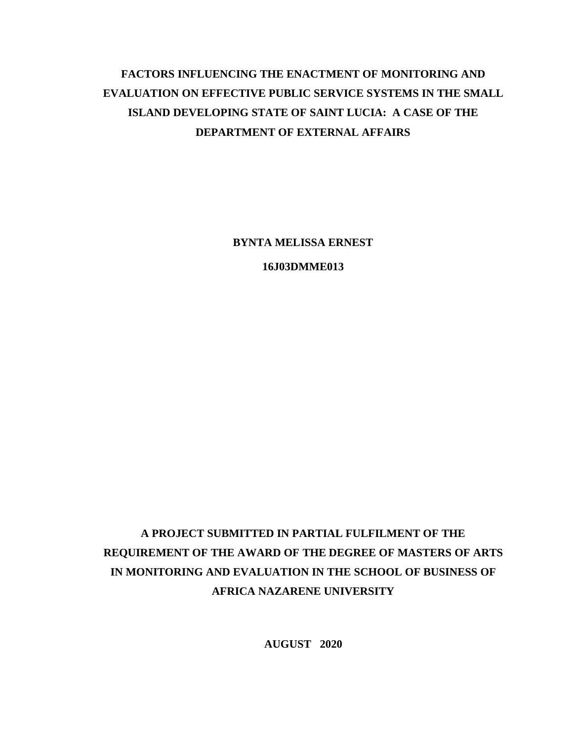# **FACTORS INFLUENCING THE ENACTMENT OF MONITORING AND EVALUATION ON EFFECTIVE PUBLIC SERVICE SYSTEMS IN THE SMALL ISLAND DEVELOPING STATE OF SAINT LUCIA: A CASE OF THE DEPARTMENT OF EXTERNAL AFFAIRS**

**BYNTA MELISSA ERNEST**

**16J03DMME013**

# **A PROJECT SUBMITTED IN PARTIAL FULFILMENT OF THE REQUIREMENT OF THE AWARD OF THE DEGREE OF MASTERS OF ARTS IN MONITORING AND EVALUATION IN THE SCHOOL OF BUSINESS OF AFRICA NAZARENE UNIVERSITY**

**AUGUST 2020**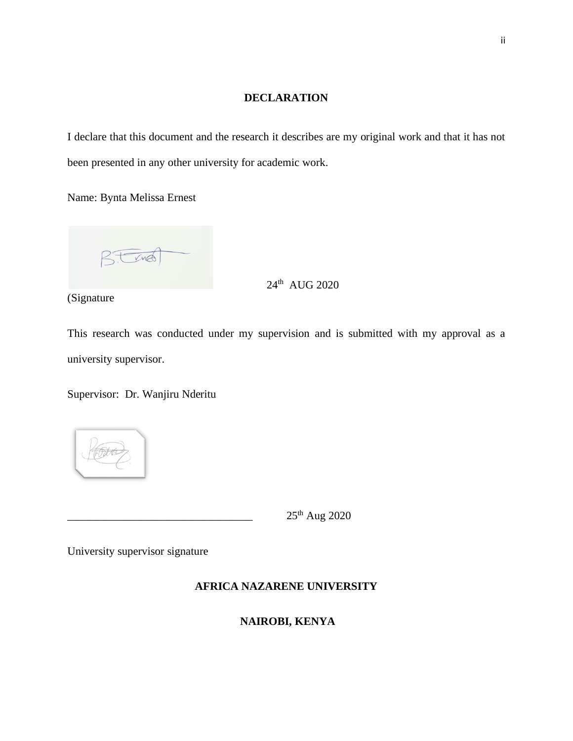### **DECLARATION**

<span id="page-1-0"></span>I declare that this document and the research it describes are my original work and that it has not been presented in any other university for academic work.

Name: Bynta Melissa Ernest

VIRA

24<sup>th</sup> AUG 2020

(Signature

This research was conducted under my supervision and is submitted with my approval as a university supervisor.

Supervisor: Dr. Wanjiru Nderitu



 $25<sup>th</sup>$  Aug 2020

University supervisor signature

## **AFRICA NAZARENE UNIVERSITY**

# **NAIROBI, KENYA**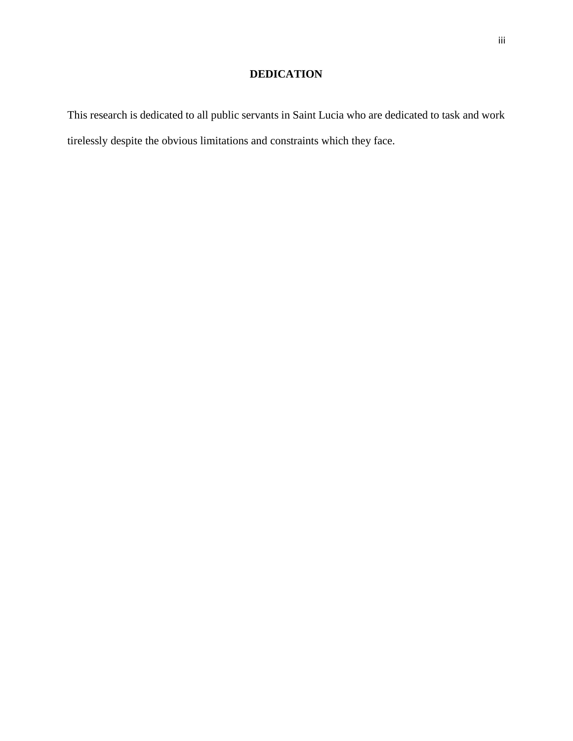# **DEDICATION**

<span id="page-2-0"></span>This research is dedicated to all public servants in Saint Lucia who are dedicated to task and work tirelessly despite the obvious limitations and constraints which they face.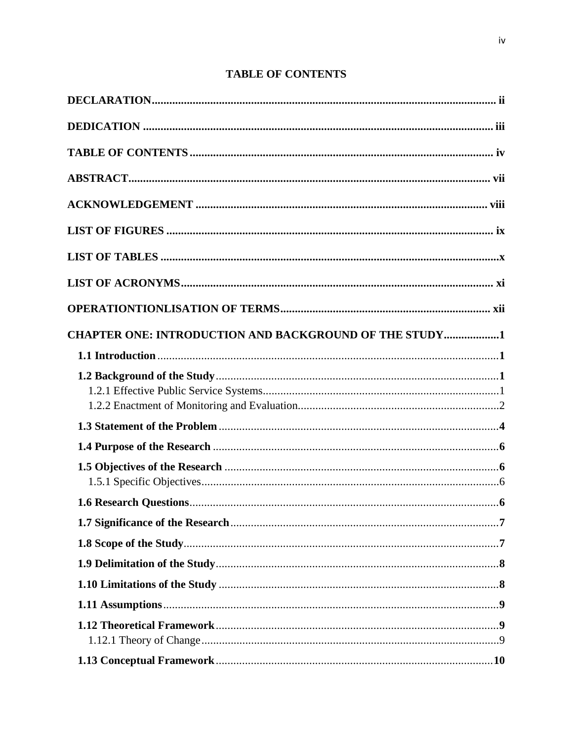# **TABLE OF CONTENTS**

<span id="page-3-0"></span>

| <b>CHAPTER ONE: INTRODUCTION AND BACKGROUND OF THE STUDY1</b> |  |
|---------------------------------------------------------------|--|
|                                                               |  |
|                                                               |  |
|                                                               |  |
|                                                               |  |
|                                                               |  |
|                                                               |  |
|                                                               |  |
|                                                               |  |
|                                                               |  |
|                                                               |  |
|                                                               |  |
|                                                               |  |
|                                                               |  |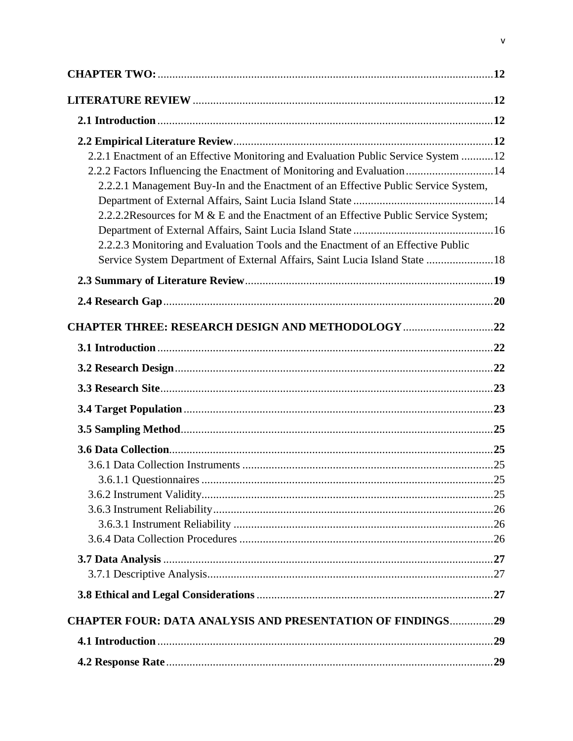| 2.2.1 Enactment of an Effective Monitoring and Evaluation Public Service System 12<br>2.2.2 Factors Influencing the Enactment of Monitoring and Evaluation14<br>2.2.2.1 Management Buy-In and the Enactment of an Effective Public Service System,    |     |
|-------------------------------------------------------------------------------------------------------------------------------------------------------------------------------------------------------------------------------------------------------|-----|
| 2.2.2.2Resources for M & E and the Enactment of an Effective Public Service System;<br>2.2.2.3 Monitoring and Evaluation Tools and the Enactment of an Effective Public<br>Service System Department of External Affairs, Saint Lucia Island State 18 |     |
|                                                                                                                                                                                                                                                       |     |
|                                                                                                                                                                                                                                                       |     |
| <b>CHAPTER THREE: RESEARCH DESIGN AND METHODOLOGY 22</b>                                                                                                                                                                                              |     |
|                                                                                                                                                                                                                                                       |     |
|                                                                                                                                                                                                                                                       |     |
|                                                                                                                                                                                                                                                       |     |
|                                                                                                                                                                                                                                                       |     |
|                                                                                                                                                                                                                                                       |     |
|                                                                                                                                                                                                                                                       |     |
|                                                                                                                                                                                                                                                       |     |
|                                                                                                                                                                                                                                                       | .25 |
|                                                                                                                                                                                                                                                       |     |
|                                                                                                                                                                                                                                                       |     |
|                                                                                                                                                                                                                                                       |     |
|                                                                                                                                                                                                                                                       |     |
|                                                                                                                                                                                                                                                       |     |
|                                                                                                                                                                                                                                                       |     |
| <b>CHAPTER FOUR: DATA ANALYSIS AND PRESENTATION OF FINDINGS29</b>                                                                                                                                                                                     |     |
|                                                                                                                                                                                                                                                       |     |
|                                                                                                                                                                                                                                                       |     |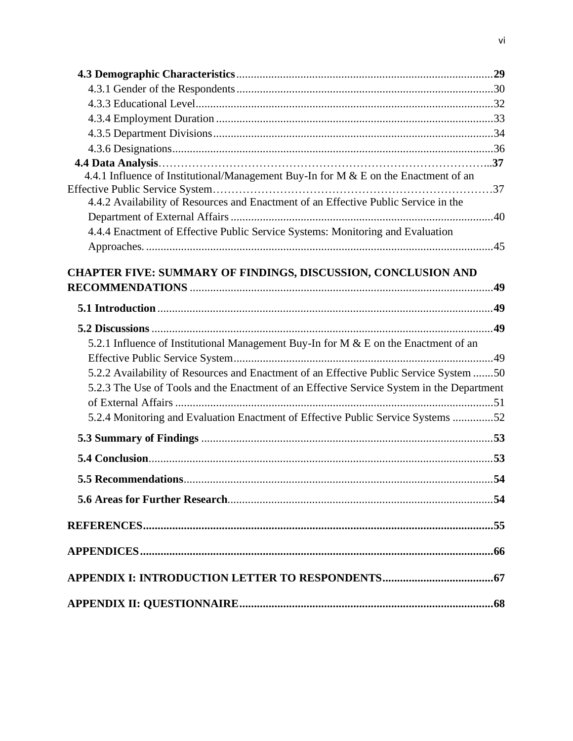| 4.4.1 Influence of Institutional/Management Buy-In for M & E on the Enactment of an       |  |
|-------------------------------------------------------------------------------------------|--|
|                                                                                           |  |
| 4.4.2 Availability of Resources and Enactment of an Effective Public Service in the       |  |
|                                                                                           |  |
| 4.4.4 Enactment of Effective Public Service Systems: Monitoring and Evaluation            |  |
|                                                                                           |  |
| <b>CHAPTER FIVE: SUMMARY OF FINDINGS, DISCUSSION, CONCLUSION AND</b>                      |  |
|                                                                                           |  |
|                                                                                           |  |
|                                                                                           |  |
|                                                                                           |  |
| 5.2.1 Influence of Institutional Management Buy-In for M & E on the Enactment of an       |  |
|                                                                                           |  |
| 5.2.2 Availability of Resources and Enactment of an Effective Public Service System 50    |  |
| 5.2.3 The Use of Tools and the Enactment of an Effective Service System in the Department |  |
|                                                                                           |  |
| 5.2.4 Monitoring and Evaluation Enactment of Effective Public Service Systems 52          |  |
|                                                                                           |  |
|                                                                                           |  |
|                                                                                           |  |
|                                                                                           |  |
|                                                                                           |  |
|                                                                                           |  |
|                                                                                           |  |
|                                                                                           |  |
|                                                                                           |  |
|                                                                                           |  |
|                                                                                           |  |
|                                                                                           |  |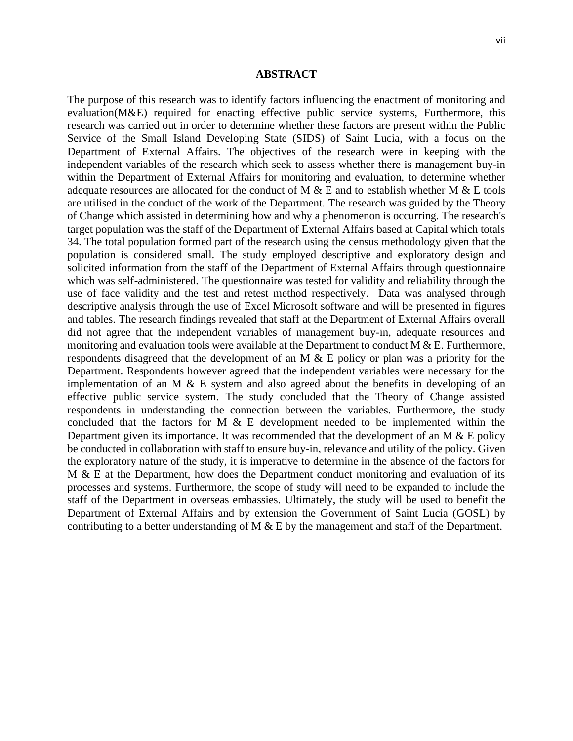#### <span id="page-6-0"></span>**ABSTRACT**

The purpose of this research was to identify factors influencing the enactment of monitoring and evaluation(M&E) required for enacting effective public service systems, Furthermore, this research was carried out in order to determine whether these factors are present within the Public Service of the Small Island Developing State (SIDS) of Saint Lucia, with a focus on the Department of External Affairs. The objectives of the research were in keeping with the independent variables of the research which seek to assess whether there is management buy-in within the Department of External Affairs for monitoring and evaluation, to determine whether adequate resources are allocated for the conduct of M  $\&$  E and to establish whether M  $\&$  E tools are utilised in the conduct of the work of the Department. The research was guided by the Theory of Change which assisted in determining how and why a phenomenon is occurring. The research's target population was the staff of the Department of External Affairs based at Capital which totals 34. The total population formed part of the research using the census methodology given that the population is considered small. The study employed descriptive and exploratory design and solicited information from the staff of the Department of External Affairs through questionnaire which was self-administered. The questionnaire was tested for validity and reliability through the use of face validity and the test and retest method respectively. Data was analysed through descriptive analysis through the use of Excel Microsoft software and will be presented in figures and tables. The research findings revealed that staff at the Department of External Affairs overall did not agree that the independent variables of management buy-in, adequate resources and monitoring and evaluation tools were available at the Department to conduct  $M \& E$ . Furthermore, respondents disagreed that the development of an M & E policy or plan was a priority for the Department. Respondents however agreed that the independent variables were necessary for the implementation of an M  $\&$  E system and also agreed about the benefits in developing of an effective public service system. The study concluded that the Theory of Change assisted respondents in understanding the connection between the variables. Furthermore, the study concluded that the factors for M & E development needed to be implemented within the Department given its importance. It was recommended that the development of an M  $\&$  E policy be conducted in collaboration with staff to ensure buy-in, relevance and utility of the policy. Given the exploratory nature of the study, it is imperative to determine in the absence of the factors for M  $\&$  E at the Department, how does the Department conduct monitoring and evaluation of its processes and systems. Furthermore, the scope of study will need to be expanded to include the staff of the Department in overseas embassies. Ultimately, the study will be used to benefit the Department of External Affairs and by extension the Government of Saint Lucia (GOSL) by contributing to a better understanding of M & E by the management and staff of the Department.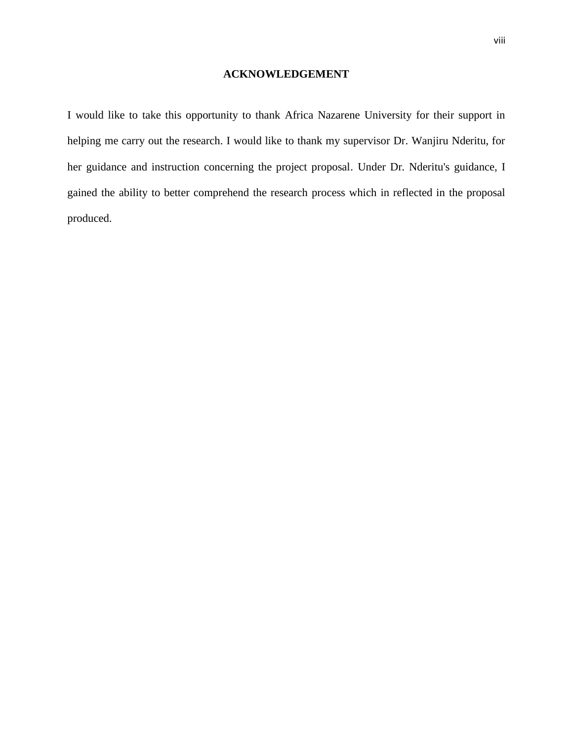### **ACKNOWLEDGEMENT**

<span id="page-7-0"></span>I would like to take this opportunity to thank Africa Nazarene University for their support in helping me carry out the research. I would like to thank my supervisor Dr. Wanjiru Nderitu, for her guidance and instruction concerning the project proposal. Under Dr. Nderitu's guidance, I gained the ability to better comprehend the research process which in reflected in the proposal produced.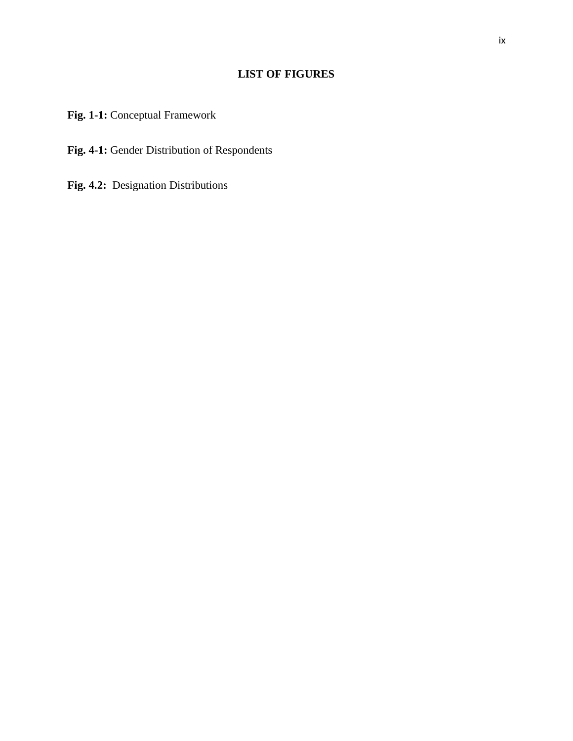# **LIST OF FIGURES**

<span id="page-8-0"></span>**Fig. 1-1:** Conceptual Framework

**Fig. 4-1:** Gender Distribution of Respondents

**Fig. 4.2:** Designation Distributions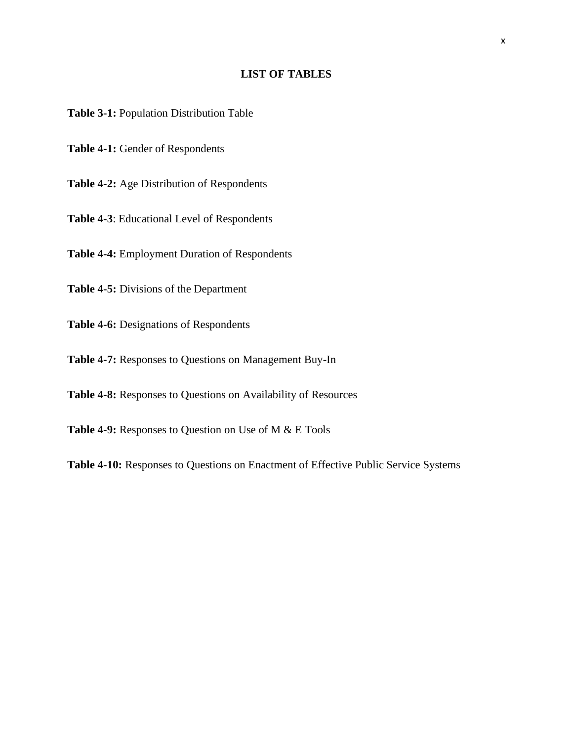### **LIST OF TABLES**

<span id="page-9-0"></span>**Table 3-1:** Population Distribution Table

**Table 4-1:** Gender of Respondents

**Table 4-2:** Age Distribution of Respondents

**Table 4-3**: Educational Level of Respondents

**Table 4-4:** Employment Duration of Respondents

**Table 4-5:** Divisions of the Department

**Table 4-6:** Designations of Respondents

**Table 4-7:** Responses to Questions on Management Buy-In

**Table 4-8:** Responses to Questions on Availability of Resources

**Table 4-9:** Responses to Question on Use of M & E Tools

**Table 4-10:** Responses to Questions on Enactment of Effective Public Service Systems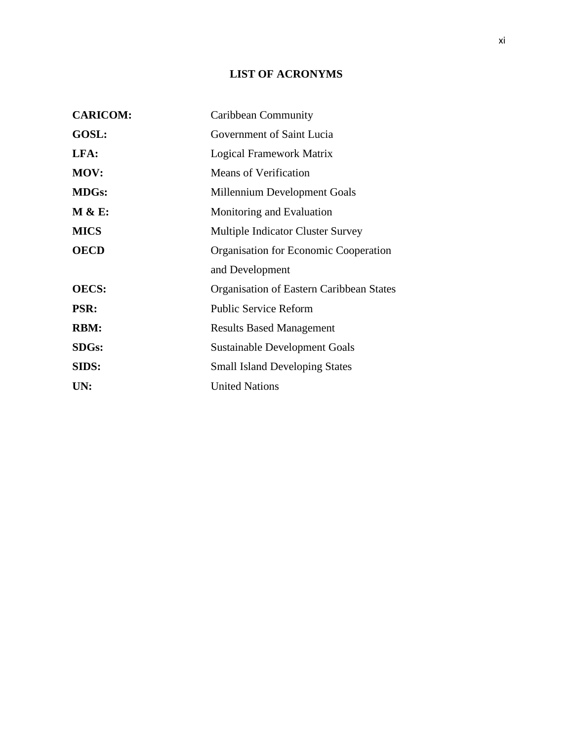# **LIST OF ACRONYMS**

<span id="page-10-0"></span>

| <b>CARICOM:</b> | Caribbean Community                      |
|-----------------|------------------------------------------|
| GOSL:           | Government of Saint Lucia                |
| LFA:            | Logical Framework Matrix                 |
| MOV:            | <b>Means of Verification</b>             |
| <b>MDGs:</b>    | Millennium Development Goals             |
| M & E:          | Monitoring and Evaluation                |
| <b>MICS</b>     | <b>Multiple Indicator Cluster Survey</b> |
| <b>OECD</b>     | Organisation for Economic Cooperation    |
|                 | and Development                          |
| <b>OECS:</b>    | Organisation of Eastern Caribbean States |
| <b>PSR:</b>     | <b>Public Service Reform</b>             |
| <b>RBM:</b>     | <b>Results Based Management</b>          |
| <b>SDGs:</b>    | Sustainable Development Goals            |
| SIDS:           | <b>Small Island Developing States</b>    |
| UN:             | <b>United Nations</b>                    |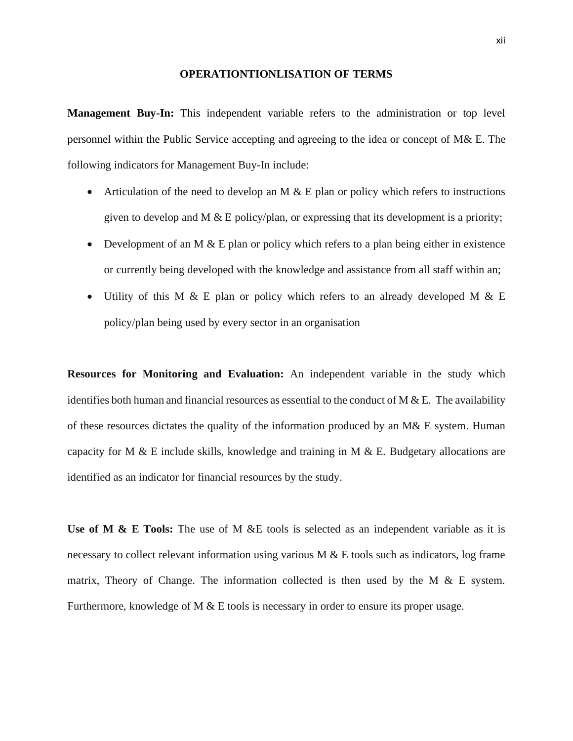#### **OPERATIONTIONLISATION OF TERMS**

<span id="page-11-0"></span>**Management Buy-In:** This independent variable refers to the administration or top level personnel within the Public Service accepting and agreeing to the idea or concept of M& E. The following indicators for Management Buy-In include:

- Articulation of the need to develop an M  $\&$  E plan or policy which refers to instructions given to develop and M  $\&$  E policy/plan, or expressing that its development is a priority;
- Development of an M  $\&$  E plan or policy which refers to a plan being either in existence or currently being developed with the knowledge and assistance from all staff within an;
- Utility of this M & E plan or policy which refers to an already developed M & E policy/plan being used by every sector in an organisation

**Resources for Monitoring and Evaluation:** An independent variable in the study which identifies both human and financial resources as essential to the conduct of M  $\&$  E. The availability of these resources dictates the quality of the information produced by an M& E system. Human capacity for M & E include skills, knowledge and training in M & E. Budgetary allocations are identified as an indicator for financial resources by the study.

Use of M & E Tools: The use of M &E tools is selected as an independent variable as it is necessary to collect relevant information using various M & E tools such as indicators, log frame matrix, Theory of Change. The information collected is then used by the M  $\&$  E system. Furthermore, knowledge of M & E tools is necessary in order to ensure its proper usage.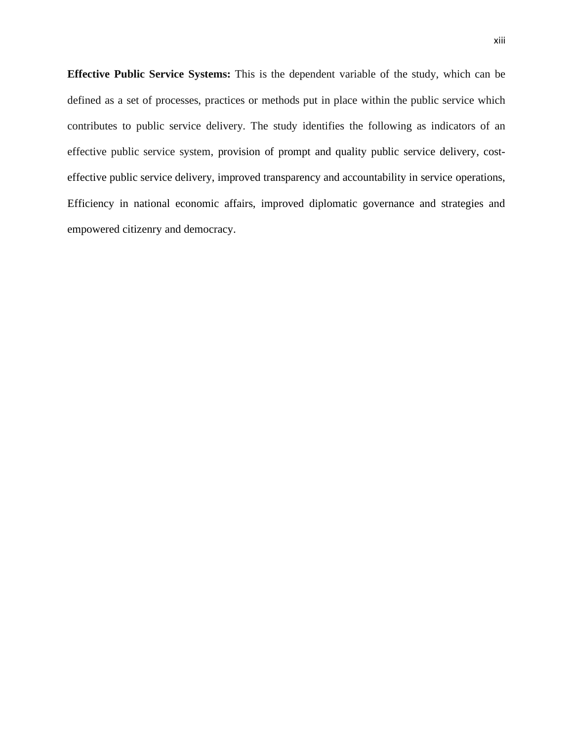**Effective Public Service Systems:** This is the dependent variable of the study, which can be defined as a set of processes, practices or methods put in place within the public service which contributes to public service delivery. The study identifies the following as indicators of an effective public service system, provision of prompt and quality public service delivery, costeffective public service delivery, improved transparency and accountability in service operations, Efficiency in national economic affairs, improved diplomatic governance and strategies and empowered citizenry and democracy.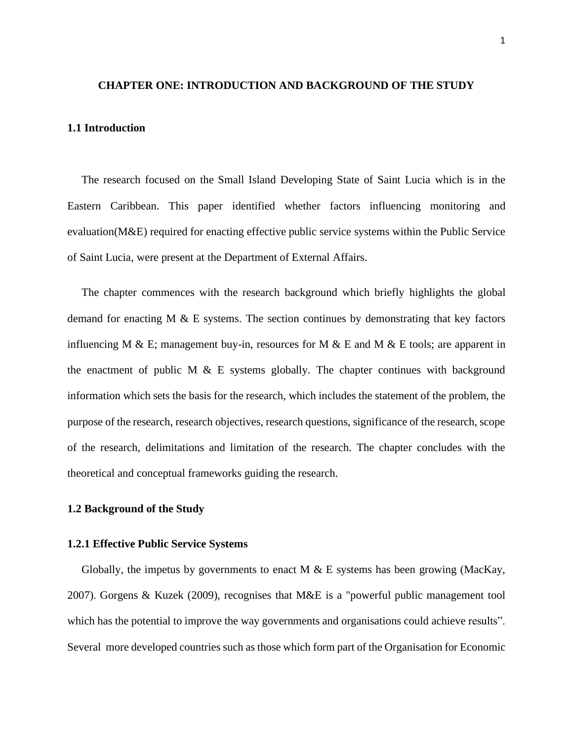#### <span id="page-13-0"></span>**CHAPTER ONE: INTRODUCTION AND BACKGROUND OF THE STUDY**

#### <span id="page-13-1"></span>**1.1 Introduction**

 The research focused on the Small Island Developing State of Saint Lucia which is in the Eastern Caribbean. This paper identified whether factors influencing monitoring and evaluation(M&E) required for enacting effective public service systems within the Public Service of Saint Lucia, were present at the Department of External Affairs.

 The chapter commences with the research background which briefly highlights the global demand for enacting  $M \& E$  systems. The section continues by demonstrating that key factors influencing M & E; management buy-in, resources for M & E and M & E tools; are apparent in the enactment of public M  $\&$  E systems globally. The chapter continues with background information which sets the basis for the research, which includes the statement of the problem, the purpose of the research, research objectives, research questions, significance of the research, scope of the research, delimitations and limitation of the research. The chapter concludes with the theoretical and conceptual frameworks guiding the research.

#### <span id="page-13-2"></span>**1.2 Background of the Study**

#### <span id="page-13-3"></span>**1.2.1 Effective Public Service Systems**

Globally, the impetus by governments to enact M  $\&$  E systems has been growing (MacKay, 2007). Gorgens & Kuzek (2009), recognises that M&E is a "powerful public management tool which has the potential to improve the way governments and organisations could achieve results". Several more developed countries such as those which form part of the Organisation for Economic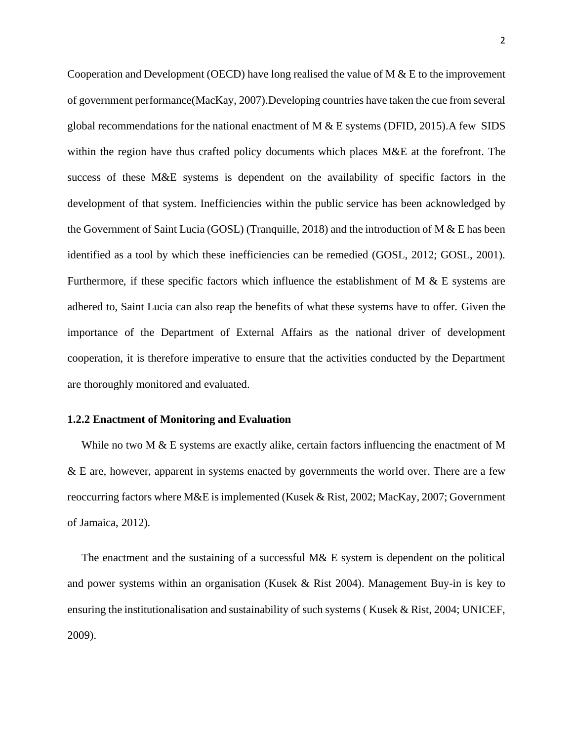Cooperation and Development (OECD) have long realised the value of M & E to the improvement of government performance(MacKay, 2007).Developing countries have taken the cue from several global recommendations for the national enactment of  $M & E$  systems (DFID, 2015). A few SIDS within the region have thus crafted policy documents which places M&E at the forefront. The success of these M&E systems is dependent on the availability of specific factors in the development of that system. Inefficiencies within the public service has been acknowledged by the Government of Saint Lucia (GOSL) (Tranquille, 2018) and the introduction of M & E has been identified as a tool by which these inefficiencies can be remedied (GOSL, 2012; GOSL, 2001). Furthermore, if these specific factors which influence the establishment of M & E systems are adhered to, Saint Lucia can also reap the benefits of what these systems have to offer. Given the importance of the Department of External Affairs as the national driver of development cooperation, it is therefore imperative to ensure that the activities conducted by the Department are thoroughly monitored and evaluated.

#### <span id="page-14-0"></span>**1.2.2 Enactment of Monitoring and Evaluation**

While no two M & E systems are exactly alike, certain factors influencing the enactment of M & E are, however, apparent in systems enacted by governments the world over. There are a few reoccurring factors where M&E is implemented (Kusek & Rist, 2002; MacKay, 2007; Government of Jamaica, 2012).

The enactment and the sustaining of a successful M& E system is dependent on the political and power systems within an organisation (Kusek & Rist 2004). Management Buy-in is key to ensuring the institutionalisation and sustainability of such systems ( Kusek & Rist, 2004; UNICEF, 2009).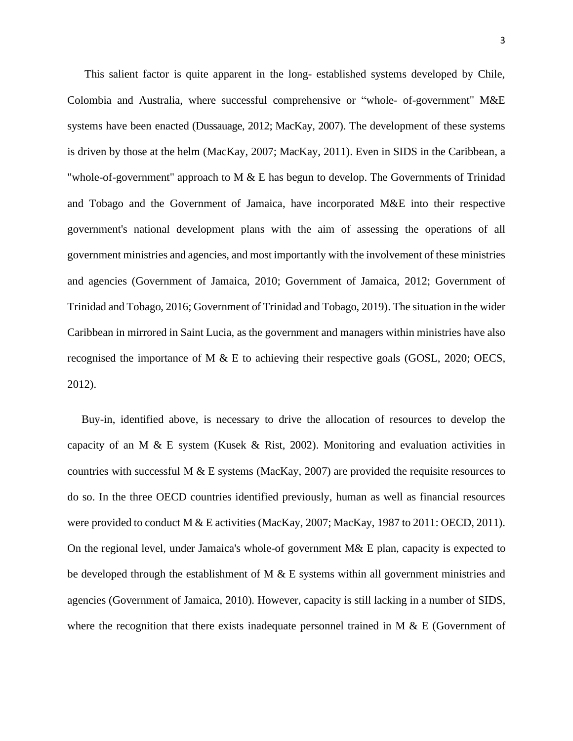This salient factor is quite apparent in the long- established systems developed by Chile, Colombia and Australia, where successful comprehensive or "whole- of-government" M&E systems have been enacted (Dussauage, 2012; MacKay, 2007). The development of these systems is driven by those at the helm (MacKay, 2007; MacKay, 2011). Even in SIDS in the Caribbean, a "whole-of-government" approach to M  $&$  E has begun to develop. The Governments of Trinidad and Tobago and the Government of Jamaica, have incorporated M&E into their respective government's national development plans with the aim of assessing the operations of all government ministries and agencies, and most importantly with the involvement of these ministries and agencies (Government of Jamaica, 2010; Government of Jamaica, 2012; Government of Trinidad and Tobago, 2016; Government of Trinidad and Tobago, 2019). The situation in the wider Caribbean in mirrored in Saint Lucia, as the government and managers within ministries have also recognised the importance of M & E to achieving their respective goals (GOSL, 2020; OECS, 2012).

 Buy-in, identified above, is necessary to drive the allocation of resources to develop the capacity of an M  $\&$  E system (Kusek  $\&$  Rist, 2002). Monitoring and evaluation activities in countries with successful M  $&$  E systems (MacKay, 2007) are provided the requisite resources to do so. In the three OECD countries identified previously, human as well as financial resources were provided to conduct M & E activities (MacKay, 2007; MacKay, 1987 to 2011: OECD, 2011). On the regional level, under Jamaica's whole-of government M& E plan, capacity is expected to be developed through the establishment of M  $\&$  E systems within all government ministries and agencies (Government of Jamaica, 2010). However, capacity is still lacking in a number of SIDS, where the recognition that there exists inadequate personnel trained in M  $\&$  E (Government of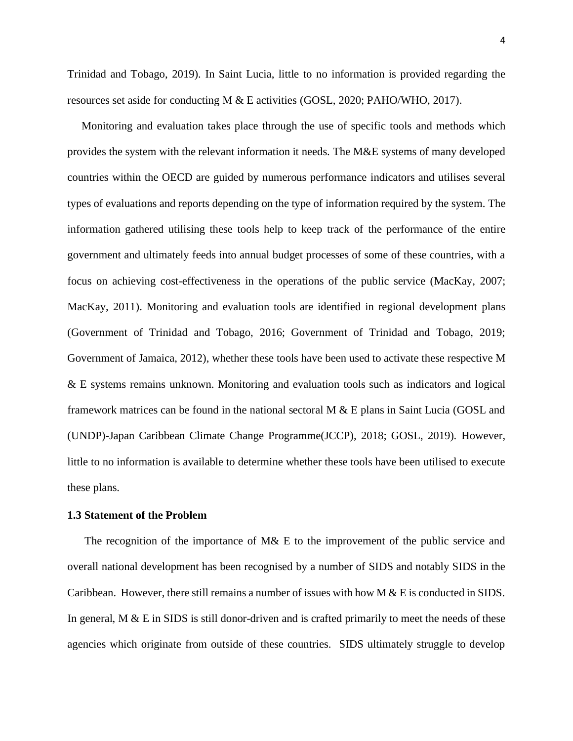Trinidad and Tobago, 2019). In Saint Lucia, little to no information is provided regarding the resources set aside for conducting M & E activities (GOSL, 2020; PAHO/WHO, 2017).

 Monitoring and evaluation takes place through the use of specific tools and methods which provides the system with the relevant information it needs. The M&E systems of many developed countries within the OECD are guided by numerous performance indicators and utilises several types of evaluations and reports depending on the type of information required by the system. The information gathered utilising these tools help to keep track of the performance of the entire government and ultimately feeds into annual budget processes of some of these countries, with a focus on achieving cost-effectiveness in the operations of the public service (MacKay, 2007; MacKay, 2011). Monitoring and evaluation tools are identified in regional development plans (Government of Trinidad and Tobago, 2016; Government of Trinidad and Tobago, 2019; Government of Jamaica, 2012), whether these tools have been used to activate these respective M & E systems remains unknown. Monitoring and evaluation tools such as indicators and logical framework matrices can be found in the national sectoral M & E plans in Saint Lucia (GOSL and (UNDP)-Japan Caribbean Climate Change Programme(JCCP), 2018; GOSL, 2019). However, little to no information is available to determine whether these tools have been utilised to execute these plans.

#### <span id="page-16-0"></span>**1.3 Statement of the Problem**

 The recognition of the importance of M& E to the improvement of the public service and overall national development has been recognised by a number of SIDS and notably SIDS in the Caribbean. However, there still remains a number of issues with how M & E is conducted in SIDS. In general,  $M \& E$  in SIDS is still donor-driven and is crafted primarily to meet the needs of these agencies which originate from outside of these countries. SIDS ultimately struggle to develop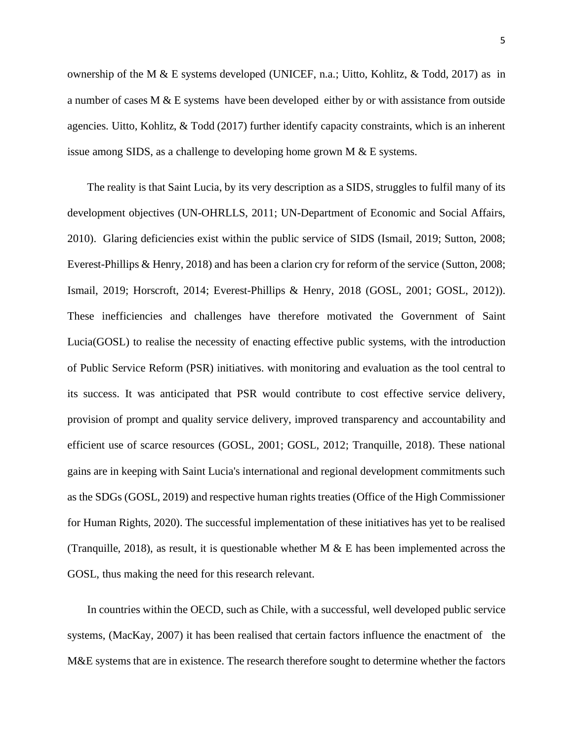ownership of the M & E systems developed (UNICEF, n.a.; Uitto, Kohlitz, & Todd, 2017) as in a number of cases M & E systems have been developed either by or with assistance from outside

issue among SIDS, as a challenge to developing home grown M & E systems.

agencies. Uitto, Kohlitz, & Todd (2017) further identify capacity constraints, which is an inherent

 The reality is that Saint Lucia, by its very description as a SIDS, struggles to fulfil many of its development objectives (UN-OHRLLS, 2011; UN-Department of Economic and Social Affairs, 2010). Glaring deficiencies exist within the public service of SIDS (Ismail, 2019; Sutton, 2008; Everest-Phillips & Henry, 2018) and has been a clarion cry for reform of the service (Sutton, 2008; Ismail, 2019; Horscroft, 2014; Everest-Phillips & Henry, 2018 (GOSL, 2001; GOSL, 2012)). These inefficiencies and challenges have therefore motivated the Government of Saint Lucia(GOSL) to realise the necessity of enacting effective public systems, with the introduction of Public Service Reform (PSR) initiatives. with monitoring and evaluation as the tool central to its success. It was anticipated that PSR would contribute to cost effective service delivery, provision of prompt and quality service delivery, improved transparency and accountability and efficient use of scarce resources (GOSL, 2001; GOSL, 2012; Tranquille, 2018). These national gains are in keeping with Saint Lucia's international and regional development commitments such as the SDGs (GOSL, 2019) and respective human rights treaties (Office of the High Commissioner for Human Rights, 2020). The successful implementation of these initiatives has yet to be realised (Tranquille, 2018), as result, it is questionable whether M  $\&$  E has been implemented across the GOSL, thus making the need for this research relevant.

 In countries within the OECD, such as Chile, with a successful, well developed public service systems, (MacKay, 2007) it has been realised that certain factors influence the enactment of the M&E systems that are in existence. The research therefore sought to determine whether the factors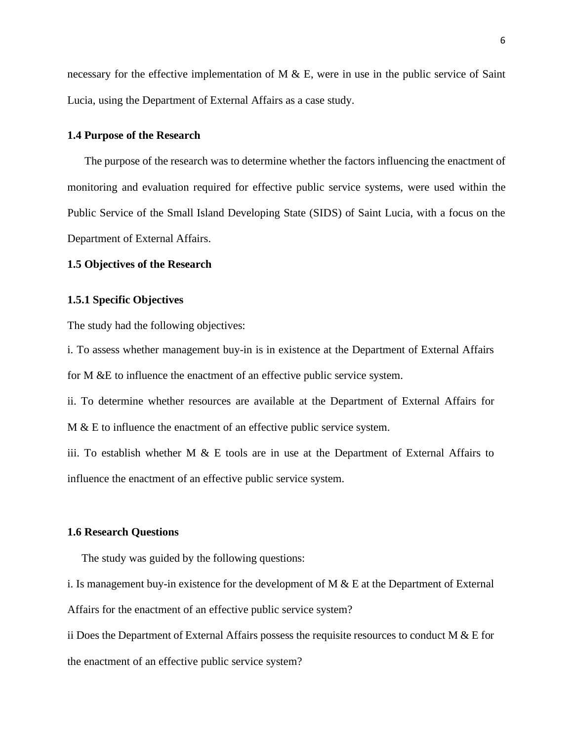necessary for the effective implementation of M & E, were in use in the public service of Saint Lucia, using the Department of External Affairs as a case study.

#### <span id="page-18-0"></span>**1.4 Purpose of the Research**

 The purpose of the research was to determine whether the factors influencing the enactment of monitoring and evaluation required for effective public service systems, were used within the Public Service of the Small Island Developing State (SIDS) of Saint Lucia, with a focus on the Department of External Affairs.

#### <span id="page-18-1"></span>**1.5 Objectives of the Research**

#### <span id="page-18-2"></span>**1.5.1 Specific Objectives**

The study had the following objectives:

i. To assess whether management buy-in is in existence at the Department of External Affairs for M &E to influence the enactment of an effective public service system.

ii. To determine whether resources are available at the Department of External Affairs for M & E to influence the enactment of an effective public service system.

iii. To establish whether M  $\&$  E tools are in use at the Department of External Affairs to influence the enactment of an effective public service system.

#### <span id="page-18-3"></span>**1.6 Research Questions**

The study was guided by the following questions:

i. Is management buy-in existence for the development of M  $\&$  E at the Department of External

Affairs for the enactment of an effective public service system?

ii Does the Department of External Affairs possess the requisite resources to conduct M  $\&$  E for the enactment of an effective public service system?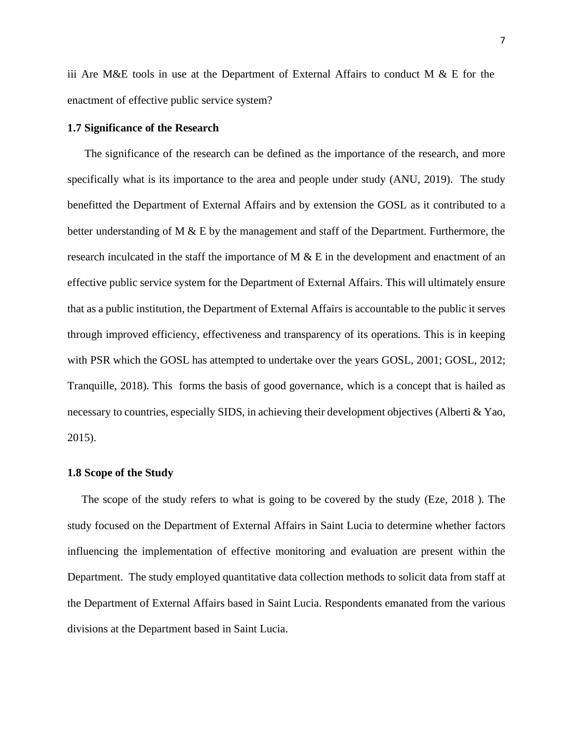iii Are M&E tools in use at the Department of External Affairs to conduct M & E for the enactment of effective public service system?

#### <span id="page-19-0"></span>**1.7 Significance of the Research**

 The significance of the research can be defined as the importance of the research, and more specifically what is its importance to the area and people under study (ANU, 2019). The study benefitted the Department of External Affairs and by extension the GOSL as it contributed to a better understanding of M & E by the management and staff of the Department. Furthermore, the research inculcated in the staff the importance of M & E in the development and enactment of an effective public service system for the Department of External Affairs. This will ultimately ensure that as a public institution, the Department of External Affairs is accountable to the public it serves through improved efficiency, effectiveness and transparency of its operations. This is in keeping with PSR which the GOSL has attempted to undertake over the years GOSL, 2001; GOSL, 2012; Tranquille, 2018). This forms the basis of good governance, which is a concept that is hailed as necessary to countries, especially SIDS, in achieving their development objectives (Alberti & Yao, 2015).

#### <span id="page-19-1"></span>**1.8 Scope of the Study**

 The scope of the study refers to what is going to be covered by the study (Eze, 2018 ). The study focused on the Department of External Affairs in Saint Lucia to determine whether factors influencing the implementation of effective monitoring and evaluation are present within the Department. The study employed quantitative data collection methods to solicit data from staff at the Department of External Affairs based in Saint Lucia. Respondents emanated from the various divisions at the Department based in Saint Lucia.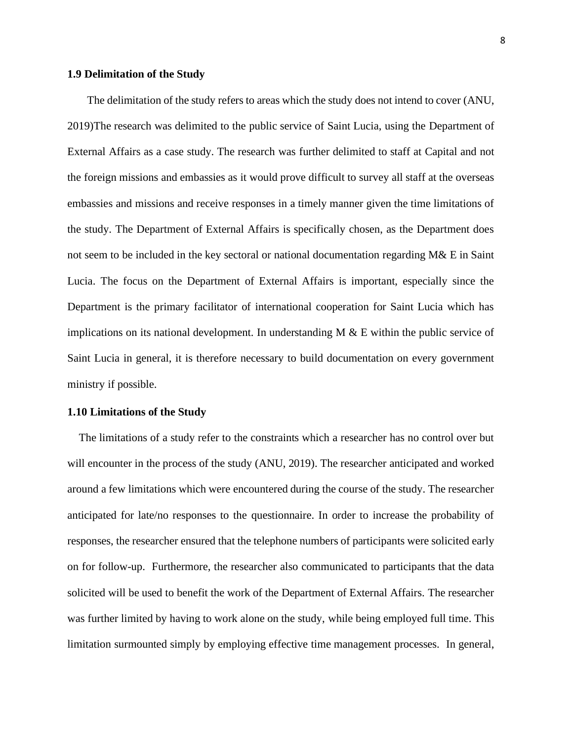#### <span id="page-20-0"></span>**1.9 Delimitation of the Study**

 The delimitation of the study refers to areas which the study does not intend to cover (ANU, 2019)The research was delimited to the public service of Saint Lucia, using the Department of External Affairs as a case study. The research was further delimited to staff at Capital and not the foreign missions and embassies as it would prove difficult to survey all staff at the overseas embassies and missions and receive responses in a timely manner given the time limitations of the study. The Department of External Affairs is specifically chosen, as the Department does not seem to be included in the key sectoral or national documentation regarding M& E in Saint Lucia. The focus on the Department of External Affairs is important, especially since the Department is the primary facilitator of international cooperation for Saint Lucia which has implications on its national development. In understanding  $M \& E$  within the public service of Saint Lucia in general, it is therefore necessary to build documentation on every government ministry if possible.

#### <span id="page-20-1"></span>**1.10 Limitations of the Study**

 The limitations of a study refer to the constraints which a researcher has no control over but will encounter in the process of the study (ANU, 2019). The researcher anticipated and worked around a few limitations which were encountered during the course of the study. The researcher anticipated for late/no responses to the questionnaire. In order to increase the probability of responses, the researcher ensured that the telephone numbers of participants were solicited early on for follow-up. Furthermore, the researcher also communicated to participants that the data solicited will be used to benefit the work of the Department of External Affairs. The researcher was further limited by having to work alone on the study, while being employed full time. This limitation surmounted simply by employing effective time management processes. In general,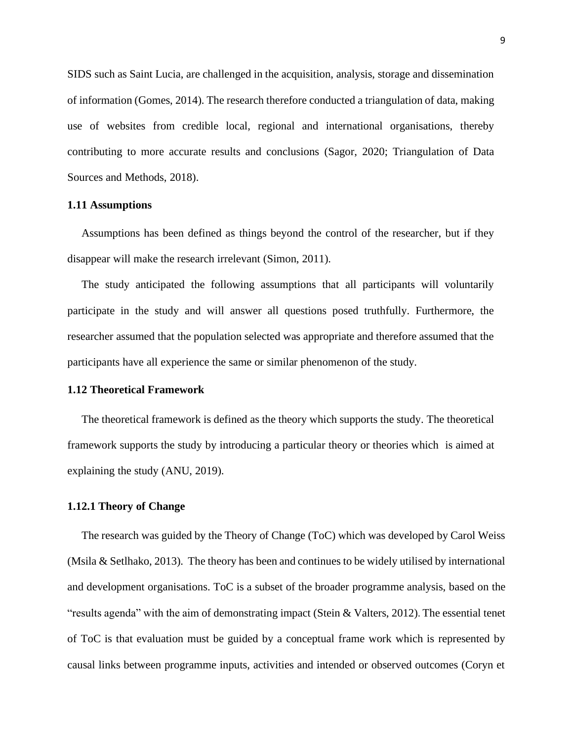SIDS such as Saint Lucia, are challenged in the acquisition, analysis, storage and dissemination of information (Gomes, 2014). The research therefore conducted a triangulation of data, making use of websites from credible local, regional and international organisations, thereby contributing to more accurate results and conclusions (Sagor, 2020; Triangulation of Data Sources and Methods, 2018).

#### <span id="page-21-0"></span>**1.11 Assumptions**

 Assumptions has been defined as things beyond the control of the researcher, but if they disappear will make the research irrelevant (Simon, 2011).

 The study anticipated the following assumptions that all participants will voluntarily participate in the study and will answer all questions posed truthfully. Furthermore, the researcher assumed that the population selected was appropriate and therefore assumed that the participants have all experience the same or similar phenomenon of the study.

#### <span id="page-21-1"></span>**1.12 Theoretical Framework**

The theoretical framework is defined as the theory which supports the study. The theoretical framework supports the study by introducing a particular theory or theories which is aimed at explaining the study (ANU, 2019).

#### <span id="page-21-2"></span>**1.12.1 Theory of Change**

 The research was guided by the Theory of Change (ToC) which was developed by Carol Weiss (Msila & Setlhako, 2013). The theory has been and continues to be widely utilised by international and development organisations. ToC is a subset of the broader programme analysis, based on the "results agenda" with the aim of demonstrating impact (Stein & Valters, 2012). The essential tenet of ToC is that evaluation must be guided by a conceptual frame work which is represented by causal links between programme inputs, activities and intended or observed outcomes (Coryn et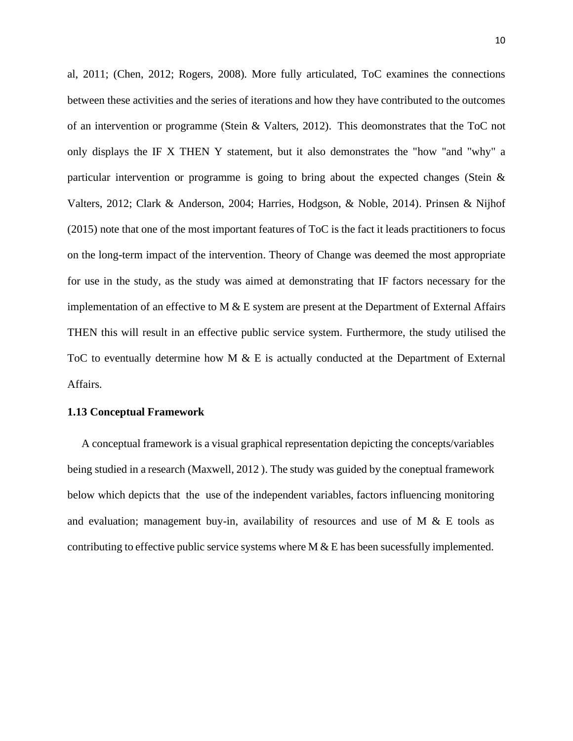al, 2011; (Chen, 2012; Rogers, 2008). More fully articulated, ToC examines the connections between these activities and the series of iterations and how they have contributed to the outcomes of an intervention or programme (Stein & Valters, 2012). This deomonstrates that the ToC not only displays the IF X THEN Y statement, but it also demonstrates the "how "and "why" a particular intervention or programme is going to bring about the expected changes (Stein & Valters, 2012; Clark & Anderson, 2004; Harries, Hodgson, & Noble, 2014). Prinsen & Nijhof (2015) note that one of the most important features of ToC is the fact it leads practitioners to focus on the long-term impact of the intervention. Theory of Change was deemed the most appropriate for use in the study, as the study was aimed at demonstrating that IF factors necessary for the implementation of an effective to M  $&$  E system are present at the Department of External Affairs THEN this will result in an effective public service system. Furthermore, the study utilised the ToC to eventually determine how M & E is actually conducted at the Department of External Affairs.

#### <span id="page-22-0"></span>**1.13 Conceptual Framework**

 A conceptual framework is a visual graphical representation depicting the concepts/variables being studied in a research (Maxwell, 2012 ). The study was guided by the coneptual framework below which depicts that the use of the independent variables, factors influencing monitoring and evaluation; management buy-in, availability of resources and use of M  $\&$  E tools as contributing to effective public service systems where  $M & E$  has been sucessfully implemented.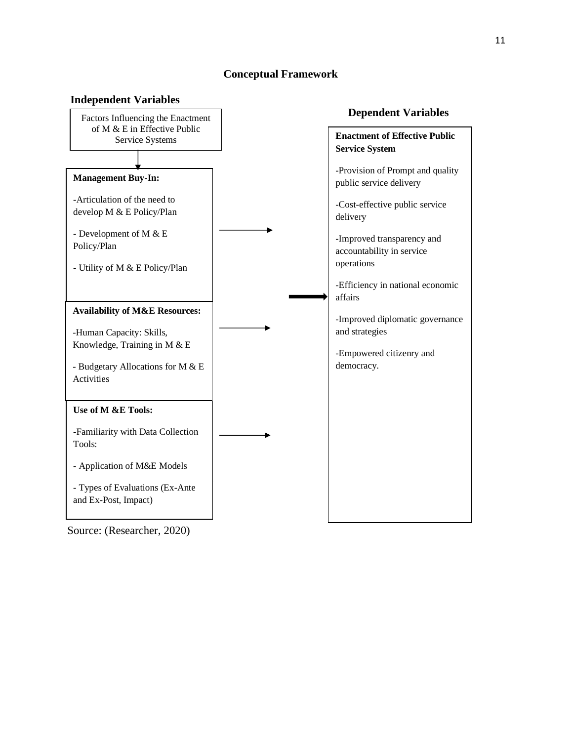## **Conceptual Framework**



Source: (Researcher, 2020)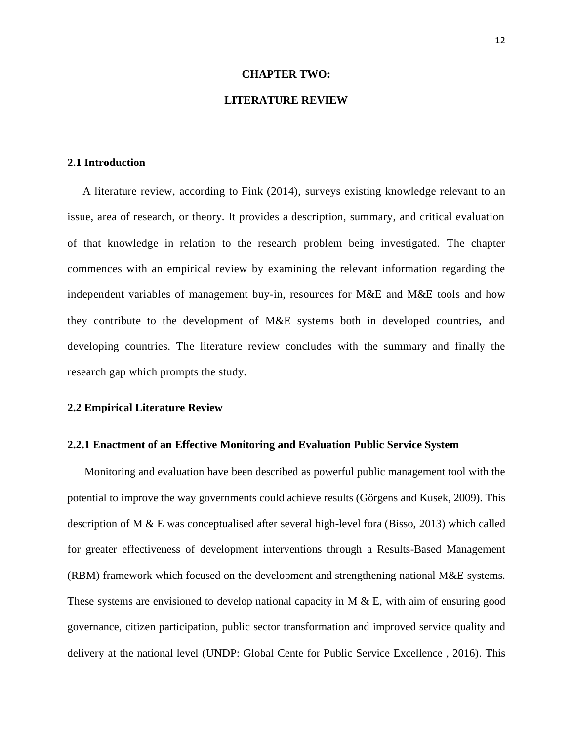#### **CHAPTER TWO:**

### **LITERATURE REVIEW**

#### <span id="page-24-2"></span><span id="page-24-1"></span><span id="page-24-0"></span>**2.1 Introduction**

 A literature review, according to Fink (2014), surveys existing knowledge relevant to an issue, area of research, or theory. It provides a description, summary, and critical evaluation of that knowledge in relation to the research problem being investigated. The chapter commences with an empirical review by examining the relevant information regarding the independent variables of management buy-in, resources for M&E and M&E tools and how they contribute to the development of M&E systems both in developed countries, and developing countries. The literature review concludes with the summary and finally the research gap which prompts the study.

#### <span id="page-24-3"></span>**2.2 Empirical Literature Review**

#### <span id="page-24-4"></span>**2.2.1 Enactment of an Effective Monitoring and Evaluation Public Service System**

 Monitoring and evaluation have been described as powerful public management tool with the potential to improve the way governments could achieve results (Görgens and Kusek, 2009). This description of M & E was conceptualised after several high-level fora (Bisso, 2013) which called for greater effectiveness of development interventions through a Results-Based Management (RBM) framework which focused on the development and strengthening national M&E systems. These systems are envisioned to develop national capacity in M & E, with aim of ensuring good governance, citizen participation, public sector transformation and improved service quality and delivery at the national level (UNDP: Global Cente for Public Service Excellence , 2016). This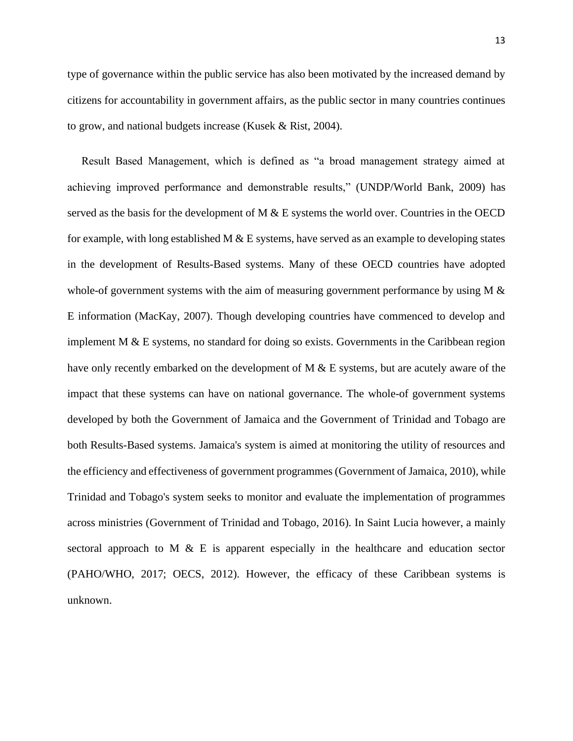type of governance within the public service has also been motivated by the increased demand by citizens for accountability in government affairs, as the public sector in many countries continues to grow, and national budgets increase (Kusek & Rist, 2004).

 Result Based Management, which is defined as "a broad management strategy aimed at achieving improved performance and demonstrable results," (UNDP/World Bank, 2009) has served as the basis for the development of  $M \& E$  systems the world over. Countries in the OECD for example, with long established M  $&$  E systems, have served as an example to developing states in the development of Results-Based systems. Many of these OECD countries have adopted whole-of government systems with the aim of measuring government performance by using M & E information (MacKay, 2007). Though developing countries have commenced to develop and implement  $M \& E$  systems, no standard for doing so exists. Governments in the Caribbean region have only recently embarked on the development of M & E systems, but are acutely aware of the impact that these systems can have on national governance. The whole-of government systems developed by both the Government of Jamaica and the Government of Trinidad and Tobago are both Results-Based systems. Jamaica's system is aimed at monitoring the utility of resources and the efficiency and effectiveness of government programmes (Government of Jamaica, 2010), while Trinidad and Tobago's system seeks to monitor and evaluate the implementation of programmes across ministries (Government of Trinidad and Tobago, 2016). In Saint Lucia however, a mainly sectoral approach to M  $\&$  E is apparent especially in the healthcare and education sector (PAHO/WHO, 2017; OECS, 2012). However, the efficacy of these Caribbean systems is unknown.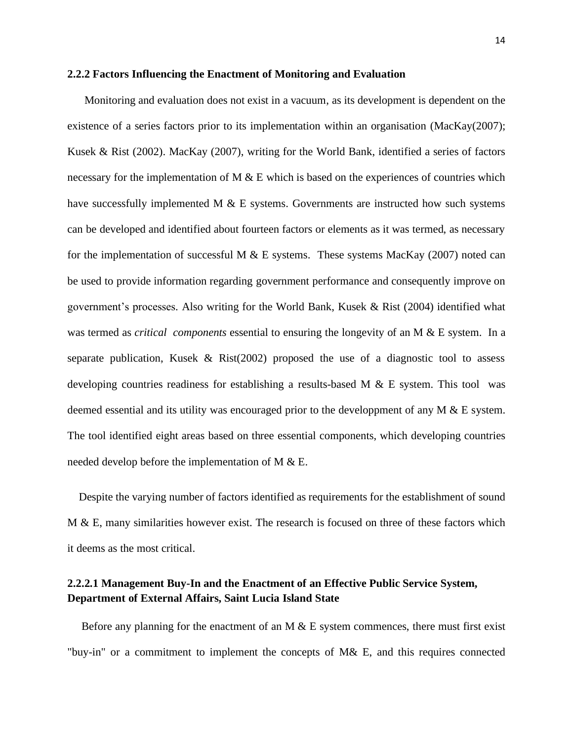#### <span id="page-26-0"></span>**2.2.2 Factors Influencing the Enactment of Monitoring and Evaluation**

 Monitoring and evaluation does not exist in a vacuum, as its development is dependent on the existence of a series factors prior to its implementation within an organisation (MacKay(2007); Kusek & Rist (2002). MacKay (2007), writing for the World Bank, identified a series of factors necessary for the implementation of M  $\&$  E which is based on the experiences of countries which have successfully implemented M  $\&$  E systems. Governments are instructed how such systems can be developed and identified about fourteen factors or elements as it was termed, as necessary for the implementation of successful M  $&$  E systems. These systems MacKay (2007) noted can be used to provide information regarding government performance and consequently improve on government's processes. Also writing for the World Bank, Kusek & Rist (2004) identified what was termed as *critical components* essential to ensuring the longevity of an M & E system. In a separate publication, Kusek & Rist(2002) proposed the use of a diagnostic tool to assess developing countries readiness for establishing a results-based M  $\&$  E system. This tool was deemed essential and its utility was encouraged prior to the developpment of any M & E system. The tool identified eight areas based on three essential components, which developing countries needed develop before the implementation of M & E.

 Despite the varying number of factors identified as requirements for the establishment of sound  $M \& E$ , many similarities however exist. The research is focused on three of these factors which it deems as the most critical.

## <span id="page-26-1"></span>**2.2.2.1 Management Buy-In and the Enactment of an Effective Public Service System, Department of External Affairs, Saint Lucia Island State**

Before any planning for the enactment of an M  $\&$  E system commences, there must first exist "buy-in" or a commitment to implement the concepts of M& E, and this requires connected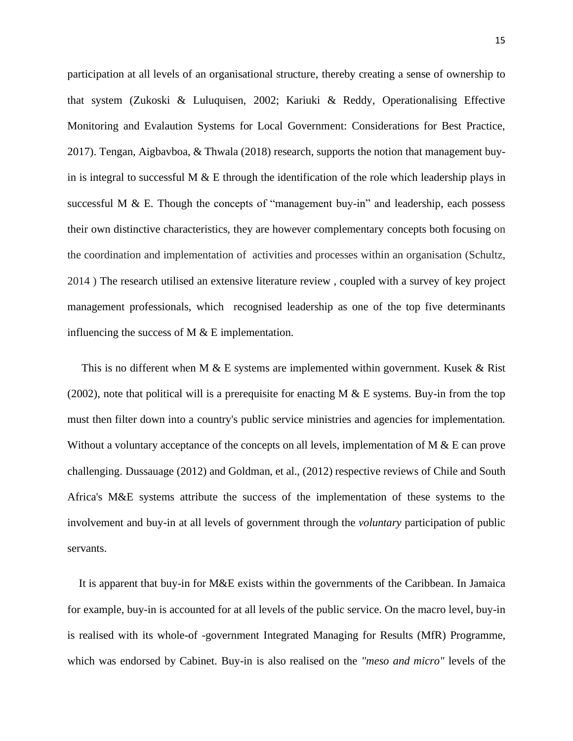participation at all levels of an organisational structure, thereby creating a sense of ownership to that system (Zukoski & Luluquisen, 2002; Kariuki & Reddy, Operationalising Effective Monitoring and Evalaution Systems for Local Government: Considerations for Best Practice, 2017). Tengan, Aigbavboa, & Thwala (2018) research*,* supports the notion that management buyin is integral to successful M  $&$  E through the identification of the role which leadership plays in successful M & E. Though the concepts of "management buy-in" and leadership, each possess their own distinctive characteristics, they are however complementary concepts both focusing on the coordination and implementation of activities and processes within an organisation (Schultz, 2014 ) The research utilised an extensive literature review , coupled with a survey of key project management professionals, which recognised leadership as one of the top five determinants influencing the success of M & E implementation.

This is no different when M  $\&$  E systems are implemented within government. Kusek  $\&$  Rist (2002), note that political will is a prerequisite for enacting M  $\&$  E systems. Buy-in from the top must then filter down into a country's public service ministries and agencies for implementation. Without a voluntary acceptance of the concepts on all levels, implementation of M & E can prove challenging. Dussauage (2012) and Goldman, et al., (2012) respective reviews of Chile and South Africa's M&E systems attribute the success of the implementation of these systems to the involvement and buy-in at all levels of government through the *voluntary* participation of public servants.

 It is apparent that buy-in for M&E exists within the governments of the Caribbean. In Jamaica for example, buy-in is accounted for at all levels of the public service. On the macro level, buy-in is realised with its whole-of -government Integrated Managing for Results (MfR) Programme, which was endorsed by Cabinet. Buy-in is also realised on the *"meso and micro"* levels of the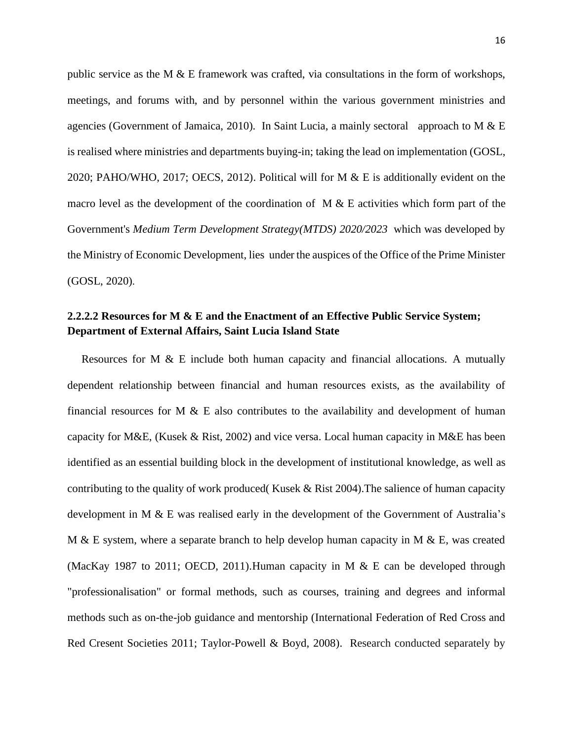public service as the M  $\&$  E framework was crafted, via consultations in the form of workshops, meetings, and forums with, and by personnel within the various government ministries and agencies (Government of Jamaica, 2010). In Saint Lucia, a mainly sectoral approach to M & E is realised where ministries and departments buying-in; taking the lead on implementation (GOSL, 2020; PAHO/WHO, 2017; OECS, 2012). Political will for M & E is additionally evident on the macro level as the development of the coordination of  $M & E$  activities which form part of the Government's *Medium Term Development Strategy(MTDS) 2020/2023* which was developed by the Ministry of Economic Development, lies under the auspices of the Office of the Prime Minister (GOSL, 2020).

## <span id="page-28-0"></span>**2.2.2.2 Resources for M & E and the Enactment of an Effective Public Service System; Department of External Affairs, Saint Lucia Island State**

 Resources for M & E include both human capacity and financial allocations. A mutually dependent relationship between financial and human resources exists, as the availability of financial resources for M  $\&$  E also contributes to the availability and development of human capacity for M&E, (Kusek & Rist, 2002) and vice versa. Local human capacity in M&E has been identified as an essential building block in the development of institutional knowledge, as well as contributing to the quality of work produced( Kusek & Rist 2004).The salience of human capacity development in M & E was realised early in the development of the Government of Australia's M & E system, where a separate branch to help develop human capacity in M & E, was created (MacKay 1987 to 2011; OECD, 2011).Human capacity in M & E can be developed through "professionalisation" or formal methods, such as courses, training and degrees and informal methods such as on-the-job guidance and mentorship (International Federation of Red Cross and Red Cresent Societies 2011; Taylor-Powell & Boyd, 2008). Research conducted separately by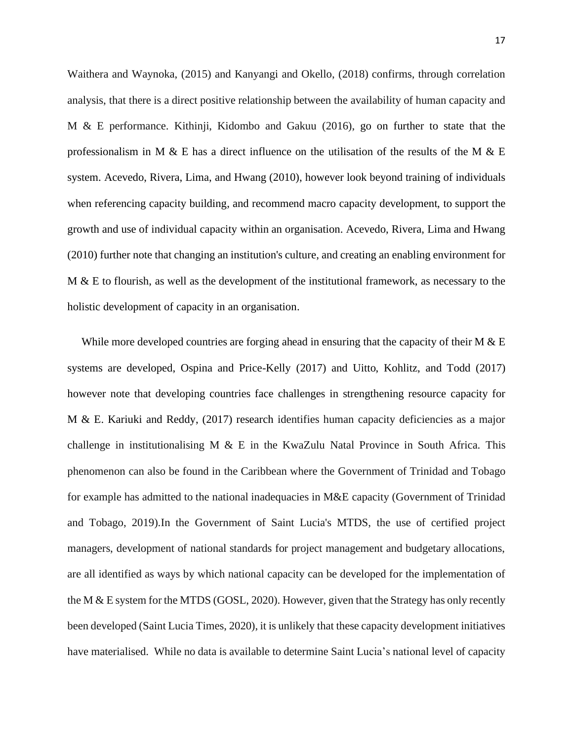Waithera and Waynoka, (2015) and Kanyangi and Okello, (2018) confirms, through correlation analysis, that there is a direct positive relationship between the availability of human capacity and M & E performance. Kithinji, Kidombo and Gakuu (2016), go on further to state that the professionalism in M & E has a direct influence on the utilisation of the results of the M & E system. Acevedo, Rivera, Lima, and Hwang (2010), however look beyond training of individuals when referencing capacity building, and recommend macro capacity development, to support the growth and use of individual capacity within an organisation. Acevedo, Rivera, Lima and Hwang (2010) further note that changing an institution's culture, and creating an enabling environment for M & E to flourish, as well as the development of the institutional framework, as necessary to the holistic development of capacity in an organisation.

While more developed countries are forging ahead in ensuring that the capacity of their M & E systems are developed, Ospina and Price-Kelly (2017) and Uitto, Kohlitz, and Todd (2017) however note that developing countries face challenges in strengthening resource capacity for M & E. Kariuki and Reddy, (2017) research identifies human capacity deficiencies as a major challenge in institutionalising M  $\&$  E in the KwaZulu Natal Province in South Africa. This phenomenon can also be found in the Caribbean where the Government of Trinidad and Tobago for example has admitted to the national inadequacies in M&E capacity (Government of Trinidad and Tobago, 2019).In the Government of Saint Lucia's MTDS, the use of certified project managers, development of national standards for project management and budgetary allocations, are all identified as ways by which national capacity can be developed for the implementation of the M & E system for the MTDS (GOSL, 2020). However, given that the Strategy has only recently been developed (Saint Lucia Times, 2020), it is unlikely that these capacity development initiatives have materialised. While no data is available to determine Saint Lucia's national level of capacity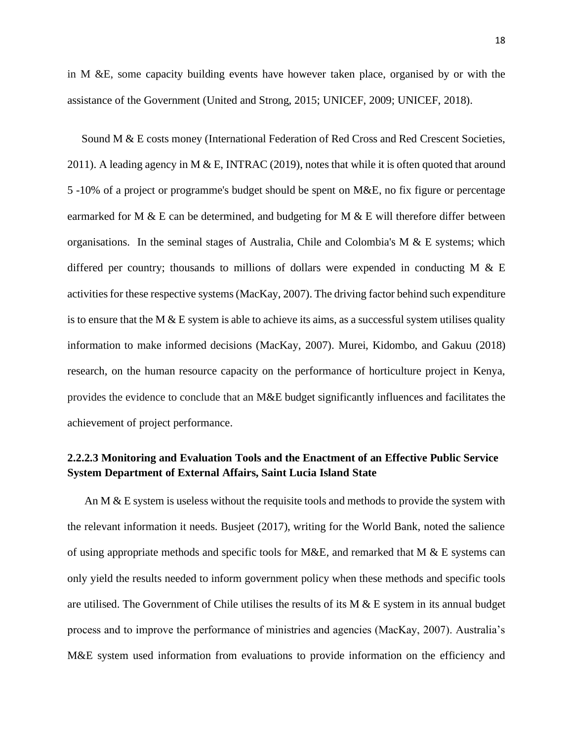in M &E, some capacity building events have however taken place, organised by or with the assistance of the Government (United and Strong, 2015; UNICEF, 2009; UNICEF, 2018).

 Sound M & E costs money (International Federation of Red Cross and Red Crescent Societies, 2011). A leading agency in M & E, INTRAC (2019), notes that while it is often quoted that around 5 -10% of a project or programme's budget should be spent on M&E, no fix figure or percentage earmarked for M & E can be determined, and budgeting for M & E will therefore differ between organisations. In the seminal stages of Australia, Chile and Colombia's M & E systems; which differed per country; thousands to millions of dollars were expended in conducting M  $\&$  E activities for these respective systems (MacKay, 2007). The driving factor behind such expenditure is to ensure that the M  $&$  E system is able to achieve its aims, as a successful system utilises quality information to make informed decisions (MacKay, 2007). Murei, Kidombo, and Gakuu (2018) research, on the human resource capacity on the performance of horticulture project in Kenya, provides the evidence to conclude that an M&E budget significantly influences and facilitates the achievement of project performance.

# <span id="page-30-0"></span>**2.2.2.3 Monitoring and Evaluation Tools and the Enactment of an Effective Public Service System Department of External Affairs, Saint Lucia Island State**

An M & E system is useless without the requisite tools and methods to provide the system with the relevant information it needs. Busjeet (2017), writing for the World Bank, noted the salience of using appropriate methods and specific tools for M&E, and remarked that M & E systems can only yield the results needed to inform government policy when these methods and specific tools are utilised. The Government of Chile utilises the results of its  $M & E$  system in its annual budget process and to improve the performance of ministries and agencies (MacKay, 2007). Australia's M&E system used information from evaluations to provide information on the efficiency and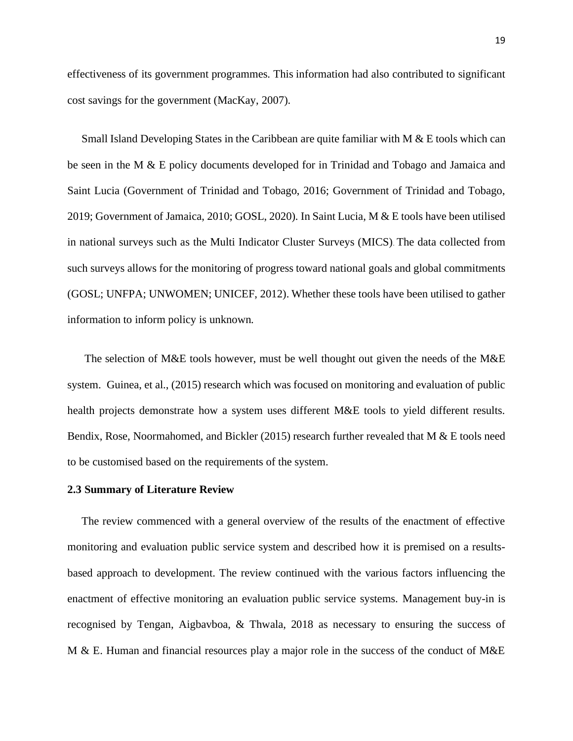effectiveness of its government programmes. This information had also contributed to significant cost savings for the government (MacKay, 2007).

 Small Island Developing States in the Caribbean are quite familiar with M & E tools which can be seen in the M & E policy documents developed for in Trinidad and Tobago and Jamaica and Saint Lucia (Government of Trinidad and Tobago, 2016; Government of Trinidad and Tobago, 2019; Government of Jamaica, 2010; GOSL, 2020). In Saint Lucia, M & E tools have been utilised in national surveys such as the Multi Indicator Cluster Surveys (MICS). The data collected from such surveys allows for the monitoring of progress toward national goals and global commitments (GOSL; UNFPA; UNWOMEN; UNICEF, 2012). Whether these tools have been utilised to gather information to inform policy is unknown.

 The selection of M&E tools however, must be well thought out given the needs of the M&E system. Guinea, et al., (2015) research which was focused on monitoring and evaluation of public health projects demonstrate how a system uses different M&E tools to yield different results. Bendix, Rose, Noormahomed, and Bickler (2015) research further revealed that M & E tools need to be customised based on the requirements of the system.

#### <span id="page-31-0"></span>**2.3 Summary of Literature Review**

 The review commenced with a general overview of the results of the enactment of effective monitoring and evaluation public service system and described how it is premised on a resultsbased approach to development. The review continued with the various factors influencing the enactment of effective monitoring an evaluation public service systems. Management buy-in is recognised by Tengan, Aigbavboa, & Thwala, 2018 as necessary to ensuring the success of M & E. Human and financial resources play a major role in the success of the conduct of M&E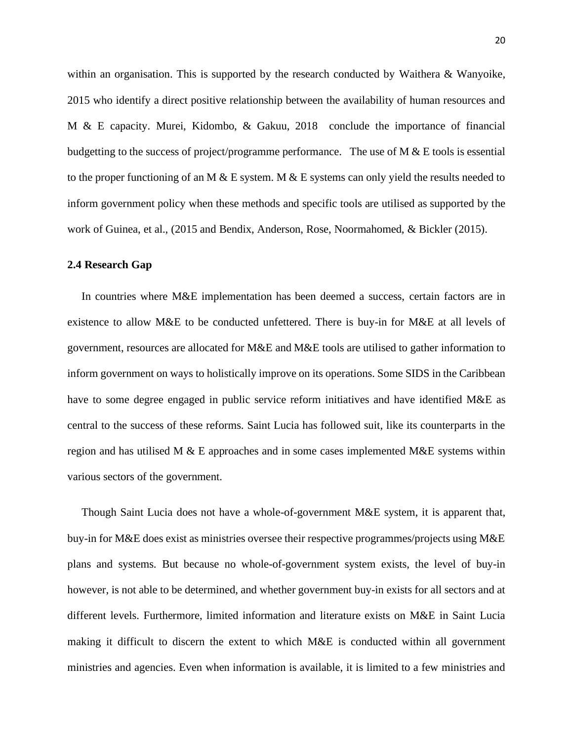within an organisation. This is supported by the research conducted by Waithera & Wanyoike, 2015 who identify a direct positive relationship between the availability of human resources and M & E capacity. Murei, Kidombo, & Gakuu, 2018 conclude the importance of financial budgetting to the success of project/programme performance. The use of  $M \& E$  tools is essential to the proper functioning of an M  $\&$  E system. M  $\&$  E systems can only yield the results needed to inform government policy when these methods and specific tools are utilised as supported by the work of Guinea, et al., (2015 and Bendix, Anderson, Rose, Noormahomed, & Bickler (2015).

#### <span id="page-32-0"></span>**2.4 Research Gap**

 In countries where M&E implementation has been deemed a success, certain factors are in existence to allow M&E to be conducted unfettered. There is buy-in for M&E at all levels of government, resources are allocated for M&E and M&E tools are utilised to gather information to inform government on ways to holistically improve on its operations. Some SIDS in the Caribbean have to some degree engaged in public service reform initiatives and have identified M&E as central to the success of these reforms. Saint Lucia has followed suit, like its counterparts in the region and has utilised M  $\&$  E approaches and in some cases implemented M $&$ E systems within various sectors of the government.

 Though Saint Lucia does not have a whole-of-government M&E system, it is apparent that, buy-in for M&E does exist as ministries oversee their respective programmes/projects using M&E plans and systems. But because no whole-of-government system exists, the level of buy-in however, is not able to be determined, and whether government buy-in exists for all sectors and at different levels. Furthermore, limited information and literature exists on M&E in Saint Lucia making it difficult to discern the extent to which M&E is conducted within all government ministries and agencies. Even when information is available, it is limited to a few ministries and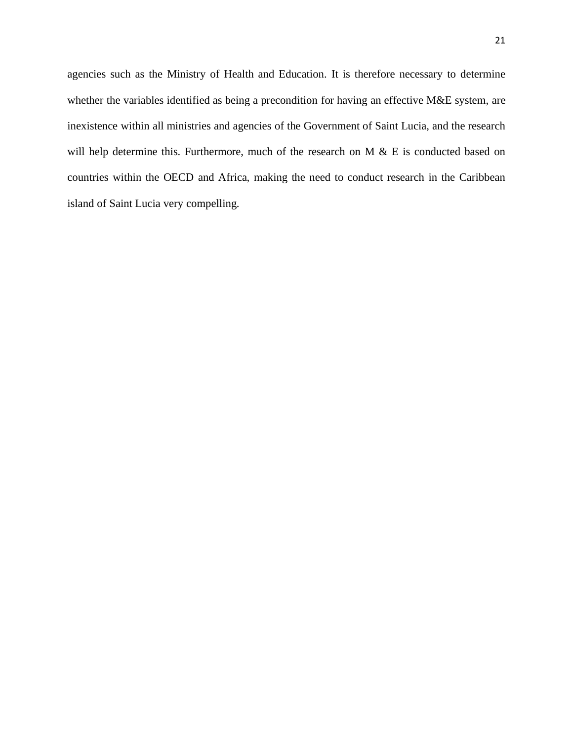agencies such as the Ministry of Health and Education. It is therefore necessary to determine whether the variables identified as being a precondition for having an effective M&E system, are inexistence within all ministries and agencies of the Government of Saint Lucia, and the research will help determine this. Furthermore, much of the research on M & E is conducted based on countries within the OECD and Africa, making the need to conduct research in the Caribbean island of Saint Lucia very compelling.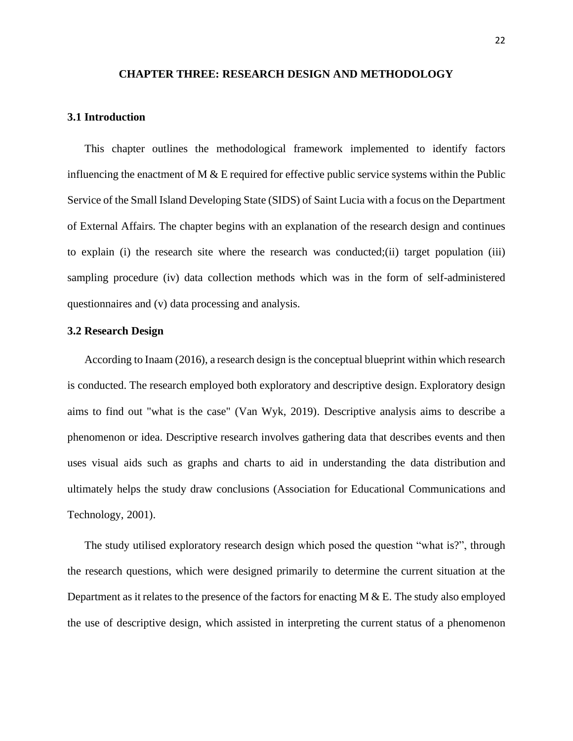#### **CHAPTER THREE: RESEARCH DESIGN AND METHODOLOGY**

#### <span id="page-34-1"></span><span id="page-34-0"></span>**3.1 Introduction**

 This chapter outlines the methodological framework implemented to identify factors influencing the enactment of  $M \& E$  required for effective public service systems within the Public Service of the Small Island Developing State (SIDS) of Saint Lucia with a focus on the Department of External Affairs. The chapter begins with an explanation of the research design and continues to explain (i) the research site where the research was conducted;(ii) target population (iii) sampling procedure (iv) data collection methods which was in the form of self-administered questionnaires and (v) data processing and analysis.

#### <span id="page-34-2"></span>**3.2 Research Design**

 According to Inaam (2016), a research design is the conceptual blueprint within which research is conducted. The research employed both exploratory and descriptive design. Exploratory design aims to find out "what is the case" (Van Wyk, 2019). Descriptive analysis aims to describe a phenomenon or idea. Descriptive research involves gathering data that describes events and then uses visual aids such as graphs and charts to aid in understanding the data distribution and ultimately helps the study draw conclusions (Association for Educational Communications and Technology, 2001).

 The study utilised exploratory research design which posed the question "what is?", through the research questions, which were designed primarily to determine the current situation at the Department as it relates to the presence of the factors for enacting  $M & E$ . The study also employed the use of descriptive design, which assisted in interpreting the current status of a phenomenon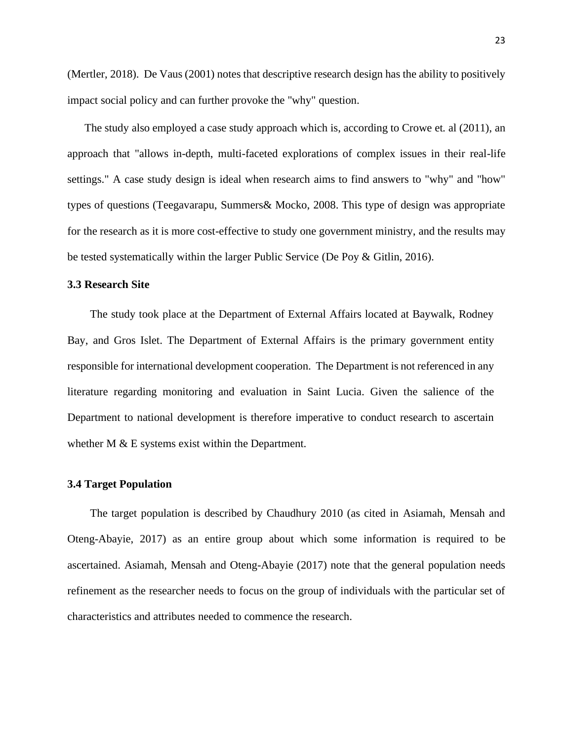(Mertler, 2018). De Vaus (2001) notes that descriptive research design has the ability to positively impact social policy and can further provoke the "why" question.

 The study also employed a case study approach which is, according to Crowe et. al (2011), an approach that "allows in-depth, multi-faceted explorations of complex issues in their real-life settings." A case study design is ideal when research aims to find answers to "why" and "how" types of questions (Teegavarapu, Summers& Mocko, 2008. This type of design was appropriate for the research as it is more cost-effective to study one government ministry, and the results may be tested systematically within the larger Public Service (De Poy & Gitlin, 2016).

#### <span id="page-35-0"></span>**3.3 Research Site**

 The study took place at the Department of External Affairs located at Baywalk, Rodney Bay, and Gros Islet. The Department of External Affairs is the primary government entity responsible for international development cooperation. The Department is not referenced in any literature regarding monitoring and evaluation in Saint Lucia. Given the salience of the Department to national development is therefore imperative to conduct research to ascertain whether M & E systems exist within the Department.

#### <span id="page-35-1"></span>**3.4 Target Population**

 The target population is described by Chaudhury 2010 (as cited in Asiamah, Mensah and Oteng-Abayie, 2017) as an entire group about which some information is required to be ascertained. Asiamah, Mensah and Oteng-Abayie (2017) note that the general population needs refinement as the researcher needs to focus on the group of individuals with the particular set of characteristics and attributes needed to commence the research.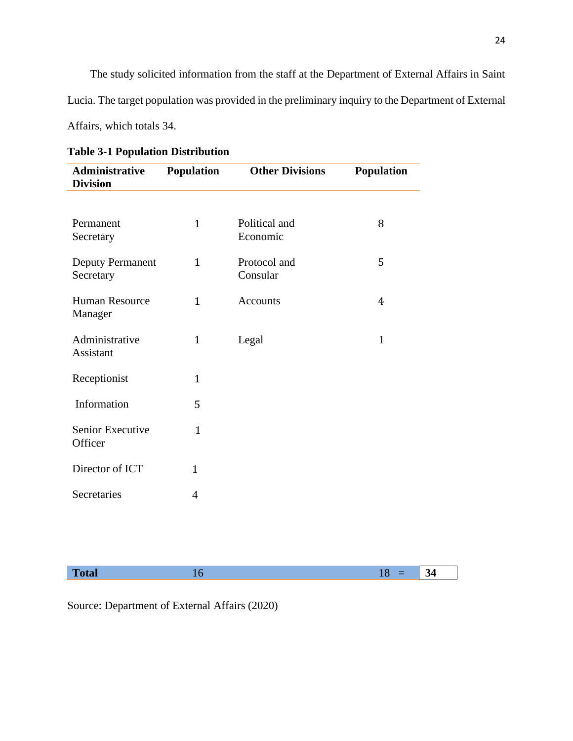The study solicited information from the staff at the Department of External Affairs in Saint Lucia. The target population was provided in the preliminary inquiry to the Department of External Affairs, which totals 34.

| Administrative<br><b>Division</b>    | <b>Population</b> | <b>Other Divisions</b>    | <b>Population</b> |
|--------------------------------------|-------------------|---------------------------|-------------------|
|                                      |                   |                           |                   |
| Permanent<br>Secretary               | $\mathbf{1}$      | Political and<br>Economic | 8                 |
| <b>Deputy Permanent</b><br>Secretary | $\mathbf{1}$      | Protocol and<br>Consular  | 5                 |
| <b>Human Resource</b><br>Manager     | $\mathbf{1}$      | Accounts                  | 4                 |
| Administrative<br>Assistant          | $\mathbf{1}$      | Legal                     | $\mathbf{1}$      |
| Receptionist                         | $\mathbf{1}$      |                           |                   |
| Information                          | 5                 |                           |                   |
| Senior Executive<br>Officer          | $\mathbf{1}$      |                           |                   |
| Director of ICT                      | $\mathbf{1}$      |                           |                   |
| Secretaries                          | $\overline{4}$    |                           |                   |

# **Table 3-1 Population Distribution**

Source: Department of External Affairs (2020)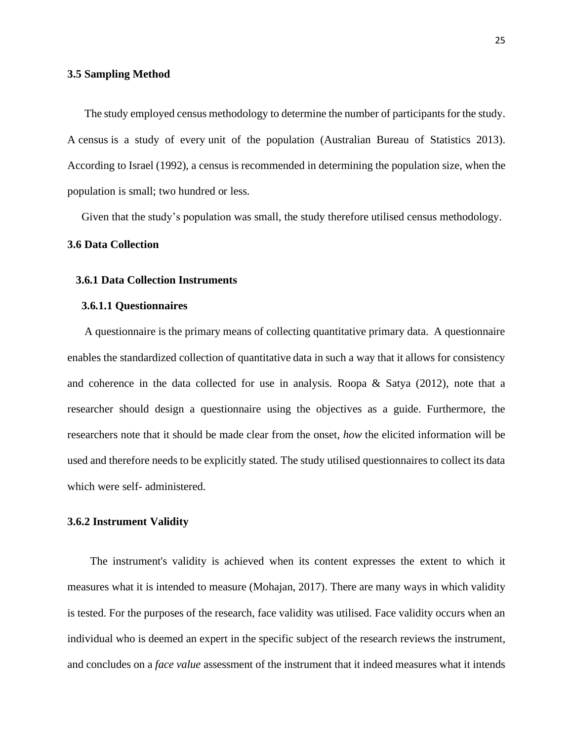#### **3.5 Sampling Method**

 The study employed census methodology to determine the number of participants for the study. A census is a study of every [unit](https://www.abs.gov.au/websitedbs/a3121120.nsf/home/statistical+language+-+statistical+language+glossary#Data%20unit) of the population (Australian Bureau of Statistics 2013). According to Israel (1992), a census is recommended in determining the population size, when the population is small; two hundred or less.

Given that the study's population was small, the study therefore utilised census methodology.

#### **3.6 Data Collection**

#### **3.6.1 Data Collection Instruments**

#### **3.6.1.1 Questionnaires**

 A questionnaire is the primary means of collecting quantitative primary data. A questionnaire enables the standardized collection of quantitative data in such a way that it allows for consistency and coherence in the data collected for use in analysis. Roopa  $\&$  Satya (2012), note that a researcher should design a questionnaire using the objectives as a guide. Furthermore, the researchers note that it should be made clear from the onset, *how* the elicited information will be used and therefore needs to be explicitly stated. The study utilised questionnaires to collect its data which were self- administered.

#### **3.6.2 Instrument Validity**

 The instrument's validity is achieved when its content expresses the extent to which it measures what it is intended to measure (Mohajan, 2017). There are many ways in which validity is tested. For the purposes of the research, face validity was utilised. Face validity occurs when an individual who is deemed an expert in the specific subject of the research reviews the instrument, and concludes on a *face value* assessment of the instrument that it indeed measures what it intends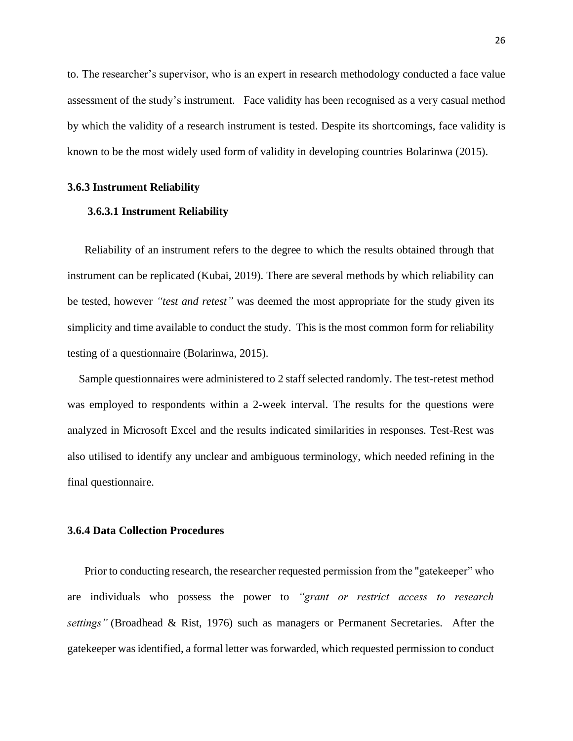to. The researcher's supervisor, who is an expert in research methodology conducted a face value assessment of the study's instrument. Face validity has been recognised as a very casual method by which the validity of a research instrument is tested. Despite its shortcomings, face validity is known to be the most widely used form of validity in developing countries Bolarinwa (2015).

#### **3.6.3 Instrument Reliability**

#### **3.6.3.1 Instrument Reliability**

Reliability of an instrument refers to the degree to which the results obtained through that instrument can be replicated (Kubai, 2019). There are several methods by which reliability can be tested, however *"test and retest"* was deemed the most appropriate for the study given its simplicity and time available to conduct the study. This is the most common form for reliability testing of a questionnaire (Bolarinwa, 2015).

 Sample questionnaires were administered to 2 staff selected randomly. The test-retest method was employed to respondents within a 2-week interval. The results for the questions were analyzed in Microsoft Excel and the results indicated similarities in responses. Test-Rest was also utilised to identify any unclear and ambiguous terminology, which needed refining in the final questionnaire.

#### **3.6.4 Data Collection Procedures**

 Prior to conducting research, the researcher requested permission from the "gatekeeper" who are individuals who possess the power to *"grant or restrict access to research settings"* (Broadhead & Rist, 1976) such as managers or Permanent Secretaries. After the gatekeeper was identified, a formal letter was forwarded, which requested permission to conduct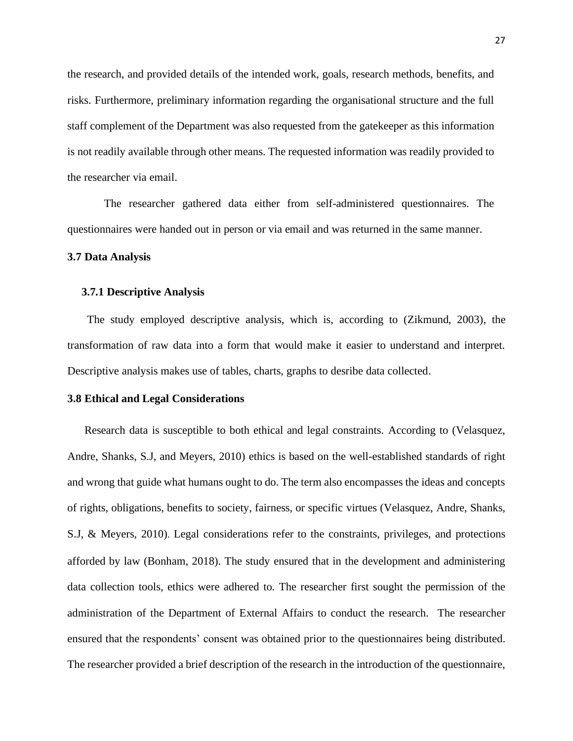the research, and provided details of the intended work, goals, research methods, benefits, and risks. Furthermore, preliminary information regarding the organisational structure and the full staff complement of the Department was also requested from the gatekeeper as this information is not readily available through other means. The requested information was readily provided to the researcher via email.

 The researcher gathered data either from self-administered questionnaires. The questionnaires were handed out in person or via email and was returned in the same manner.

#### **3.7 Data Analysis**

#### **3.7.1 Descriptive Analysis**

 The study employed descriptive analysis, which is, according to (Zikmund, 2003), the transformation of raw data into a form that would make it easier to understand and interpret. Descriptive analysis makes use of tables, charts, graphs to desribe data collected.

## **3.8 Ethical and Legal Considerations**

 Research data is susceptible to both ethical and legal constraints. According to (Velasquez, Andre, Shanks, S.J, and Meyers, 2010) ethics is based on the well-established standards of right and wrong that guide what humans ought to do. The term also encompasses the ideas and concepts of rights, obligations, benefits to society, fairness, or specific virtues (Velasquez, Andre, Shanks, S.J, & Meyers, 2010). Legal considerations refer to the constraints, privileges, and protections afforded by law (Bonham, 2018). The study ensured that in the development and administering data collection tools, ethics were adhered to. The researcher first sought the permission of the administration of the Department of External Affairs to conduct the research. The researcher ensured that the respondents' consent was obtained prior to the questionnaires being distributed. The researcher provided a brief description of the research in the introduction of the questionnaire,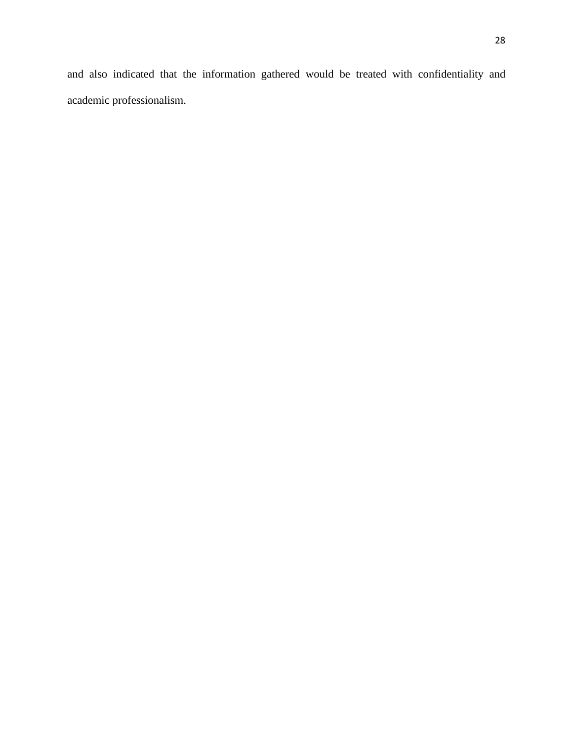and also indicated that the information gathered would be treated with confidentiality and academic professionalism.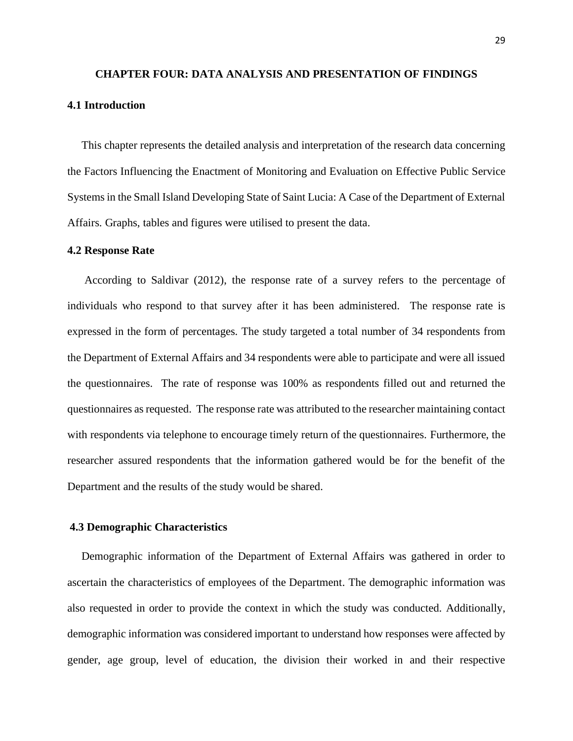# **CHAPTER FOUR: DATA ANALYSIS AND PRESENTATION OF FINDINGS 4.1 Introduction**

 This chapter represents the detailed analysis and interpretation of the research data concerning the Factors Influencing the Enactment of Monitoring and Evaluation on Effective Public Service Systems in the Small Island Developing State of Saint Lucia: A Case of the Department of External Affairs. Graphs, tables and figures were utilised to present the data.

#### **4.2 Response Rate**

According to Saldivar (2012), the response rate of a survey refers to the percentage of individuals who respond to that survey after it has been administered. The response rate is expressed in the form of percentages. The study targeted a total number of 34 respondents from the Department of External Affairs and 34 respondents were able to participate and were all issued the questionnaires. The rate of response was 100% as respondents filled out and returned the questionnaires as requested. The response rate was attributed to the researcher maintaining contact with respondents via telephone to encourage timely return of the questionnaires. Furthermore, the researcher assured respondents that the information gathered would be for the benefit of the Department and the results of the study would be shared.

#### **4.3 Demographic Characteristics**

 Demographic information of the Department of External Affairs was gathered in order to ascertain the characteristics of employees of the Department. The demographic information was also requested in order to provide the context in which the study was conducted. Additionally, demographic information was considered important to understand how responses were affected by gender, age group, level of education, the division their worked in and their respective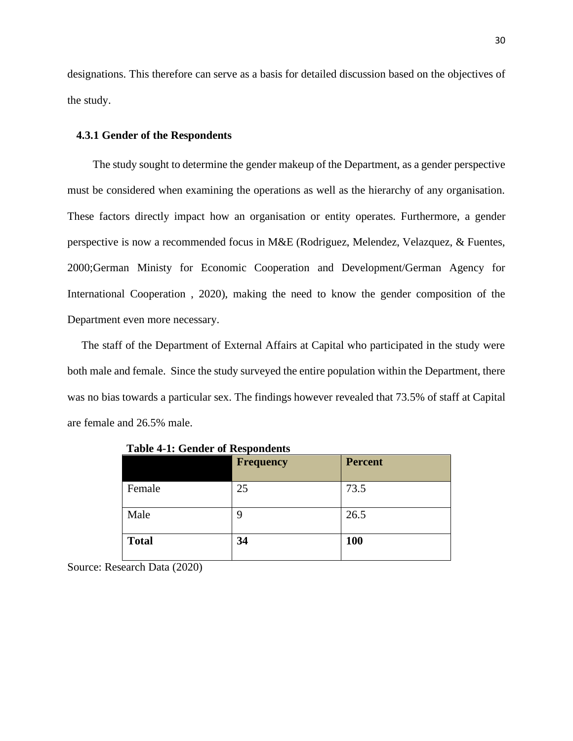designations. This therefore can serve as a basis for detailed discussion based on the objectives of the study.

#### **4.3.1 Gender of the Respondents**

 The study sought to determine the gender makeup of the Department, as a gender perspective must be considered when examining the operations as well as the hierarchy of any organisation. These factors directly impact how an organisation or entity operates. Furthermore, a gender perspective is now a recommended focus in M&E (Rodriguez, Melendez, Velazquez, & Fuentes, 2000;German Ministy for Economic Cooperation and Development/German Agency for International Cooperation , 2020), making the need to know the gender composition of the Department even more necessary.

 The staff of the Department of External Affairs at Capital who participated in the study were both male and female. Since the study surveyed the entire population within the Department, there was no bias towards a particular sex. The findings however revealed that 73.5% of staff at Capital are female and 26.5% male.

|              | <b>Frequency</b> | <b>Percent</b> |
|--------------|------------------|----------------|
| Female       | 25               | 73.5           |
| Male         | 9                | 26.5           |
| <b>Total</b> | 34               | <b>100</b>     |

**Table 4-1: Gender of Respondents**

Source: Research Data (2020)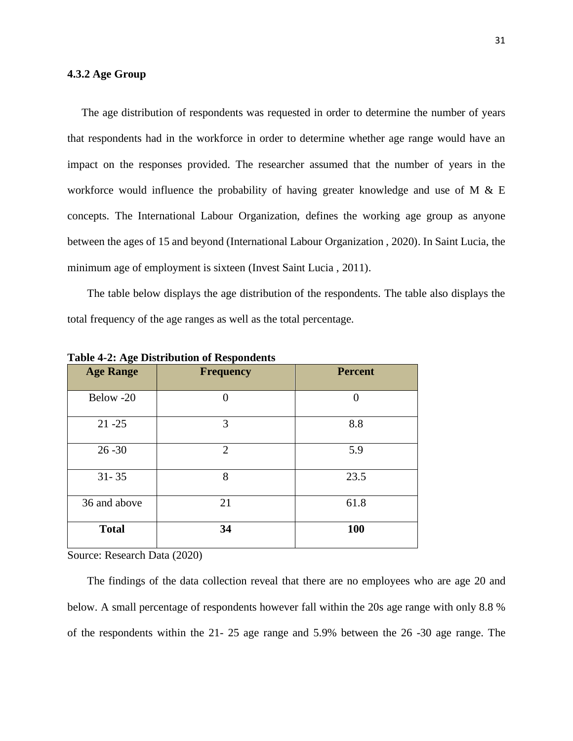#### **4.3.2 Age Group**

 The age distribution of respondents was requested in order to determine the number of years that respondents had in the workforce in order to determine whether age range would have an impact on the responses provided. The researcher assumed that the number of years in the workforce would influence the probability of having greater knowledge and use of M & E concepts. The International Labour Organization, defines the working age group as anyone between the ages of 15 and beyond (International Labour Organization , 2020). In Saint Lucia, the minimum age of employment is sixteen (Invest Saint Lucia , 2011).

 The table below displays the age distribution of the respondents. The table also displays the total frequency of the age ranges as well as the total percentage.

| $\mathbf{\tilde{c}}$<br><b>Age Range</b> | <b>Frequency</b> | <b>Percent</b> |
|------------------------------------------|------------------|----------------|
| Below -20                                |                  | 0              |
| $21 - 25$                                | 3                | 8.8            |
| $26 - 30$                                | $\overline{2}$   | 5.9            |
| $31 - 35$                                | 8                | 23.5           |
| 36 and above                             | 21               | 61.8           |
| <b>Total</b>                             | 34               | 100            |

**Table 4-2: Age Distribution of Respondents**

Source: Research Data (2020)

 The findings of the data collection reveal that there are no employees who are age 20 and below. A small percentage of respondents however fall within the 20s age range with only 8.8 % of the respondents within the 21- 25 age range and 5.9% between the 26 -30 age range. The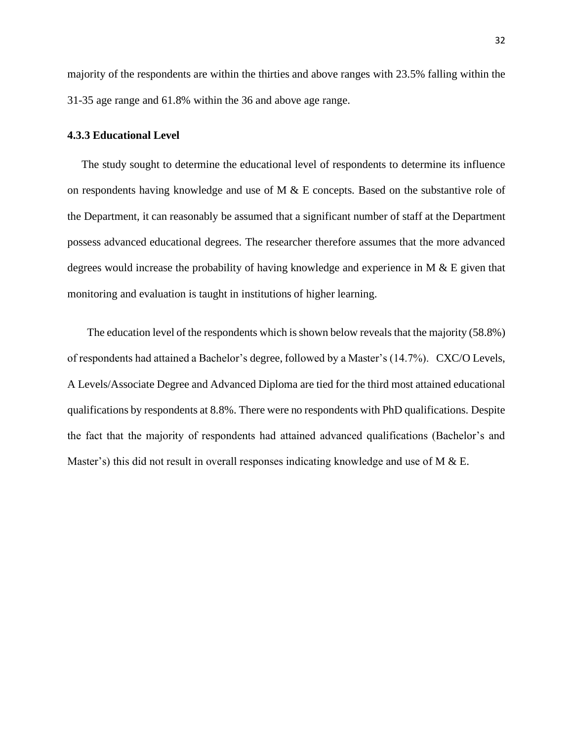majority of the respondents are within the thirties and above ranges with 23.5% falling within the 31-35 age range and 61.8% within the 36 and above age range.

#### **4.3.3 Educational Level**

 The study sought to determine the educational level of respondents to determine its influence on respondents having knowledge and use of  $M \& E$  concepts. Based on the substantive role of the Department, it can reasonably be assumed that a significant number of staff at the Department possess advanced educational degrees. The researcher therefore assumes that the more advanced degrees would increase the probability of having knowledge and experience in M & E given that monitoring and evaluation is taught in institutions of higher learning.

The education level of the respondents which is shown below reveals that the majority (58.8%) of respondents had attained a Bachelor's degree, followed by a Master's (14.7%). CXC/O Levels, A Levels/Associate Degree and Advanced Diploma are tied for the third most attained educational qualifications by respondents at 8.8%. There were no respondents with PhD qualifications. Despite the fact that the majority of respondents had attained advanced qualifications (Bachelor's and Master's) this did not result in overall responses indicating knowledge and use of M  $\&$  E.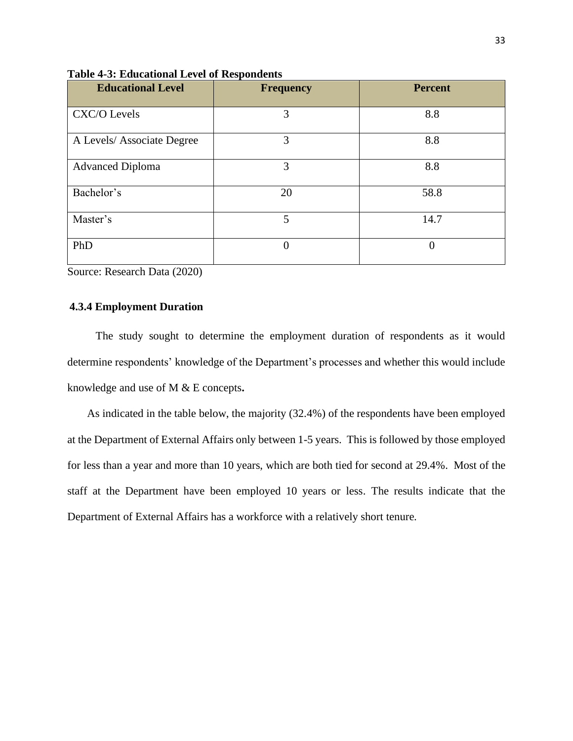| <b>Educational Level</b>  | <b>Frequency</b> | <b>Percent</b> |
|---------------------------|------------------|----------------|
| CXC/O Levels              | 3                | 8.8            |
| A Levels/Associate Degree | 3                | 8.8            |
| <b>Advanced Diploma</b>   | 3                | 8.8            |
| Bachelor's                | 20               | 58.8           |
| Master's                  | 5                | 14.7           |
| PhD                       | $\overline{0}$   | $\theta$       |

**Table 4-3: Educational Level of Respondents** 

Source: Research Data (2020)

## **4.3.4 Employment Duration**

The study sought to determine the employment duration of respondents as it would determine respondents' knowledge of the Department's processes and whether this would include knowledge and use of M & E concepts**.** 

As indicated in the table below, the majority (32.4%) of the respondents have been employed at the Department of External Affairs only between 1-5 years. This is followed by those employed for less than a year and more than 10 years, which are both tied for second at 29.4%. Most of the staff at the Department have been employed 10 years or less. The results indicate that the Department of External Affairs has a workforce with a relatively short tenure.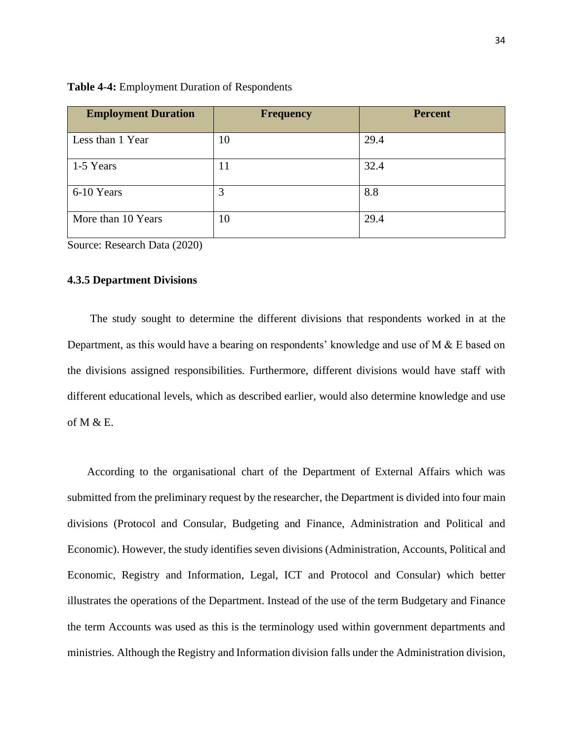| <b>Employment Duration</b> | <b>Frequency</b> | <b>Percent</b> |
|----------------------------|------------------|----------------|
| Less than 1 Year           | 10               | 29.4           |
| 1-5 Years                  | 11               | 32.4           |
| 6-10 Years                 | 3                | 8.8            |
| More than 10 Years         | 10               | 29.4           |

**Table 4-4:** Employment Duration of Respondents

Source: Research Data (2020)

#### **4.3.5 Department Divisions**

 The study sought to determine the different divisions that respondents worked in at the Department, as this would have a bearing on respondents' knowledge and use of M & E based on the divisions assigned responsibilities. Furthermore, different divisions would have staff with different educational levels, which as described earlier, would also determine knowledge and use of M & E.

 According to the organisational chart of the Department of External Affairs which was submitted from the preliminary request by the researcher, the Department is divided into four main divisions (Protocol and Consular, Budgeting and Finance, Administration and Political and Economic). However, the study identifies seven divisions (Administration, Accounts, Political and Economic, Registry and Information, Legal, ICT and Protocol and Consular) which better illustrates the operations of the Department. Instead of the use of the term Budgetary and Finance the term Accounts was used as this is the terminology used within government departments and ministries. Although the Registry and Information division falls under the Administration division,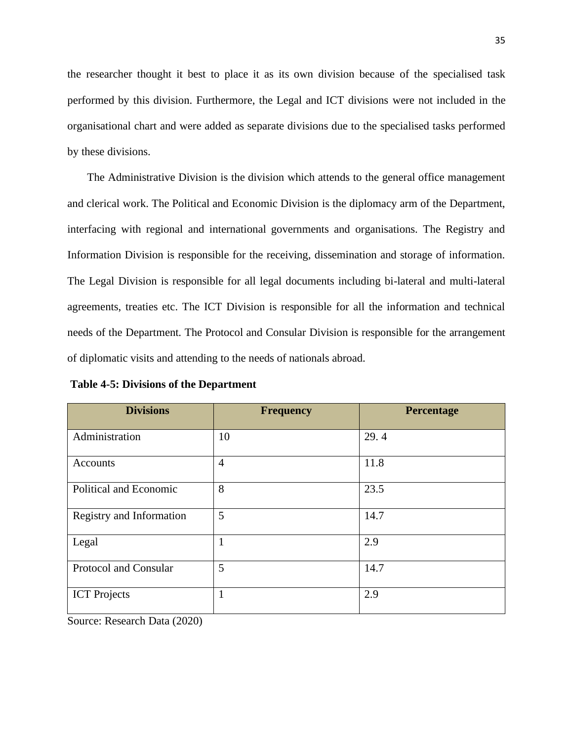the researcher thought it best to place it as its own division because of the specialised task performed by this division. Furthermore, the Legal and ICT divisions were not included in the organisational chart and were added as separate divisions due to the specialised tasks performed by these divisions.

 The Administrative Division is the division which attends to the general office management and clerical work. The Political and Economic Division is the diplomacy arm of the Department, interfacing with regional and international governments and organisations. The Registry and Information Division is responsible for the receiving, dissemination and storage of information. The Legal Division is responsible for all legal documents including bi-lateral and multi-lateral agreements, treaties etc. The ICT Division is responsible for all the information and technical needs of the Department. The Protocol and Consular Division is responsible for the arrangement of diplomatic visits and attending to the needs of nationals abroad.

| <b>Divisions</b>         | <b>Frequency</b> | Percentage |
|--------------------------|------------------|------------|
| Administration           | 10               | 29.4       |
| Accounts                 | $\overline{4}$   | 11.8       |
| Political and Economic   | 8                | 23.5       |
| Registry and Information | 5                | 14.7       |
| Legal                    | 1                | 2.9        |
| Protocol and Consular    | 5                | 14.7       |
| <b>ICT</b> Projects      | $\mathbf{1}$     | 2.9        |

**Table 4-5: Divisions of the Department**

Source: Research Data (2020)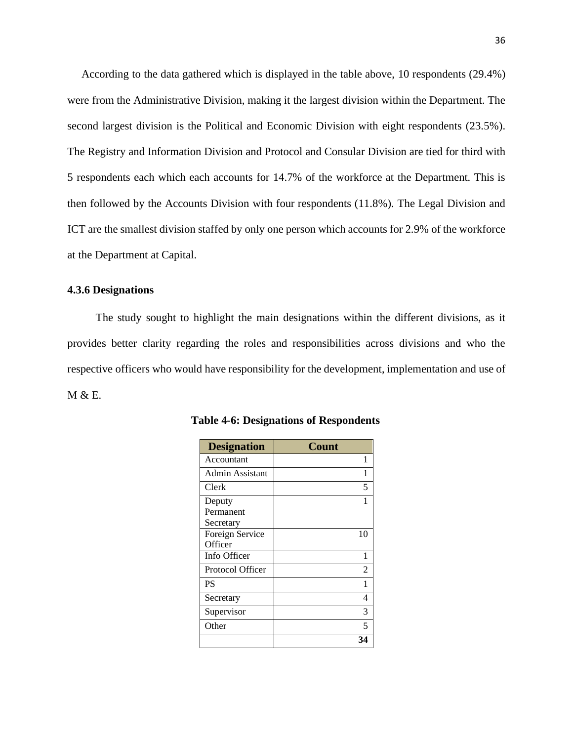According to the data gathered which is displayed in the table above, 10 respondents (29.4%) were from the Administrative Division, making it the largest division within the Department. The second largest division is the Political and Economic Division with eight respondents (23.5%). The Registry and Information Division and Protocol and Consular Division are tied for third with 5 respondents each which each accounts for 14.7% of the workforce at the Department. This is then followed by the Accounts Division with four respondents (11.8%). The Legal Division and ICT are the smallest division staffed by only one person which accounts for 2.9% of the workforce at the Department at Capital.

#### **4.3.6 Designations**

 The study sought to highlight the main designations within the different divisions, as it provides better clarity regarding the roles and responsibilities across divisions and who the respective officers who would have responsibility for the development, implementation and use of M & E.

| <b>Designation</b>               | <b>Count</b>             |
|----------------------------------|--------------------------|
| Accountant                       | 1                        |
| Admin Assistant                  | 1                        |
| Clerk                            | 5                        |
| Deputy<br>Permanent<br>Secretary |                          |
| Foreign Service<br>Officer       | 10                       |
| Info Officer                     | 1                        |
| Protocol Officer                 | 2                        |
| <b>PS</b>                        | 1                        |
| Secretary                        | 4                        |
| Supervisor                       | 3                        |
| Other                            | $\overline{\phantom{0}}$ |
|                                  |                          |

 **Table 4-6: Designations of Respondents**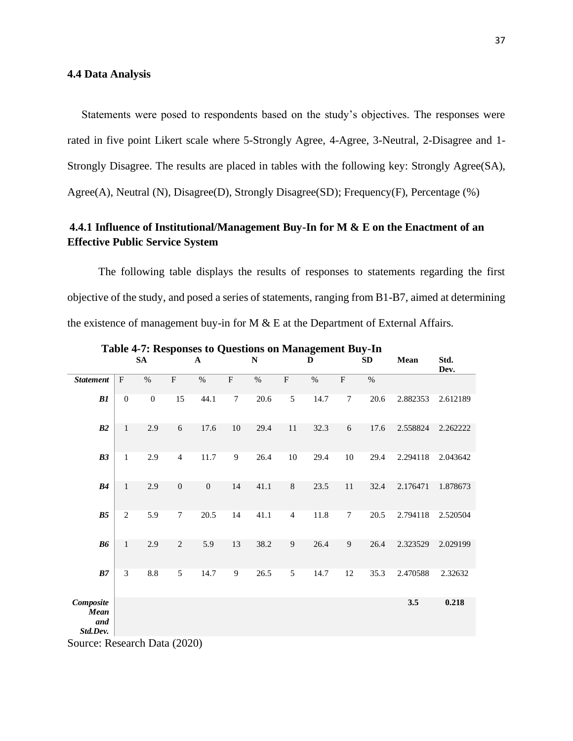#### **4.4 Data Analysis**

Statements were posed to respondents based on the study's objectives. The responses were rated in five point Likert scale where 5-Strongly Agree, 4-Agree, 3-Neutral, 2-Disagree and 1- Strongly Disagree. The results are placed in tables with the following key: Strongly Agree(SA), Agree(A), Neutral (N), Disagree(D), Strongly Disagree(SD); Frequency(F), Percentage (%)

# **4.4.1 Influence of Institutional/Management Buy-In for M & E on the Enactment of an Effective Public Service System**

 The following table displays the results of responses to statements regarding the first objective of the study, and posed a series of statements, ranging from B1-B7, aimed at determining the existence of management buy-in for M & E at the Department of External Affairs.

|                                      |                  | SA               |                           | $\mathbf A$      |                           | $\mathbf N$ |                | D    |                           | SD   | Mean     | Std.<br>Dev. |
|--------------------------------------|------------------|------------------|---------------------------|------------------|---------------------------|-------------|----------------|------|---------------------------|------|----------|--------------|
| <b>Statement</b>                     | $\mathbf{F}$     | $\%$             | $\boldsymbol{\mathrm{F}}$ | $\%$             | $\boldsymbol{\mathrm{F}}$ | $\%$        | $\mathbf F$    | $\%$ | $\boldsymbol{\mathrm{F}}$ | $\%$ |          |              |
| B1                                   | $\boldsymbol{0}$ | $\boldsymbol{0}$ | 15                        | 44.1             | $\tau$                    | 20.6        | 5              | 14.7 | $\tau$                    | 20.6 | 2.882353 | 2.612189     |
| B2                                   | $\mathbf{1}$     | 2.9              | 6                         | 17.6             | 10                        | 29.4        | 11             | 32.3 | 6                         | 17.6 | 2.558824 | 2.262222     |
| B3                                   | $\mathbf{1}$     | 2.9              | $\overline{4}$            | 11.7             | 9                         | 26.4        | $10\,$         | 29.4 | $10\,$                    | 29.4 | 2.294118 | 2.043642     |
| B4                                   | $\mathbf{1}$     | 2.9              | $\mathbf{0}$              | $\boldsymbol{0}$ | 14                        | 41.1        | $\,8\,$        | 23.5 | $11\,$                    | 32.4 | 2.176471 | 1.878673     |
| B <sub>5</sub>                       | $\overline{2}$   | 5.9              | $\tau$                    | 20.5             | 14                        | 41.1        | $\overline{4}$ | 11.8 | $\tau$                    | 20.5 | 2.794118 | 2.520504     |
| B6                                   | $\mathbf{1}$     | 2.9              | $\overline{2}$            | 5.9              | 13                        | 38.2        | 9              | 26.4 | 9                         | 26.4 | 2.323529 | 2.029199     |
| ${\cal B}7$                          | 3                | 8.8              | 5                         | 14.7             | 9                         | 26.5        | 5              | 14.7 | 12                        | 35.3 | 2.470588 | 2.32632      |
| Composite<br>Mean<br>and<br>Std.Dev. |                  |                  |                           |                  |                           |             |                |      |                           |      | 3.5      | 0.218        |
| $\gamma$                             |                  |                  |                           |                  |                           |             |                |      |                           |      |          |              |

**Table 4-7: Responses to Questions on Management Buy-In** 

Source: Research Data (2020)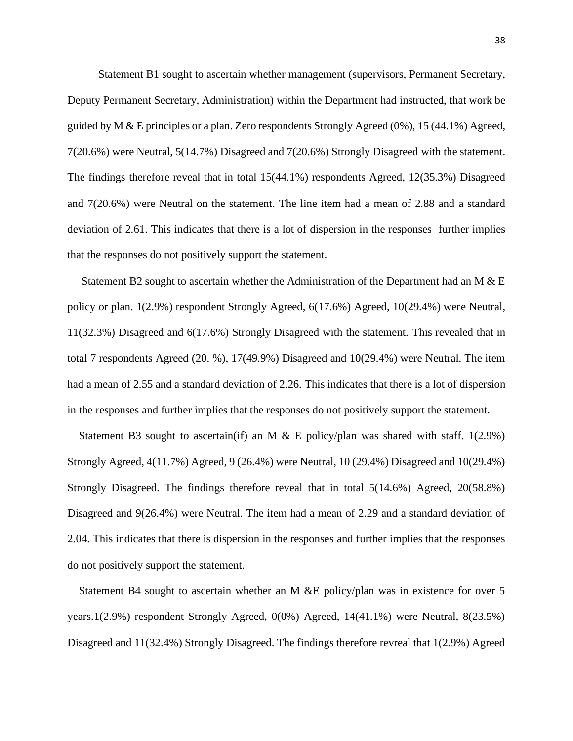Statement B1 sought to ascertain whether management (supervisors, Permanent Secretary, Deputy Permanent Secretary, Administration) within the Department had instructed, that work be guided by M & E principles or a plan. Zero respondents Strongly Agreed  $(0\%)$ , 15 (44.1%) Agreed, 7(20.6%) were Neutral, 5(14.7%) Disagreed and 7(20.6%) Strongly Disagreed with the statement. The findings therefore reveal that in total 15(44.1%) respondents Agreed, 12(35.3%) Disagreed and 7(20.6%) were Neutral on the statement. The line item had a mean of 2.88 and a standard deviation of 2.61. This indicates that there is a lot of dispersion in the responses further implies that the responses do not positively support the statement.

 Statement B2 sought to ascertain whether the Administration of the Department had an M & E policy or plan. 1(2.9%) respondent Strongly Agreed, 6(17.6%) Agreed, 10(29.4%) were Neutral, 11(32.3%) Disagreed and 6(17.6%) Strongly Disagreed with the statement. This revealed that in total 7 respondents Agreed (20. %), 17(49.9%) Disagreed and 10(29.4%) were Neutral. The item had a mean of 2.55 and a standard deviation of 2.26. This indicates that there is a lot of dispersion in the responses and further implies that the responses do not positively support the statement.

Statement B3 sought to ascertain(if) an M  $\&$  E policy/plan was shared with staff. 1(2.9%) Strongly Agreed, 4(11.7%) Agreed, 9 (26.4%) were Neutral, 10 (29.4%) Disagreed and 10(29.4%) Strongly Disagreed. The findings therefore reveal that in total 5(14.6%) Agreed, 20(58.8%) Disagreed and 9(26.4%) were Neutral. The item had a mean of 2.29 and a standard deviation of 2.04. This indicates that there is dispersion in the responses and further implies that the responses do not positively support the statement.

 Statement B4 sought to ascertain whether an M &E policy/plan was in existence for over 5 years.1(2.9%) respondent Strongly Agreed, 0(0%) Agreed, 14(41.1%) were Neutral, 8(23.5%) Disagreed and 11(32.4%) Strongly Disagreed. The findings therefore revreal that 1(2.9%) Agreed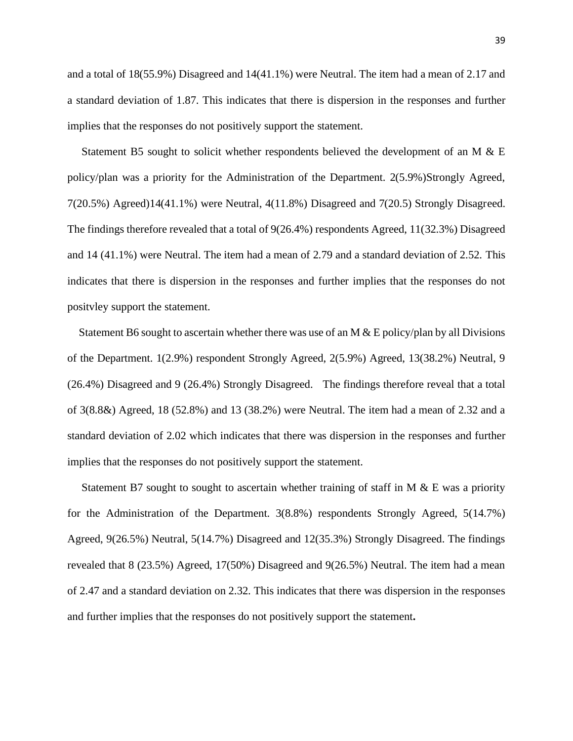and a total of 18(55.9%) Disagreed and 14(41.1%) were Neutral. The item had a mean of 2.17 and a standard deviation of 1.87. This indicates that there is dispersion in the responses and further implies that the responses do not positively support the statement.

Statement B5 sought to solicit whether respondents believed the development of an M  $\&$  E policy/plan was a priority for the Administration of the Department. 2(5.9%)Strongly Agreed, 7(20.5%) Agreed)14(41.1%) were Neutral, 4(11.8%) Disagreed and 7(20.5) Strongly Disagreed. The findings therefore revealed that a total of 9(26.4%) respondents Agreed, 11(32.3%) Disagreed and 14 (41.1%) were Neutral. The item had a mean of 2.79 and a standard deviation of 2.52. This indicates that there is dispersion in the responses and further implies that the responses do not positvley support the statement.

Statement B6 sought to ascertain whether there was use of an M  $\&$  E policy/plan by all Divisions of the Department. 1(2.9%) respondent Strongly Agreed, 2(5.9%) Agreed, 13(38.2%) Neutral, 9 (26.4%) Disagreed and 9 (26.4%) Strongly Disagreed. The findings therefore reveal that a total of 3(8.8&) Agreed, 18 (52.8%) and 13 (38.2%) were Neutral. The item had a mean of 2.32 and a standard deviation of 2.02 which indicates that there was dispersion in the responses and further implies that the responses do not positively support the statement.

 Statement B7 sought to sought to ascertain whether training of staff in M & E was a priority for the Administration of the Department. 3(8.8%) respondents Strongly Agreed, 5(14.7%) Agreed, 9(26.5%) Neutral, 5(14.7%) Disagreed and 12(35.3%) Strongly Disagreed. The findings revealed that 8 (23.5%) Agreed, 17(50%) Disagreed and 9(26.5%) Neutral. The item had a mean of 2.47 and a standard deviation on 2.32. This indicates that there was dispersion in the responses and further implies that the responses do not positively support the statement**.**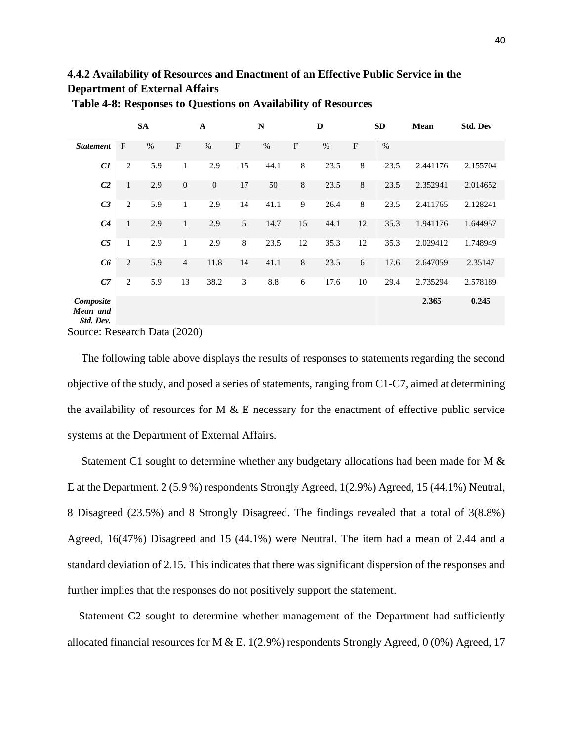# **4.4.2 Availability of Resources and Enactment of an Effective Public Service in the Department of External Affairs**

|                                    |                | <b>SA</b> |                  | $\mathbf A$  |                           | ${\bf N}$<br>D |                           |      | <b>SD</b>   |               | Mean     | <b>Std. Dev</b> |
|------------------------------------|----------------|-----------|------------------|--------------|---------------------------|----------------|---------------------------|------|-------------|---------------|----------|-----------------|
| <b>Statement</b>                   | $\mathbf{F}$   | $\%$      | $\mathbf{F}$     | $\%$         | $\boldsymbol{\mathrm{F}}$ | $\%$           | $\boldsymbol{\mathrm{F}}$ | $\%$ | $\mathbf F$ | $\frac{0}{0}$ |          |                 |
| C1                                 | 2              | 5.9       | $\mathbf{1}$     | 2.9          | 15                        | 44.1           | $\,8\,$                   | 23.5 | $\,8\,$     | 23.5          | 2.441176 | 2.155704        |
| C <sub>2</sub>                     | $\mathbf{1}$   | 2.9       | $\boldsymbol{0}$ | $\mathbf{0}$ | 17                        | 50             | $\,8$                     | 23.5 | 8           | 23.5          | 2.352941 | 2.014652        |
| C <sub>3</sub>                     | 2              | 5.9       | $\mathbf{1}$     | 2.9          | 14                        | 41.1           | 9                         | 26.4 | 8           | 23.5          | 2.411765 | 2.128241        |
| C <sub>4</sub>                     | $\mathbf{1}$   | 2.9       | $\mathbf{1}$     | 2.9          | 5                         | 14.7           | 15                        | 44.1 | 12          | 35.3          | 1.941176 | 1.644957        |
| C5                                 | 1              | 2.9       | $\mathbf{1}$     | 2.9          | $\,8\,$                   | 23.5           | 12                        | 35.3 | 12          | 35.3          | 2.029412 | 1.748949        |
| C6                                 | $\overline{c}$ | 5.9       | $\overline{4}$   | 11.8         | 14                        | 41.1           | $\,8\,$                   | 23.5 | 6           | 17.6          | 2.647059 | 2.35147         |
| C7                                 | $\mathfrak{2}$ | 5.9       | 13               | 38.2         | 3                         | 8.8            | 6                         | 17.6 | 10          | 29.4          | 2.735294 | 2.578189        |
| Composite<br>Mean and<br>Std. Dev. |                |           |                  |              |                           |                |                           |      |             |               | 2.365    | 0.245           |

**Table 4-8: Responses to Questions on Availability of Resources**

Source: Research Data (2020)

 The following table above displays the results of responses to statements regarding the second objective of the study, and posed a series of statements, ranging from C1-C7, aimed at determining the availability of resources for  $M \& E$  necessary for the enactment of effective public service systems at the Department of External Affairs.

 Statement C1 sought to determine whether any budgetary allocations had been made for M & E at the Department. 2 (5.9 %) respondents Strongly Agreed, 1(2.9%) Agreed, 15 (44.1%) Neutral, 8 Disagreed (23.5%) and 8 Strongly Disagreed. The findings revealed that a total of 3(8.8%) Agreed, 16(47%) Disagreed and 15 (44.1%) were Neutral. The item had a mean of 2.44 and a standard deviation of 2.15. This indicates that there was significant dispersion of the responses and further implies that the responses do not positively support the statement.

 Statement C2 sought to determine whether management of the Department had sufficiently allocated financial resources for M & E. 1(2.9%) respondents Strongly Agreed, 0 (0%) Agreed, 17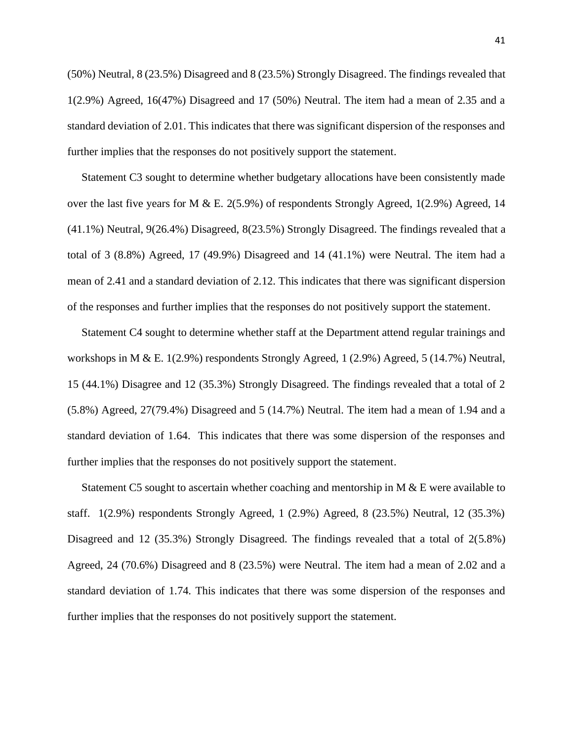(50%) Neutral, 8 (23.5%) Disagreed and 8 (23.5%) Strongly Disagreed. The findings revealed that 1(2.9%) Agreed, 16(47%) Disagreed and 17 (50%) Neutral. The item had a mean of 2.35 and a standard deviation of 2.01. This indicates that there was significant dispersion of the responses and further implies that the responses do not positively support the statement.

 Statement C3 sought to determine whether budgetary allocations have been consistently made over the last five years for M & E. 2(5.9%) of respondents Strongly Agreed, 1(2.9%) Agreed, 14 (41.1%) Neutral, 9(26.4%) Disagreed, 8(23.5%) Strongly Disagreed. The findings revealed that a total of 3 (8.8%) Agreed, 17 (49.9%) Disagreed and 14 (41.1%) were Neutral. The item had a mean of 2.41 and a standard deviation of 2.12. This indicates that there was significant dispersion of the responses and further implies that the responses do not positively support the statement.

 Statement C4 sought to determine whether staff at the Department attend regular trainings and workshops in M & E. 1(2.9%) respondents Strongly Agreed, 1 (2.9%) Agreed, 5 (14.7%) Neutral, 15 (44.1%) Disagree and 12 (35.3%) Strongly Disagreed. The findings revealed that a total of 2 (5.8%) Agreed, 27(79.4%) Disagreed and 5 (14.7%) Neutral. The item had a mean of 1.94 and a standard deviation of 1.64. This indicates that there was some dispersion of the responses and further implies that the responses do not positively support the statement.

 Statement C5 sought to ascertain whether coaching and mentorship in M & E were available to staff. 1(2.9%) respondents Strongly Agreed, 1 (2.9%) Agreed, 8 (23.5%) Neutral, 12 (35.3%) Disagreed and 12 (35.3%) Strongly Disagreed. The findings revealed that a total of 2(5.8%) Agreed, 24 (70.6%) Disagreed and 8 (23.5%) were Neutral. The item had a mean of 2.02 and a standard deviation of 1.74. This indicates that there was some dispersion of the responses and further implies that the responses do not positively support the statement.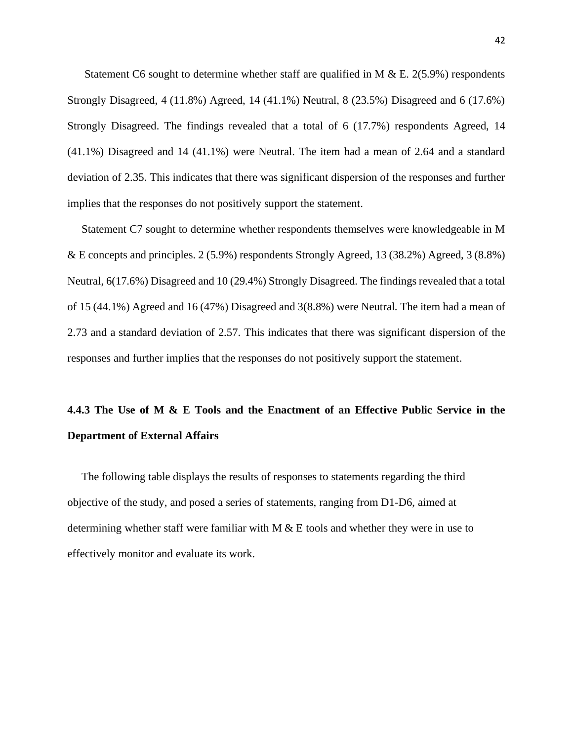Statement C6 sought to determine whether staff are qualified in M & E. 2(5.9%) respondents Strongly Disagreed, 4 (11.8%) Agreed, 14 (41.1%) Neutral, 8 (23.5%) Disagreed and 6 (17.6%) Strongly Disagreed. The findings revealed that a total of 6 (17.7%) respondents Agreed, 14 (41.1%) Disagreed and 14 (41.1%) were Neutral. The item had a mean of 2.64 and a standard deviation of 2.35. This indicates that there was significant dispersion of the responses and further implies that the responses do not positively support the statement.

 Statement C7 sought to determine whether respondents themselves were knowledgeable in M & E concepts and principles. 2 (5.9%) respondents Strongly Agreed, 13 (38.2%) Agreed, 3 (8.8%) Neutral, 6(17.6%) Disagreed and 10 (29.4%) Strongly Disagreed. The findings revealed that a total of 15 (44.1%) Agreed and 16 (47%) Disagreed and 3(8.8%) were Neutral. The item had a mean of 2.73 and a standard deviation of 2.57. This indicates that there was significant dispersion of the responses and further implies that the responses do not positively support the statement.

# **4.4.3 The Use of M & E Tools and the Enactment of an Effective Public Service in the Department of External Affairs**

 The following table displays the results of responses to statements regarding the third objective of the study, and posed a series of statements, ranging from D1-D6, aimed at determining whether staff were familiar with  $M \& E$  tools and whether they were in use to effectively monitor and evaluate its work.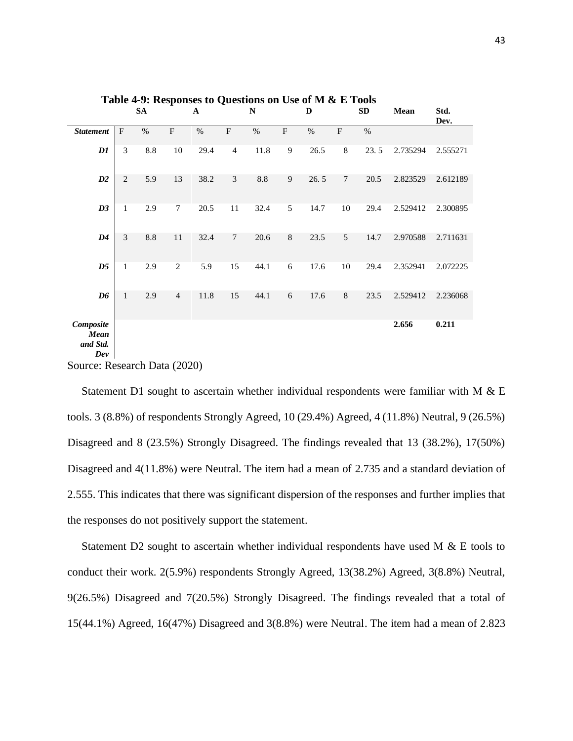|                                      |              | <b>SA</b> |                | $\mathbf A$ |                           | $\mathbf N$ |                           | D    |                           | <b>SD</b> | Mean     | Std.<br>Dev. |
|--------------------------------------|--------------|-----------|----------------|-------------|---------------------------|-------------|---------------------------|------|---------------------------|-----------|----------|--------------|
| <b>Statement</b>                     | $\mathbf{F}$ | $\%$      | $\rm F$        | $\%$        | $\boldsymbol{\mathrm{F}}$ | $\%$        | $\boldsymbol{\mathrm{F}}$ | $\%$ | $\boldsymbol{\mathrm{F}}$ | $\%$      |          |              |
| DI                                   | 3            | 8.8       | 10             | 29.4        | $\overline{4}$            | 11.8        | 9                         | 26.5 | $\,$ 8 $\,$               | 23.5      | 2.735294 | 2.555271     |
| D2                                   | 2            | 5.9       | 13             | 38.2        | 3                         | 8.8         | 9                         | 26.5 | 7                         | 20.5      | 2.823529 | 2.612189     |
| D3                                   | $\mathbf{1}$ | 2.9       | $\tau$         | 20.5        | 11                        | 32.4        | 5                         | 14.7 | 10                        | 29.4      | 2.529412 | 2.300895     |
| D4                                   | 3            | 8.8       | 11             | 32.4        | $\tau$                    | 20.6        | $8\,$                     | 23.5 | 5                         | 14.7      | 2.970588 | 2.711631     |
| D <sub>5</sub>                       | $\mathbf{1}$ | 2.9       | 2              | 5.9         | 15                        | 44.1        | 6                         | 17.6 | 10                        | 29.4      | 2.352941 | 2.072225     |
| D <sub>6</sub>                       | $\mathbf{1}$ | 2.9       | $\overline{4}$ | 11.8        | 15                        | 44.1        | 6                         | 17.6 | 8                         | 23.5      | 2.529412 | 2.236068     |
| Composite<br>Mean<br>and Std.<br>Dev |              |           |                |             |                           |             |                           |      |                           |           | 2.656    | 0.211        |

**Table 4-9: Responses to Questions on Use of M & E Tools**

Source: Research Data (2020)

Statement D1 sought to ascertain whether individual respondents were familiar with M  $\&$  E tools. 3 (8.8%) of respondents Strongly Agreed, 10 (29.4%) Agreed, 4 (11.8%) Neutral, 9 (26.5%) Disagreed and 8 (23.5%) Strongly Disagreed. The findings revealed that 13 (38.2%), 17(50%) Disagreed and 4(11.8%) were Neutral. The item had a mean of 2.735 and a standard deviation of 2.555. This indicates that there was significant dispersion of the responses and further implies that the responses do not positively support the statement.

Statement D2 sought to ascertain whether individual respondents have used M  $\&$  E tools to conduct their work. 2(5.9%) respondents Strongly Agreed, 13(38.2%) Agreed, 3(8.8%) Neutral, 9(26.5%) Disagreed and 7(20.5%) Strongly Disagreed. The findings revealed that a total of 15(44.1%) Agreed, 16(47%) Disagreed and 3(8.8%) were Neutral. The item had a mean of 2.823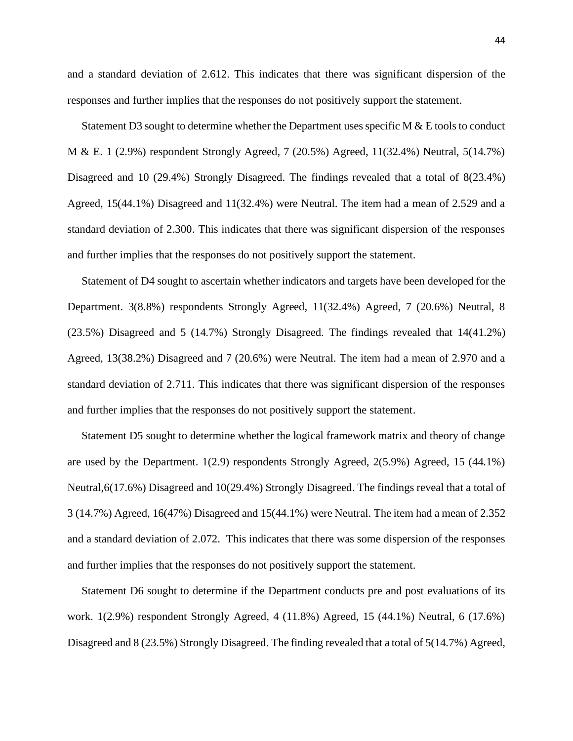and a standard deviation of 2.612. This indicates that there was significant dispersion of the responses and further implies that the responses do not positively support the statement.

Statement D3 sought to determine whether the Department uses specific M  $\&$  E tools to conduct M & E. 1 (2.9%) respondent Strongly Agreed, 7 (20.5%) Agreed, 11(32.4%) Neutral, 5(14.7%) Disagreed and 10 (29.4%) Strongly Disagreed. The findings revealed that a total of 8(23.4%) Agreed, 15(44.1%) Disagreed and 11(32.4%) were Neutral. The item had a mean of 2.529 and a standard deviation of 2.300. This indicates that there was significant dispersion of the responses and further implies that the responses do not positively support the statement.

Statement of D4 sought to ascertain whether indicators and targets have been developed for the Department. 3(8.8%) respondents Strongly Agreed, 11(32.4%) Agreed, 7 (20.6%) Neutral, 8 (23.5%) Disagreed and 5 (14.7%) Strongly Disagreed. The findings revealed that 14(41.2%) Agreed, 13(38.2%) Disagreed and 7 (20.6%) were Neutral. The item had a mean of 2.970 and a standard deviation of 2.711. This indicates that there was significant dispersion of the responses and further implies that the responses do not positively support the statement.

Statement D5 sought to determine whether the logical framework matrix and theory of change are used by the Department. 1(2.9) respondents Strongly Agreed, 2(5.9%) Agreed, 15 (44.1%) Neutral,6(17.6%) Disagreed and 10(29.4%) Strongly Disagreed. The findings reveal that a total of 3 (14.7%) Agreed, 16(47%) Disagreed and 15(44.1%) were Neutral. The item had a mean of 2.352 and a standard deviation of 2.072. This indicates that there was some dispersion of the responses and further implies that the responses do not positively support the statement.

Statement D6 sought to determine if the Department conducts pre and post evaluations of its work. 1(2.9%) respondent Strongly Agreed, 4 (11.8%) Agreed, 15 (44.1%) Neutral, 6 (17.6%) Disagreed and 8 (23.5%) Strongly Disagreed. The finding revealed that a total of 5(14.7%) Agreed,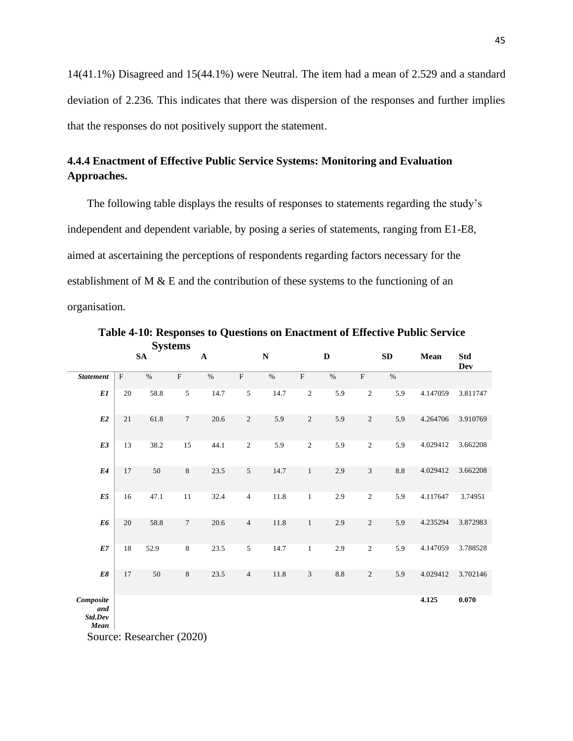14(41.1%) Disagreed and 15(44.1%) were Neutral. The item had a mean of 2.529 and a standard deviation of 2.236. This indicates that there was dispersion of the responses and further implies that the responses do not positively support the statement.

# **4.4.4 Enactment of Effective Public Service Systems: Monitoring and Evaluation Approaches.**

 The following table displays the results of responses to statements regarding the study's independent and dependent variable, by posing a series of statements, ranging from E1-E8, aimed at ascertaining the perceptions of respondents regarding factors necessary for the establishment of M & E and the contribution of these systems to the functioning of an organisation.

|                                     |                           | $v_{\rm J}$ <sub>b</sub><br>${\bf SA}$ |                 | $\mathbf A$ |                | ${\bf N}$       |              | $\mathbf D$     |                         | ${\bf SD}$ | Mean     | <b>Std</b><br>Dev |
|-------------------------------------|---------------------------|----------------------------------------|-----------------|-------------|----------------|-----------------|--------------|-----------------|-------------------------|------------|----------|-------------------|
| <b>Statement</b>                    | $\boldsymbol{\mathrm{F}}$ | $\sqrt{96}$                            | $\overline{F}$  | $\sqrt{96}$ | $\overline{F}$ | $\sqrt[0]{\!0}$ | $\rm F$      | $\sqrt{96}$     | $\overline{\mathrm{F}}$ | $\%$       |          |                   |
| E1                                  | 20                        | 58.8                                   | $\sqrt{5}$      | 14.7        | 5              | 14.7            | $\sqrt{2}$   | 5.9             | $\sqrt{2}$              | 5.9        | 4.147059 | 3.811747          |
| E2                                  | 21                        | 61.8                                   | $\overline{7}$  | 20.6        | $\sqrt{2}$     | 5.9             | $\sqrt{2}$   | 5.9             | $\sqrt{2}$              | 5.9        | 4.264706 | 3.910769          |
| E3                                  | 13                        | 38.2                                   | 15              | 44.1        | $\sqrt{2}$     | 5.9             | $\sqrt{2}$   | 5.9             | $\sqrt{2}$              | 5.9        | 4.029412 | 3.662208          |
| E4                                  | 17                        | 50                                     | $\,8\,$         | 23.5        | $\sqrt{5}$     | 14.7            | $\mathbf{1}$ | 2.9             | 3                       | $8.8\,$    | 4.029412 | 3.662208          |
| E5                                  | 16                        | 47.1                                   | $11\,$          | 32.4        | $\overline{4}$ | $11.8\,$        | $\,1$        | 2.9             | $\sqrt{2}$              | 5.9        | 4.117647 | 3.74951           |
| E6                                  | 20                        | 58.8                                   | $7\phantom{.0}$ | 20.6        | $\overline{4}$ | $11.8\,$        | $\,1$        | 2.9             | $\sqrt{2}$              | 5.9        | 4.235294 | 3.872983          |
| E7                                  | $18\,$                    | 52.9                                   | $\,8\,$         | 23.5        | $\sqrt{5}$     | 14.7            | $\mathbf{1}$ | 2.9             | $\sqrt{2}$              | 5.9        | 4.147059 | 3.788528          |
| $E8$                                | 17                        | 50                                     | $\,8\,$         | 23.5        | $\overline{4}$ | $11.8\,$        | 3            | $\!\!\!\!\!8.8$ | $\overline{c}$          | 5.9        | 4.029412 | 3.702146          |
| Composite<br>and<br>Std.Dev<br>Mean |                           | Source: Researcher (2020)              |                 |             |                |                 |              |                 |                         |            | 4.125    | 0.070             |

 **Table 4-10: Responses to Questions on Enactment of Effective Public Service Systems**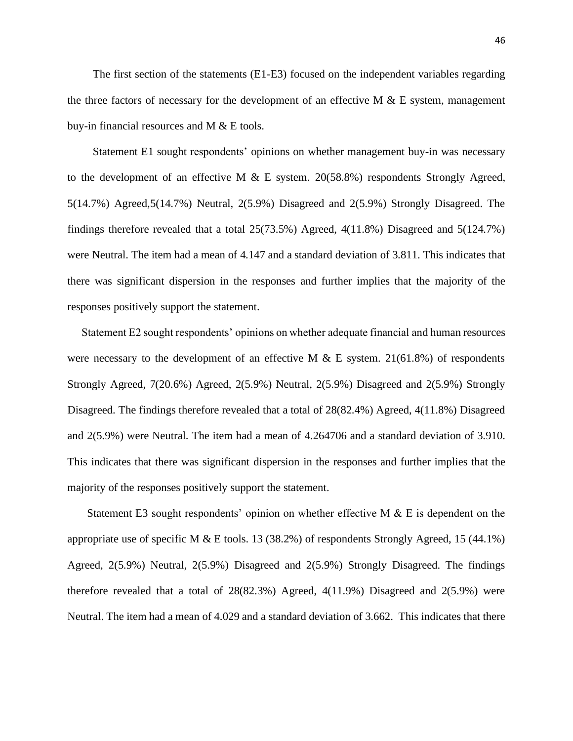The first section of the statements (E1-E3) focused on the independent variables regarding the three factors of necessary for the development of an effective  $M \& E$  system, management buy-in financial resources and M & E tools.

 Statement E1 sought respondents' opinions on whether management buy-in was necessary to the development of an effective M  $\&$  E system. 20(58.8%) respondents Strongly Agreed, 5(14.7%) Agreed,5(14.7%) Neutral, 2(5.9%) Disagreed and 2(5.9%) Strongly Disagreed. The findings therefore revealed that a total 25(73.5%) Agreed, 4(11.8%) Disagreed and 5(124.7%) were Neutral. The item had a mean of 4.147 and a standard deviation of 3.811. This indicates that there was significant dispersion in the responses and further implies that the majority of the responses positively support the statement.

 Statement E2 sought respondents' opinions on whether adequate financial and human resources were necessary to the development of an effective M & E system. 21(61.8%) of respondents Strongly Agreed, 7(20.6%) Agreed, 2(5.9%) Neutral, 2(5.9%) Disagreed and 2(5.9%) Strongly Disagreed. The findings therefore revealed that a total of 28(82.4%) Agreed, 4(11.8%) Disagreed and 2(5.9%) were Neutral. The item had a mean of 4.264706 and a standard deviation of 3.910. This indicates that there was significant dispersion in the responses and further implies that the majority of the responses positively support the statement.

Statement E3 sought respondents' opinion on whether effective M  $\&$  E is dependent on the appropriate use of specific M & E tools. 13 (38.2%) of respondents Strongly Agreed, 15 (44.1%) Agreed, 2(5.9%) Neutral, 2(5.9%) Disagreed and 2(5.9%) Strongly Disagreed. The findings therefore revealed that a total of  $28(82.3%)$  Agreed,  $4(11.9%)$  Disagreed and  $2(5.9%)$  were Neutral. The item had a mean of 4.029 and a standard deviation of 3.662. This indicates that there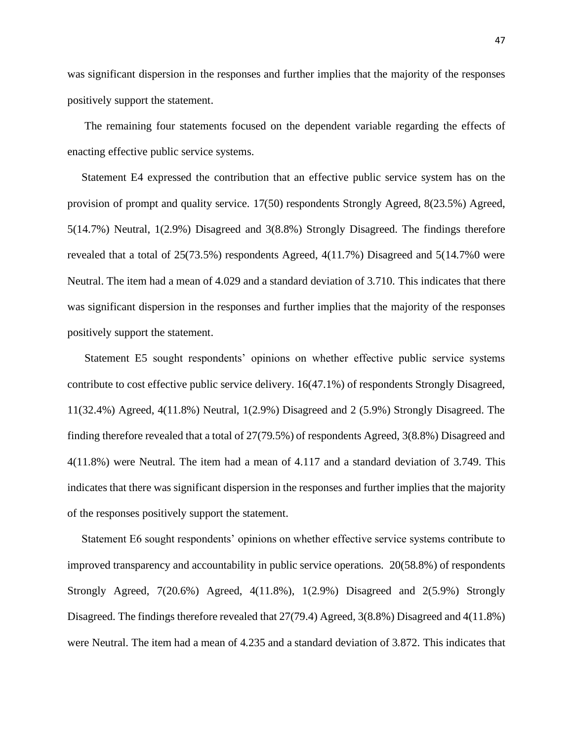was significant dispersion in the responses and further implies that the majority of the responses positively support the statement.

 The remaining four statements focused on the dependent variable regarding the effects of enacting effective public service systems.

 Statement E4 expressed the contribution that an effective public service system has on the provision of prompt and quality service. 17(50) respondents Strongly Agreed, 8(23.5%) Agreed, 5(14.7%) Neutral, 1(2.9%) Disagreed and 3(8.8%) Strongly Disagreed. The findings therefore revealed that a total of 25(73.5%) respondents Agreed, 4(11.7%) Disagreed and 5(14.7%0 were Neutral. The item had a mean of 4.029 and a standard deviation of 3.710. This indicates that there was significant dispersion in the responses and further implies that the majority of the responses positively support the statement.

 Statement E5 sought respondents' opinions on whether effective public service systems contribute to cost effective public service delivery. 16(47.1%) of respondents Strongly Disagreed, 11(32.4%) Agreed, 4(11.8%) Neutral, 1(2.9%) Disagreed and 2 (5.9%) Strongly Disagreed. The finding therefore revealed that a total of 27(79.5%) of respondents Agreed, 3(8.8%) Disagreed and 4(11.8%) were Neutral. The item had a mean of 4.117 and a standard deviation of 3.749. This indicates that there was significant dispersion in the responses and further implies that the majority of the responses positively support the statement.

Statement E6 sought respondents' opinions on whether effective service systems contribute to improved transparency and accountability in public service operations. 20(58.8%) of respondents Strongly Agreed, 7(20.6%) Agreed, 4(11.8%), 1(2.9%) Disagreed and 2(5.9%) Strongly Disagreed. The findings therefore revealed that 27(79.4) Agreed, 3(8.8%) Disagreed and 4(11.8%) were Neutral. The item had a mean of 4.235 and a standard deviation of 3.872. This indicates that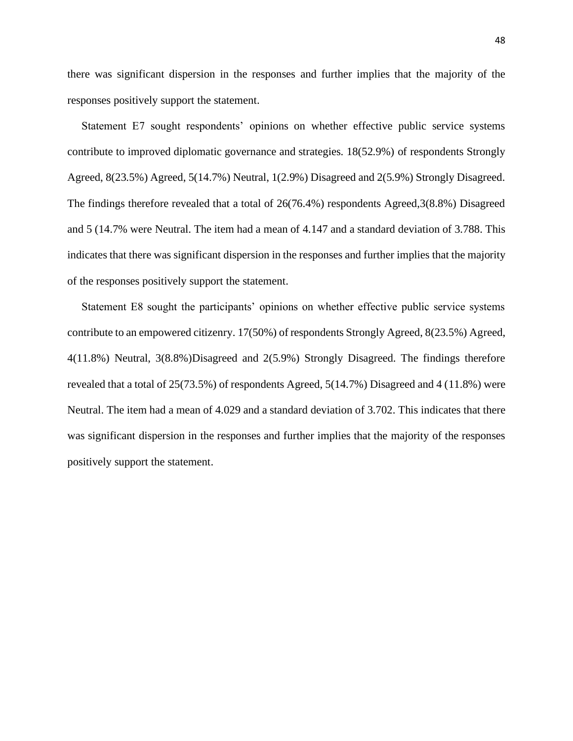there was significant dispersion in the responses and further implies that the majority of the responses positively support the statement.

 Statement E7 sought respondents' opinions on whether effective public service systems contribute to improved diplomatic governance and strategies. 18(52.9%) of respondents Strongly Agreed, 8(23.5%) Agreed, 5(14.7%) Neutral, 1(2.9%) Disagreed and 2(5.9%) Strongly Disagreed. The findings therefore revealed that a total of 26(76.4%) respondents Agreed, 3(8.8%) Disagreed and 5 (14.7% were Neutral. The item had a mean of 4.147 and a standard deviation of 3.788. This indicates that there was significant dispersion in the responses and further implies that the majority of the responses positively support the statement.

Statement E8 sought the participants' opinions on whether effective public service systems contribute to an empowered citizenry. 17(50%) of respondents Strongly Agreed, 8(23.5%) Agreed, 4(11.8%) Neutral, 3(8.8%)Disagreed and 2(5.9%) Strongly Disagreed. The findings therefore revealed that a total of 25(73.5%) of respondents Agreed, 5(14.7%) Disagreed and 4 (11.8%) were Neutral. The item had a mean of 4.029 and a standard deviation of 3.702. This indicates that there was significant dispersion in the responses and further implies that the majority of the responses positively support the statement.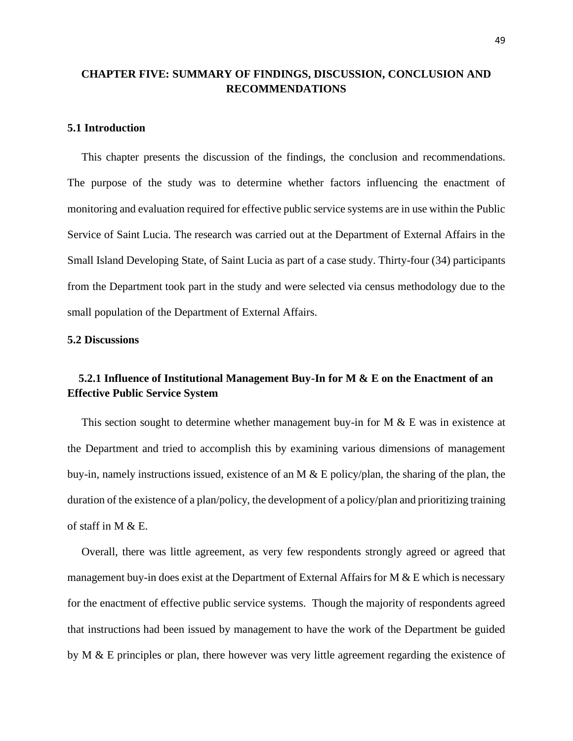## **CHAPTER FIVE: SUMMARY OF FINDINGS, DISCUSSION, CONCLUSION AND RECOMMENDATIONS**

#### **5.1 Introduction**

 This chapter presents the discussion of the findings, the conclusion and recommendations. The purpose of the study was to determine whether factors influencing the enactment of monitoring and evaluation required for effective public service systems are in use within the Public Service of Saint Lucia. The research was carried out at the Department of External Affairs in the Small Island Developing State, of Saint Lucia as part of a case study. Thirty-four (34) participants from the Department took part in the study and were selected via census methodology due to the small population of the Department of External Affairs.

## **5.2 Discussions**

# **5.2.1 Influence of Institutional Management Buy-In for M & E on the Enactment of an Effective Public Service System**

This section sought to determine whether management buy-in for M & E was in existence at the Department and tried to accomplish this by examining various dimensions of management buy-in, namely instructions issued, existence of an M & E policy/plan, the sharing of the plan, the duration of the existence of a plan/policy, the development of a policy/plan and prioritizing training of staff in M & E.

 Overall, there was little agreement, as very few respondents strongly agreed or agreed that management buy-in does exist at the Department of External Affairs for M  $\&$  E which is necessary for the enactment of effective public service systems. Though the majority of respondents agreed that instructions had been issued by management to have the work of the Department be guided by M & E principles or plan, there however was very little agreement regarding the existence of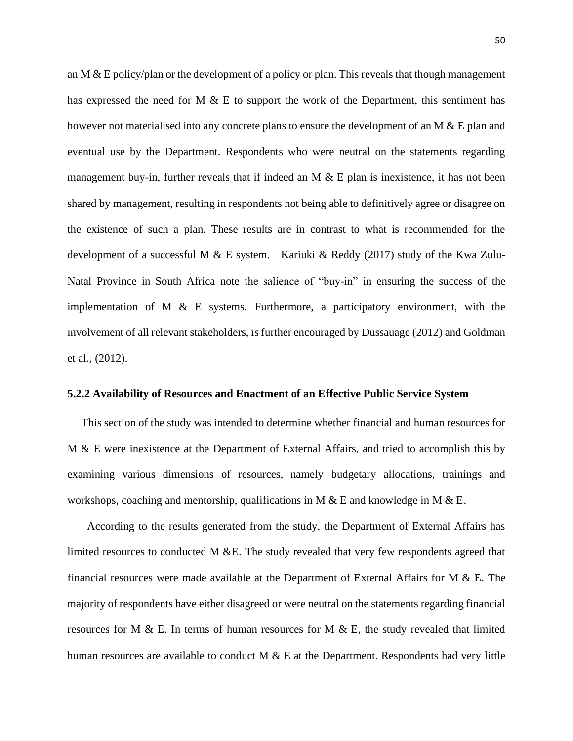an M  $\&$  E policy/plan or the development of a policy or plan. This reveals that though management has expressed the need for M  $\&$  E to support the work of the Department, this sentiment has however not materialised into any concrete plans to ensure the development of an M & E plan and eventual use by the Department. Respondents who were neutral on the statements regarding management buy-in, further reveals that if indeed an M  $\&$  E plan is inexistence, it has not been shared by management, resulting in respondents not being able to definitively agree or disagree on the existence of such a plan. These results are in contrast to what is recommended for the development of a successful M & E system. Kariuki & Reddy (2017) study of the Kwa Zulu-Natal Province in South Africa note the salience of "buy-in" in ensuring the success of the implementation of M  $\&$  E systems. Furthermore, a participatory environment, with the involvement of all relevant stakeholders, is further encouraged by Dussauage (2012) and Goldman et al., (2012).

#### **5.2.2 Availability of Resources and Enactment of an Effective Public Service System**

 This section of the study was intended to determine whether financial and human resources for M & E were inexistence at the Department of External Affairs, and tried to accomplish this by examining various dimensions of resources, namely budgetary allocations, trainings and workshops, coaching and mentorship, qualifications in M  $\&$  E and knowledge in M  $\&$  E.

 According to the results generated from the study, the Department of External Affairs has limited resources to conducted M &E. The study revealed that very few respondents agreed that financial resources were made available at the Department of External Affairs for M  $\&$  E. The majority of respondents have either disagreed or were neutral on the statements regarding financial resources for M & E. In terms of human resources for M  $\&$  E, the study revealed that limited human resources are available to conduct M  $\&$  E at the Department. Respondents had very little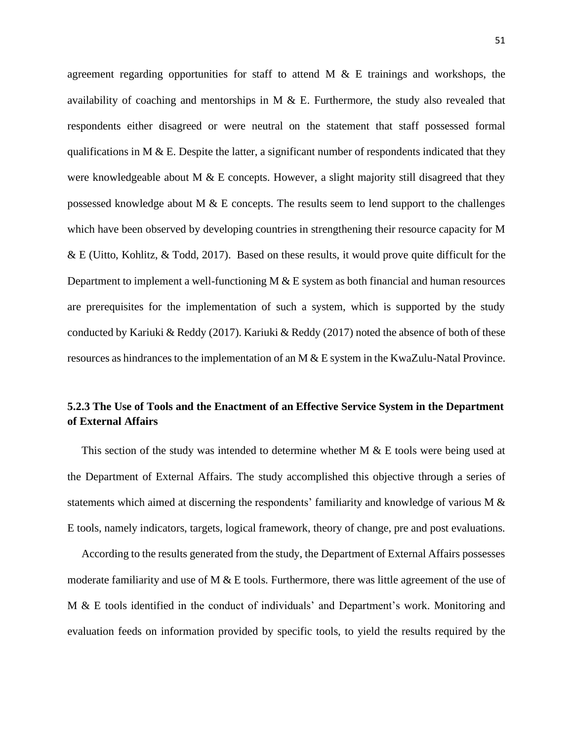agreement regarding opportunities for staff to attend M  $\&$  E trainings and workshops, the availability of coaching and mentorships in M  $\&$  E. Furthermore, the study also revealed that respondents either disagreed or were neutral on the statement that staff possessed formal qualifications in M  $\&$  E. Despite the latter, a significant number of respondents indicated that they were knowledgeable about M  $\&$  E concepts. However, a slight majority still disagreed that they possessed knowledge about M & E concepts. The results seem to lend support to the challenges which have been observed by developing countries in strengthening their resource capacity for M & E (Uitto, Kohlitz, & Todd, 2017). Based on these results, it would prove quite difficult for the Department to implement a well-functioning M & E system as both financial and human resources are prerequisites for the implementation of such a system, which is supported by the study conducted by Kariuki & Reddy (2017). Kariuki & Reddy (2017) noted the absence of both of these resources as hindrances to the implementation of an M & E system in the KwaZulu-Natal Province.

# **5.2.3 The Use of Tools and the Enactment of an Effective Service System in the Department of External Affairs**

 This section of the study was intended to determine whether M & E tools were being used at the Department of External Affairs. The study accomplished this objective through a series of statements which aimed at discerning the respondents' familiarity and knowledge of various M & E tools, namely indicators, targets, logical framework, theory of change, pre and post evaluations.

 According to the results generated from the study, the Department of External Affairs possesses moderate familiarity and use of M & E tools. Furthermore, there was little agreement of the use of M & E tools identified in the conduct of individuals' and Department's work. Monitoring and evaluation feeds on information provided by specific tools, to yield the results required by the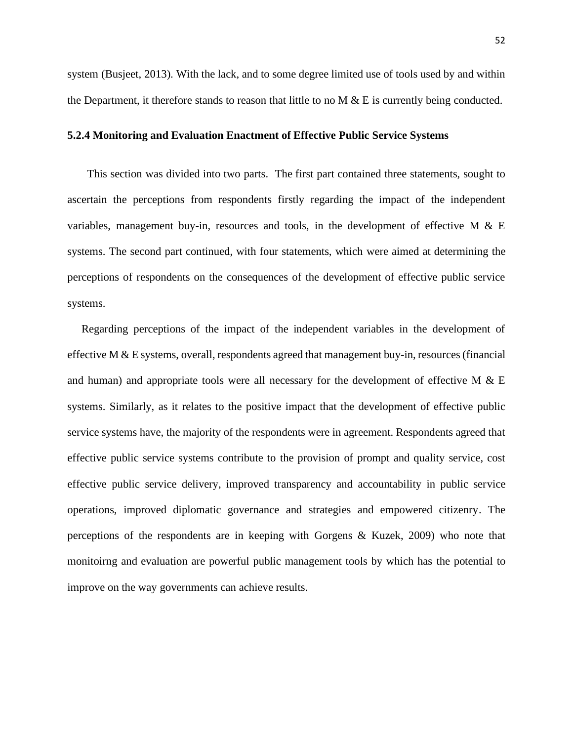system (Busjeet, 2013). With the lack, and to some degree limited use of tools used by and within the Department, it therefore stands to reason that little to no  $M \& E$  is currently being conducted.

#### **5.2.4 Monitoring and Evaluation Enactment of Effective Public Service Systems**

 This section was divided into two parts. The first part contained three statements, sought to ascertain the perceptions from respondents firstly regarding the impact of the independent variables, management buy-in, resources and tools, in the development of effective M  $\&$  E systems. The second part continued, with four statements, which were aimed at determining the perceptions of respondents on the consequences of the development of effective public service systems.

 Regarding perceptions of the impact of the independent variables in the development of effective M  $&$  E systems, overall, respondents agreed that management buy-in, resources (financial and human) and appropriate tools were all necessary for the development of effective M  $\&$  E systems. Similarly, as it relates to the positive impact that the development of effective public service systems have, the majority of the respondents were in agreement. Respondents agreed that effective public service systems contribute to the provision of prompt and quality service, cost effective public service delivery, improved transparency and accountability in public service operations, improved diplomatic governance and strategies and empowered citizenry. The perceptions of the respondents are in keeping with Gorgens & Kuzek, 2009) who note that monitoirng and evaluation are powerful public management tools by which has the potential to improve on the way governments can achieve results.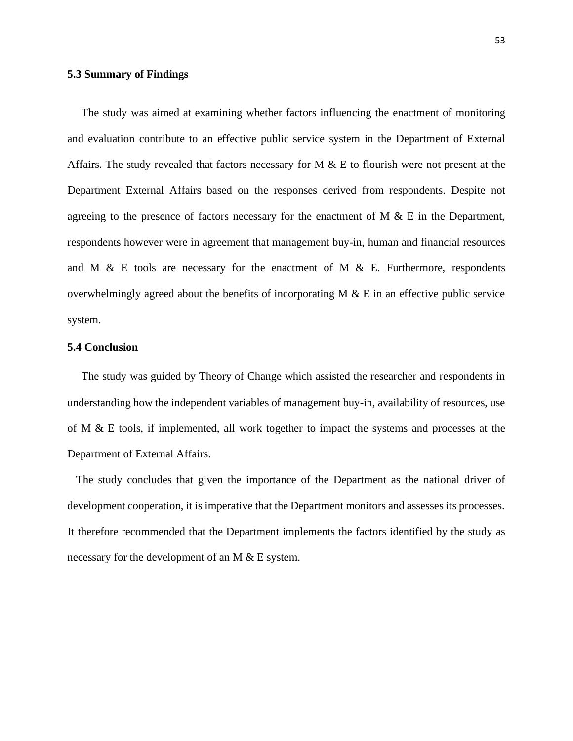#### **5.3 Summary of Findings**

The study was aimed at examining whether factors influencing the enactment of monitoring and evaluation contribute to an effective public service system in the Department of External Affairs. The study revealed that factors necessary for M & E to flourish were not present at the Department External Affairs based on the responses derived from respondents. Despite not agreeing to the presence of factors necessary for the enactment of M  $\&$  E in the Department, respondents however were in agreement that management buy-in, human and financial resources and M & E tools are necessary for the enactment of M & E. Furthermore, respondents overwhelmingly agreed about the benefits of incorporating  $M \& E$  in an effective public service system.

### **5.4 Conclusion**

 The study was guided by Theory of Change which assisted the researcher and respondents in understanding how the independent variables of management buy-in, availability of resources, use of M & E tools, if implemented, all work together to impact the systems and processes at the Department of External Affairs.

 The study concludes that given the importance of the Department as the national driver of development cooperation, it is imperative that the Department monitors and assesses its processes. It therefore recommended that the Department implements the factors identified by the study as necessary for the development of an M & E system.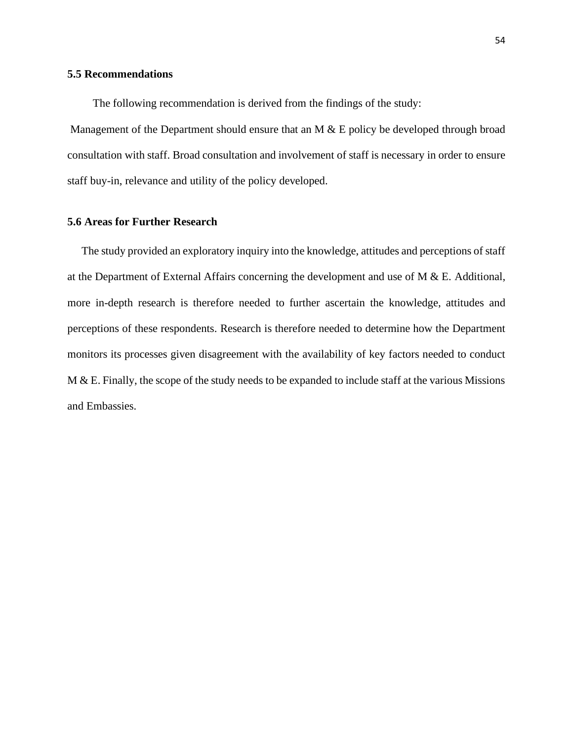#### **5.5 Recommendations**

The following recommendation is derived from the findings of the study:

Management of the Department should ensure that an M & E policy be developed through broad consultation with staff. Broad consultation and involvement of staff is necessary in order to ensure staff buy-in, relevance and utility of the policy developed.

### **5.6 Areas for Further Research**

The study provided an exploratory inquiry into the knowledge, attitudes and perceptions of staff at the Department of External Affairs concerning the development and use of M & E. Additional, more in-depth research is therefore needed to further ascertain the knowledge, attitudes and perceptions of these respondents. Research is therefore needed to determine how the Department monitors its processes given disagreement with the availability of key factors needed to conduct M & E. Finally, the scope of the study needs to be expanded to include staff at the various Missions and Embassies.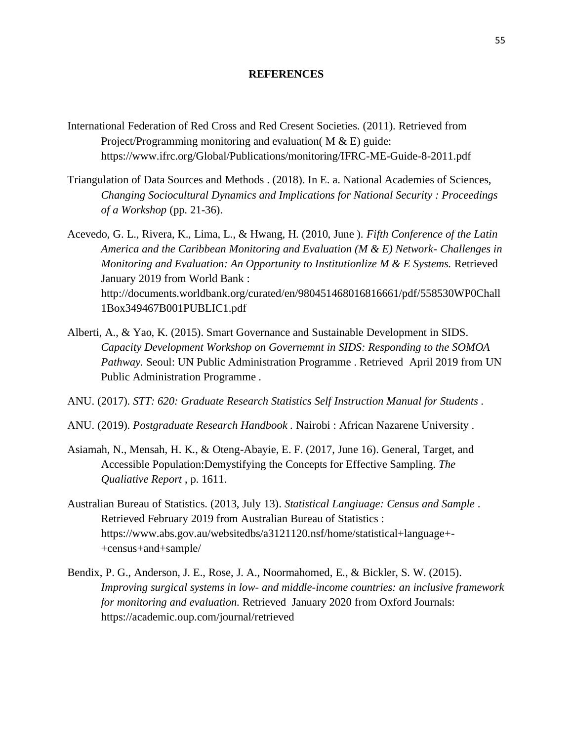#### **REFERENCES**

- International Federation of Red Cross and Red Cresent Societies. (2011). Retrieved from Project/Programming monitoring and evaluation( $M & E$ ) guide: https://www.ifrc.org/Global/Publications/monitoring/IFRC-ME-Guide-8-2011.pdf
- Triangulation of Data Sources and Methods . (2018). In E. a. National Academies of Sciences, *Changing Sociocultural Dynamics and Implications for National Security : Proceedings of a Workshop* (pp. 21-36).
- Acevedo, G. L., Rivera, K., Lima, L., & Hwang, H. (2010, June ). *Fifth Conference of the Latin America and the Caribbean Monitoring and Evaluation (M & E) Network- Challenges in Monitoring and Evaluation: An Opportunity to Institutionlize M & E Systems.* Retrieved January 2019 from World Bank : http://documents.worldbank.org/curated/en/980451468016816661/pdf/558530WP0Chall 1Box349467B001PUBLIC1.pdf
- Alberti, A., & Yao, K. (2015). Smart Governance and Sustainable Development in SIDS. *Capacity Development Workshop on Governemnt in SIDS: Responding to the SOMOA Pathway.* Seoul: UN Public Administration Programme . Retrieved April 2019 from UN Public Administration Programme .
- ANU. (2017). *STT: 620: Graduate Research Statistics Self Instruction Manual for Students .*
- ANU. (2019). *Postgraduate Research Handbook .* Nairobi : African Nazarene University .
- Asiamah, N., Mensah, H. K., & Oteng-Abayie, E. F. (2017, June 16). General, Target, and Accessible Population:Demystifying the Concepts for Effective Sampling. *The Qualiative Report* , p. 1611.
- Australian Bureau of Statistics. (2013, July 13). *Statistical Langiuage: Census and Sample* . Retrieved February 2019 from Australian Bureau of Statistics : https://www.abs.gov.au/websitedbs/a3121120.nsf/home/statistical+language+- +census+and+sample/
- Bendix, P. G., Anderson, J. E., Rose, J. A., Noormahomed, E., & Bickler, S. W. (2015). *Improving surgical systems in low- and middle-income countries: an inclusive framework for monitoring and evaluation.* Retrieved January 2020 from Oxford Journals: https://academic.oup.com/journal/retrieved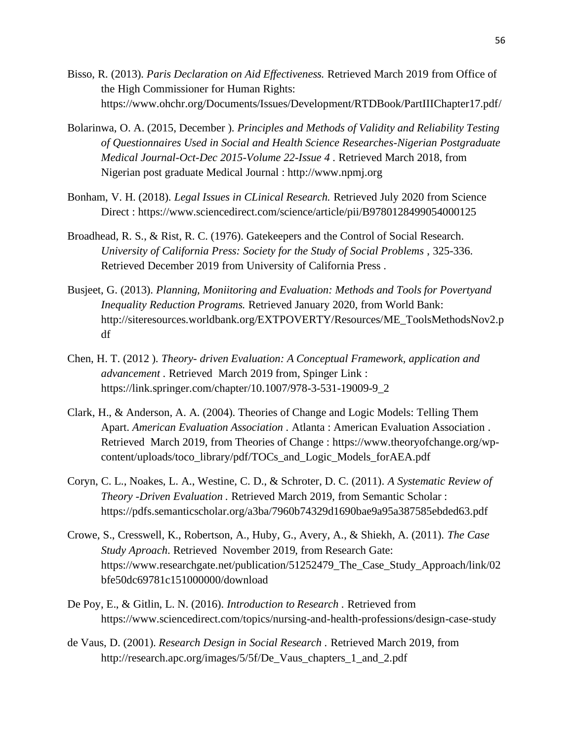- Bisso, R. (2013). *Paris Declaration on Aid Effectiveness.* Retrieved March 2019 from Office of the High Commissioner for Human Rights: https://www.ohchr.org/Documents/Issues/Development/RTDBook/PartIIIChapter17.pdf/
- Bolarinwa, O. A. (2015, December ). *Principles and Methods of Validity and Reliability Testing of Questionnaires Used in Social and Health Science Researches-Nigerian Postgraduate Medical Journal-Oct-Dec 2015-Volume 22-Issue 4 .* Retrieved March 2018, from Nigerian post graduate Medical Journal : http://www.npmj.org
- Bonham, V. H. (2018). *Legal Issues in CLinical Research.* Retrieved July 2020 from Science Direct : https://www.sciencedirect.com/science/article/pii/B9780128499054000125
- Broadhead, R. S., & Rist, R. C. (1976). Gatekeepers and the Control of Social Research. *University of California Press: Society for the Study of Social Problems* , 325-336. Retrieved December 2019 from University of California Press .
- Busjeet, G. (2013). *Planning, Moniitoring and Evaluation: Methods and Tools for Povertyand Inequality Reduction Programs.* Retrieved January 2020, from World Bank: http://siteresources.worldbank.org/EXTPOVERTY/Resources/ME\_ToolsMethodsNov2.p df
- Chen, H. T. (2012 ). *Theory- driven Evaluation: A Conceptual Framework, application and advancement .* Retrieved March 2019 from, Spinger Link : https://link.springer.com/chapter/10.1007/978-3-531-19009-9\_2
- Clark, H., & Anderson, A. A. (2004). Theories of Change and Logic Models: Telling Them Apart. *American Evaluation Association .* Atlanta : American Evaluation Association . Retrieved March 2019, from Theories of Change : https://www.theoryofchange.org/wpcontent/uploads/toco\_library/pdf/TOCs\_and\_Logic\_Models\_forAEA.pdf
- Coryn, C. L., Noakes, L. A., Westine, C. D., & Schroter, D. C. (2011). *A Systematic Review of Theory -Driven Evaluation .* Retrieved March 2019, from Semantic Scholar : https://pdfs.semanticscholar.org/a3ba/7960b74329d1690bae9a95a387585ebded63.pdf
- Crowe, S., Cresswell, K., Robertson, A., Huby, G., Avery, A., & Shiekh, A. (2011). *The Case Study Aproach*. Retrieved November 2019, from Research Gate: https://www.researchgate.net/publication/51252479\_The\_Case\_Study\_Approach/link/02 bfe50dc69781c151000000/download
- De Poy, E., & Gitlin, L. N. (2016). *Introduction to Research .* Retrieved from https://www.sciencedirect.com/topics/nursing-and-health-professions/design-case-study
- de Vaus, D. (2001). *Research Design in Social Research .* Retrieved March 2019, from http://research.apc.org/images/5/5f/De\_Vaus\_chapters\_1\_and\_2.pdf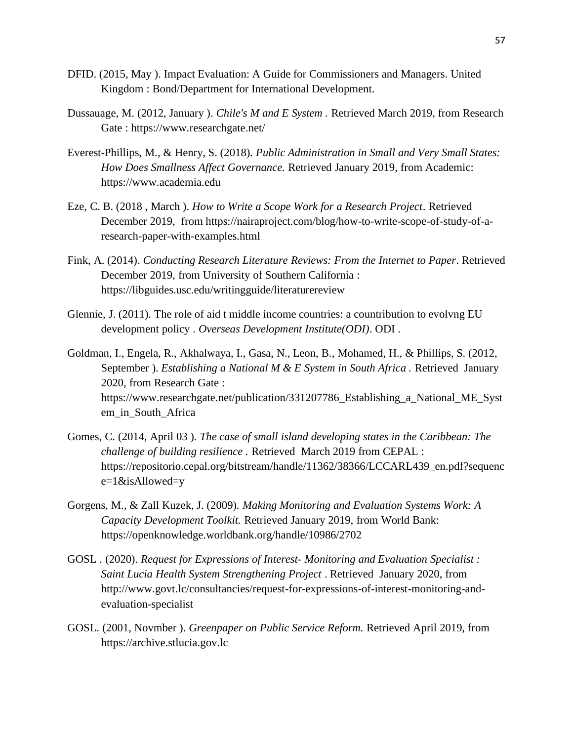- DFID. (2015, May ). Impact Evaluation: A Guide for Commissioners and Managers. United Kingdom : Bond/Department for International Development.
- Dussauage, M. (2012, January ). *Chile's M and E System .* Retrieved March 2019, from Research Gate : https://www.researchgate.net/
- Everest-Phillips, M., & Henry, S. (2018). *Public Administration in Small and Very Small States: How Does Smallness Affect Governance.* Retrieved January 2019, from Academic: https://www.academia.edu
- Eze, C. B. (2018 , March ). *How to Write a Scope Work for a Research Project*. Retrieved December 2019, from https://nairaproject.com/blog/how-to-write-scope-of-study-of-aresearch-paper-with-examples.html
- Fink, A. (2014). *Conducting Research Literature Reviews: From the Internet to Paper*. Retrieved December 2019, from University of Southern California : https://libguides.usc.edu/writingguide/literaturereview
- Glennie, J. (2011). The role of aid t middle income countries: a countribution to evolvng EU development policy . *Overseas Development Institute(ODI)*. ODI .
- Goldman, I., Engela, R., Akhalwaya, I., Gasa, N., Leon, B., Mohamed, H., & Phillips, S. (2012, September ). *Establishing a National M & E System in South Africa .* Retrieved January 2020, from Research Gate : https://www.researchgate.net/publication/331207786\_Establishing\_a\_National\_ME\_Syst em\_in\_South\_Africa
- Gomes, C. (2014, April 03 ). *The case of small island developing states in the Caribbean: The challenge of building resilience .* Retrieved March 2019 from CEPAL : https://repositorio.cepal.org/bitstream/handle/11362/38366/LCCARL439\_en.pdf?sequenc e=1&isAllowed=y
- Gorgens, M., & Zall Kuzek, J. (2009). *Making Monitoring and Evaluation Systems Work: A Capacity Development Toolkit.* Retrieved January 2019, from World Bank: https://openknowledge.worldbank.org/handle/10986/2702
- GOSL . (2020). *Request for Expressions of Interest- Monitoring and Evaluation Specialist : Saint Lucia Health System Strengthening Project* . Retrieved January 2020, from http://www.govt.lc/consultancies/request-for-expressions-of-interest-monitoring-andevaluation-specialist
- GOSL. (2001, Novmber ). *Greenpaper on Public Service Reform.* Retrieved April 2019, from https://archive.stlucia.gov.lc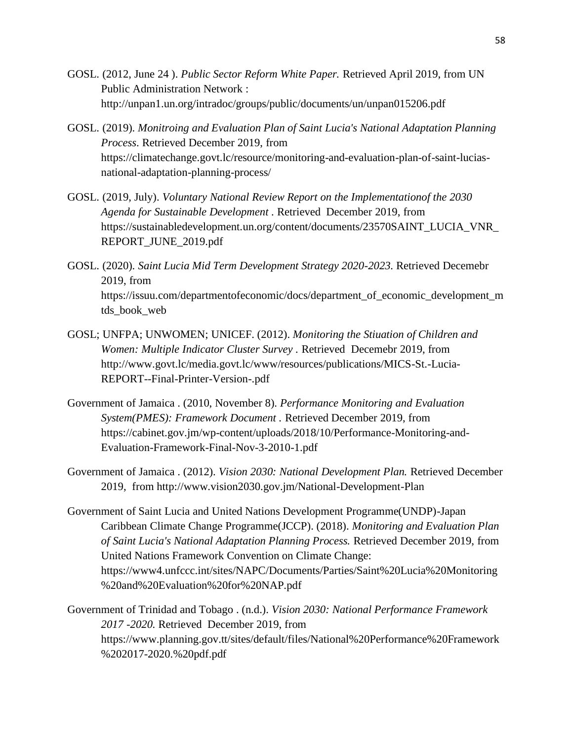- GOSL. (2012, June 24 ). *Public Sector Reform White Paper.* Retrieved April 2019, from UN Public Administration Network : http://unpan1.un.org/intradoc/groups/public/documents/un/unpan015206.pdf
- GOSL. (2019). *Monitroing and Evaluation Plan of Saint Lucia's National Adaptation Planning Process*. Retrieved December 2019, from https://climatechange.govt.lc/resource/monitoring-and-evaluation-plan-of-saint-luciasnational-adaptation-planning-process/
- GOSL. (2019, July). *Voluntary National Review Report on the Implementationof the 2030 Agenda for Sustainable Development .* Retrieved December 2019, from https://sustainabledevelopment.un.org/content/documents/23570SAINT\_LUCIA\_VNR\_ REPORT\_JUNE\_2019.pdf
- GOSL. (2020). *Saint Lucia Mid Term Development Strategy 2020-2023.* Retrieved Decemebr 2019, from https://issuu.com/departmentofeconomic/docs/department\_of\_economic\_development\_m tds book web
- GOSL; UNFPA; UNWOMEN; UNICEF. (2012). *Monitoring the Stiuation of Children and Women: Multiple Indicator Cluster Survey .* Retrieved Decemebr 2019, from http://www.govt.lc/media.govt.lc/www/resources/publications/MICS-St.-Lucia-REPORT--Final-Printer-Version-.pdf
- Government of Jamaica . (2010, November 8). *Performance Monitoring and Evaluation System(PMES): Framework Document .* Retrieved December 2019, from https://cabinet.gov.jm/wp-content/uploads/2018/10/Performance-Monitoring-and-Evaluation-Framework-Final-Nov-3-2010-1.pdf
- Government of Jamaica . (2012). *Vision 2030: National Development Plan.* Retrieved December 2019, from http://www.vision2030.gov.jm/National-Development-Plan
- Government of Saint Lucia and United Nations Development Programme(UNDP)-Japan Caribbean Climate Change Programme(JCCP). (2018). *Monitoring and Evaluation Plan of Saint Lucia's National Adaptation Planning Process.* Retrieved December 2019, from United Nations Framework Convention on Climate Change: https://www4.unfccc.int/sites/NAPC/Documents/Parties/Saint%20Lucia%20Monitoring %20and%20Evaluation%20for%20NAP.pdf
- Government of Trinidad and Tobago . (n.d.). *Vision 2030: National Performance Framework 2017 -2020.* Retrieved December 2019, from https://www.planning.gov.tt/sites/default/files/National%20Performance%20Framework %202017-2020.%20pdf.pdf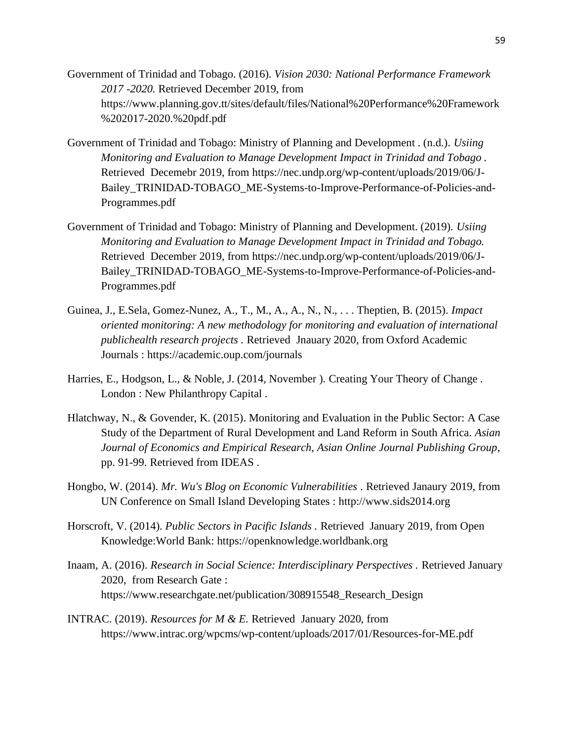- Government of Trinidad and Tobago. (2016). *Vision 2030: National Performance Framework 2017 -2020.* Retrieved December 2019, from https://www.planning.gov.tt/sites/default/files/National%20Performance%20Framework %202017-2020.%20pdf.pdf
- Government of Trinidad and Tobago: Ministry of Planning and Development . (n.d.). *Usiing Monitoring and Evaluation to Manage Development Impact in Trinidad and Tobago .* Retrieved Decemebr 2019, from https://nec.undp.org/wp-content/uploads/2019/06/J-Bailey\_TRINIDAD-TOBAGO\_ME-Systems-to-Improve-Performance-of-Policies-and-Programmes.pdf
- Government of Trinidad and Tobago: Ministry of Planning and Development. (2019). *Usiing Monitoring and Evaluation to Manage Development Impact in Trinidad and Tobago.* Retrieved December 2019, from https://nec.undp.org/wp-content/uploads/2019/06/J-Bailey\_TRINIDAD-TOBAGO\_ME-Systems-to-Improve-Performance-of-Policies-and-Programmes.pdf
- Guinea, J., E.Sela, Gomez-Nunez, A., T., M., A., A., N., N., . . . Theptien, B. (2015). *Impact oriented monitoring: A new methodology for monitoring and evaluation of international publichealth research projects .* Retrieved Jnauary 2020, from Oxford Academic Journals : https://academic.oup.com/journals
- Harries, E., Hodgson, L., & Noble, J. (2014, November ). Creating Your Theory of Change . London : New Philanthropy Capital .
- Hlatchway, N., & Govender, K. (2015). Monitoring and Evaluation in the Public Sector: A Case Study of the Department of Rural Development and Land Reform in South Africa. *Asian Journal of Economics and Empirical Research, Asian Online Journal Publishing Group*, pp. 91-99. Retrieved from IDEAS .
- Hongbo, W. (2014). *Mr. Wu's Blog on Economic Vulnerabilities* . Retrieved Janaury 2019, from UN Conference on Small Island Developing States : http://www.sids2014.org
- Horscroft, V. (2014). *Public Sectors in Pacific Islands .* Retrieved January 2019, from Open Knowledge:World Bank: https://openknowledge.worldbank.org
- Inaam, A. (2016). *Research in Social Science: Interdisciplinary Perspectives .* Retrieved January 2020, from Research Gate : https://www.researchgate.net/publication/308915548\_Research\_Design
- INTRAC. (2019). *Resources for M & E.* Retrieved January 2020, from https://www.intrac.org/wpcms/wp-content/uploads/2017/01/Resources-for-ME.pdf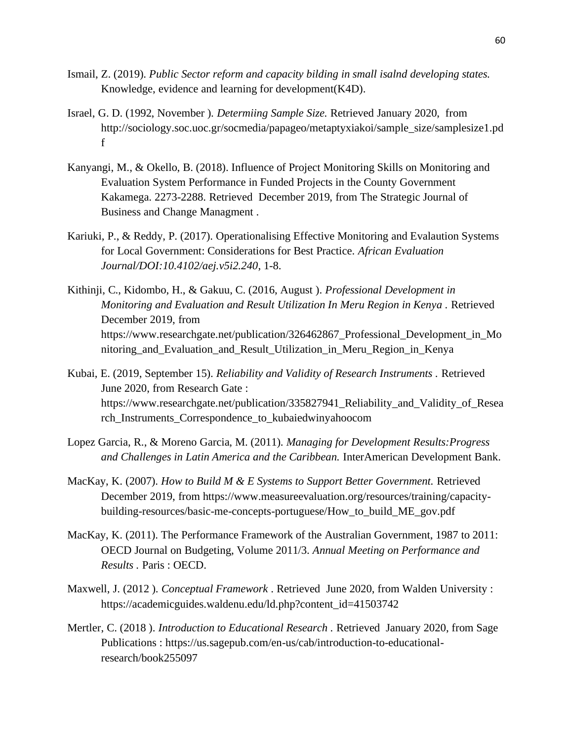- Ismail, Z. (2019). *Public Sector reform and capacity bilding in small isalnd developing states.* Knowledge, evidence and learning for development(K4D).
- Israel, G. D. (1992, November ). *Determiing Sample Size.* Retrieved January 2020, from http://sociology.soc.uoc.gr/socmedia/papageo/metaptyxiakoi/sample\_size/samplesize1.pd f
- Kanyangi, M., & Okello, B. (2018). Influence of Project Monitoring Skills on Monitoring and Evaluation System Performance in Funded Projects in the County Government Kakamega. 2273-2288. Retrieved December 2019, from The Strategic Journal of Business and Change Managment .
- Kariuki, P., & Reddy, P. (2017). Operationalising Effective Monitoring and Evalaution Systems for Local Government: Considerations for Best Practice. *African Evaluation Journal/DOI:10.4102/aej.v5i2.240*, 1-8.
- Kithinji, C., Kidombo, H., & Gakuu, C. (2016, August ). *Professional Development in Monitoring and Evaluation and Result Utilization In Meru Region in Kenya .* Retrieved December 2019, from https://www.researchgate.net/publication/326462867\_Professional\_Development\_in\_Mo nitoring\_and\_Evaluation\_and\_Result\_Utilization\_in\_Meru\_Region\_in\_Kenya
- Kubai, E. (2019, September 15). *Reliability and Validity of Research Instruments .* Retrieved June 2020, from Research Gate : https://www.researchgate.net/publication/335827941\_Reliability\_and\_Validity\_of\_Resea rch\_Instruments\_Correspondence\_to\_kubaiedwinyahoocom
- Lopez Garcia, R., & Moreno Garcia, M. (2011). *Managing for Development Results:Progress and Challenges in Latin America and the Caribbean.* InterAmerican Development Bank.
- MacKay, K. (2007). *How to Build M & E Systems to Support Better Government.* Retrieved December 2019, from https://www.measureevaluation.org/resources/training/capacitybuilding-resources/basic-me-concepts-portuguese/How\_to\_build\_ME\_gov.pdf
- MacKay, K. (2011). The Performance Framework of the Australian Government, 1987 to 2011: OECD Journal on Budgeting, Volume 2011/3. *Annual Meeting on Performance and Results .* Paris : OECD.
- Maxwell, J. (2012 ). *Conceptual Framework* . Retrieved June 2020, from Walden University : https://academicguides.waldenu.edu/ld.php?content\_id=41503742
- Mertler, C. (2018 ). *Introduction to Educational Research .* Retrieved January 2020, from Sage Publications : https://us.sagepub.com/en-us/cab/introduction-to-educationalresearch/book255097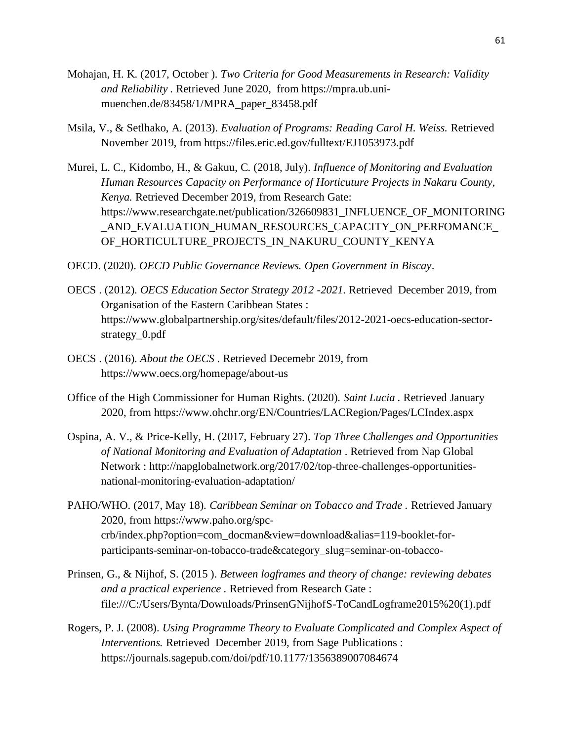- Mohajan, H. K. (2017, October ). *Two Criteria for Good Measurements in Research: Validity and Reliability .* Retrieved June 2020, from https://mpra.ub.unimuenchen.de/83458/1/MPRA\_paper\_83458.pdf
- Msila, V., & Setlhako, A. (2013). *Evaluation of Programs: Reading Carol H. Weiss.* Retrieved November 2019, from https://files.eric.ed.gov/fulltext/EJ1053973.pdf
- Murei, L. C., Kidombo, H., & Gakuu, C. (2018, July). *Influence of Monitoring and Evaluation Human Resources Capacity on Performance of Horticuture Projects in Nakaru County, Kenya.* Retrieved December 2019, from Research Gate: https://www.researchgate.net/publication/326609831\_INFLUENCE\_OF\_MONITORING \_AND\_EVALUATION\_HUMAN\_RESOURCES\_CAPACITY\_ON\_PERFOMANCE\_ OF\_HORTICULTURE\_PROJECTS\_IN\_NAKURU\_COUNTY\_KENYA
- OECD. (2020). *OECD Public Governance Reviews. Open Government in Biscay*.
- OECS . (2012). *OECS Education Sector Strategy 2012 -2021.* Retrieved December 2019, from Organisation of the Eastern Caribbean States : https://www.globalpartnership.org/sites/default/files/2012-2021-oecs-education-sectorstrategy\_0.pdf
- OECS . (2016). *About the OECS* . Retrieved Decemebr 2019, from https://www.oecs.org/homepage/about-us
- Office of the High Commissioner for Human Rights. (2020). *Saint Lucia .* Retrieved January 2020, from https://www.ohchr.org/EN/Countries/LACRegion/Pages/LCIndex.aspx
- Ospina, A. V., & Price-Kelly, H. (2017, February 27). *Top Three Challenges and Opportunities of National Monitoring and Evaluation of Adaptation* . Retrieved from Nap Global Network : http://napglobalnetwork.org/2017/02/top-three-challenges-opportunitiesnational-monitoring-evaluation-adaptation/
- PAHO/WHO. (2017, May 18). *Caribbean Seminar on Tobacco and Trade .* Retrieved January 2020, from https://www.paho.org/spccrb/index.php?option=com\_docman&view=download&alias=119-booklet-forparticipants-seminar-on-tobacco-trade&category\_slug=seminar-on-tobacco-
- Prinsen, G., & Nijhof, S. (2015 ). *Between logframes and theory of change: reviewing debates and a practical experience .* Retrieved from Research Gate : file:///C:/Users/Bynta/Downloads/PrinsenGNijhofS-ToCandLogframe2015%20(1).pdf
- Rogers, P. J. (2008). *Using Programme Theory to Evaluate Complicated and Complex Aspect of Interventions.* Retrieved December 2019, from Sage Publications : https://journals.sagepub.com/doi/pdf/10.1177/1356389007084674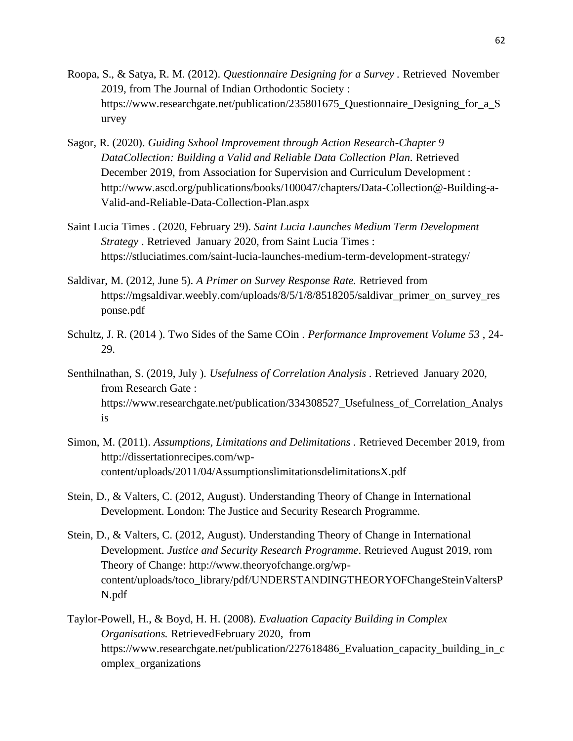- Roopa, S., & Satya, R. M. (2012). *Questionnaire Designing for a Survey .* Retrieved November 2019, from The Journal of Indian Orthodontic Society : https://www.researchgate.net/publication/235801675\_Questionnaire\_Designing\_for\_a\_S urvey
- Sagor, R. (2020). *Guiding Sxhool Improvement through Action Research-Chapter 9 DataCollection: Building a Valid and Reliable Data Collection Plan*. Retrieved December 2019, from Association for Supervision and Curriculum Development : http://www.ascd.org/publications/books/100047/chapters/Data-Collection@-Building-a-Valid-and-Reliable-Data-Collection-Plan.aspx
- Saint Lucia Times . (2020, February 29). *Saint Lucia Launches Medium Term Development Strategy* . Retrieved January 2020, from Saint Lucia Times : https://stluciatimes.com/saint-lucia-launches-medium-term-development-strategy/
- Saldivar, M. (2012, June 5). *A Primer on Survey Response Rate.* Retrieved from https://mgsaldivar.weebly.com/uploads/8/5/1/8/8518205/saldivar\_primer\_on\_survey\_res ponse.pdf
- Schultz, J. R. (2014 ). Two Sides of the Same COin . *Performance Improvement Volume 53* , 24- 29.
- Senthilnathan, S. (2019, July ). *Usefulness of Correlation Analysis .* Retrieved January 2020, from Research Gate : https://www.researchgate.net/publication/334308527\_Usefulness\_of\_Correlation\_Analys is
- Simon, M. (2011). *Assumptions, Limitations and Delimitations .* Retrieved December 2019, from http://dissertationrecipes.com/wpcontent/uploads/2011/04/AssumptionslimitationsdelimitationsX.pdf
- Stein, D., & Valters, C. (2012, August). Understanding Theory of Change in International Development. London: The Justice and Security Research Programme.
- Stein, D., & Valters, C. (2012, August). Understanding Theory of Change in International Development. *Justice and Security Research Programme*. Retrieved August 2019, rom Theory of Change: http://www.theoryofchange.org/wpcontent/uploads/toco\_library/pdf/UNDERSTANDINGTHEORYOFChangeSteinValtersP N.pdf
- Taylor-Powell, H., & Boyd, H. H. (2008). *Evaluation Capacity Building in Complex Organisations.* RetrievedFebruary 2020, from https://www.researchgate.net/publication/227618486\_Evaluation\_capacity\_building\_in\_c omplex\_organizations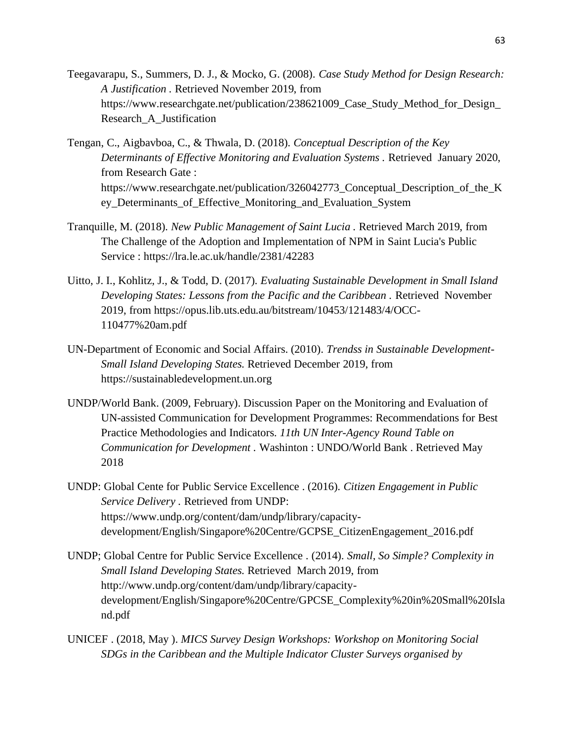- Teegavarapu, S., Summers, D. J., & Mocko, G. (2008). *Case Study Method for Design Research: A Justification .* Retrieved November 2019, from https://www.researchgate.net/publication/238621009 Case Study Method for Design Research\_A\_Justification
- Tengan, C., Aigbavboa, C., & Thwala, D. (2018). *Conceptual Description of the Key Determinants of Effective Monitoring and Evaluation Systems .* Retrieved January 2020, from Research Gate : https://www.researchgate.net/publication/326042773\_Conceptual\_Description\_of\_the\_K ey Determinants of Effective Monitoring and Evaluation System
- Tranquille, M. (2018). *New Public Management of Saint Lucia .* Retrieved March 2019, from The Challenge of the Adoption and Implementation of NPM in Saint Lucia's Public Service : https://lra.le.ac.uk/handle/2381/42283
- Uitto, J. I., Kohlitz, J., & Todd, D. (2017). *Evaluating Sustainable Development in Small Island Developing States: Lessons from the Pacific and the Caribbean .* Retrieved November 2019, from https://opus.lib.uts.edu.au/bitstream/10453/121483/4/OCC-110477%20am.pdf
- UN-Department of Economic and Social Affairs. (2010). *Trendss in Sustainable Development-Small Island Developing States.* Retrieved December 2019, from https://sustainabledevelopment.un.org
- UNDP/World Bank. (2009, February). Discussion Paper on the Monitoring and Evaluation of UN-assisted Communication for Development Programmes: Recommendations for Best Practice Methodologies and Indicators. *11th UN Inter-Agency Round Table on Communication for Development .* Washinton : UNDO/World Bank . Retrieved May 2018
- UNDP: Global Cente for Public Service Excellence . (2016). *Citizen Engagement in Public Service Delivery .* Retrieved from UNDP: https://www.undp.org/content/dam/undp/library/capacitydevelopment/English/Singapore%20Centre/GCPSE\_CitizenEngagement\_2016.pdf
- UNDP; Global Centre for Public Service Excellence . (2014). *Small, So Simple? Complexity in Small Island Developing States.* Retrieved March 2019, from http://www.undp.org/content/dam/undp/library/capacitydevelopment/English/Singapore%20Centre/GPCSE\_Complexity%20in%20Small%20Isla nd.pdf
- UNICEF . (2018, May ). *MICS Survey Design Workshops: Workshop on Monitoring Social SDGs in the Caribbean and the Multiple Indicator Cluster Surveys organised by*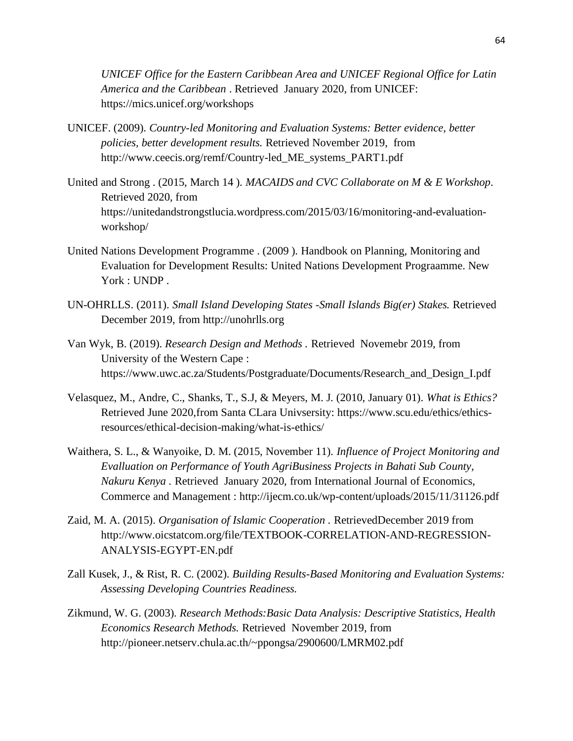*UNICEF Office for the Eastern Caribbean Area and UNICEF Regional Office for Latin America and the Caribbean* . Retrieved January 2020, from UNICEF: https://mics.unicef.org/workshops

- UNICEF. (2009). *Country-led Monitoring and Evaluation Systems: Better evidence, better policies, better development results.* Retrieved November 2019, from http://www.ceecis.org/remf/Country-led\_ME\_systems\_PART1.pdf
- United and Strong . (2015, March 14 ). *MACAIDS and CVC Collaborate on M & E Workshop*. Retrieved 2020, from https://unitedandstrongstlucia.wordpress.com/2015/03/16/monitoring-and-evaluationworkshop/
- United Nations Development Programme . (2009 ). Handbook on Planning, Monitoring and Evaluation for Development Results: United Nations Development Prograamme. New York : UNDP.
- UN-OHRLLS. (2011). *Small Island Developing States -Small Islands Big(er) Stakes.* Retrieved December 2019, from http://unohrlls.org
- Van Wyk, B. (2019). *Research Design and Methods .* Retrieved Novemebr 2019, from University of the Western Cape : https://www.uwc.ac.za/Students/Postgraduate/Documents/Research\_and\_Design\_I.pdf
- Velasquez, M., Andre, C., Shanks, T., S.J, & Meyers, M. J. (2010, January 01). *What is Ethics?* Retrieved June 2020,from Santa CLara Univsersity: https://www.scu.edu/ethics/ethicsresources/ethical-decision-making/what-is-ethics/
- Waithera, S. L., & Wanyoike, D. M. (2015, November 11). *Influence of Project Monitoring and Evalluation on Performance of Youth AgriBusiness Projects in Bahati Sub County, Nakuru Kenya .* Retrieved January 2020, from International Journal of Economics, Commerce and Management : http://ijecm.co.uk/wp-content/uploads/2015/11/31126.pdf
- Zaid, M. A. (2015). *Organisation of Islamic Cooperation .* RetrievedDecember 2019 from http://www.oicstatcom.org/file/TEXTBOOK-CORRELATION-AND-REGRESSION-ANALYSIS-EGYPT-EN.pdf
- Zall Kusek, J., & Rist, R. C. (2002). *Building Results-Based Monitoring and Evaluation Systems: Assessing Developing Countries Readiness.*
- Zikmund, W. G. (2003). *Research Methods:Basic Data Analysis: Descriptive Statistics, Health Economics Research Methods.* Retrieved November 2019, from http://pioneer.netserv.chula.ac.th/~ppongsa/2900600/LMRM02.pdf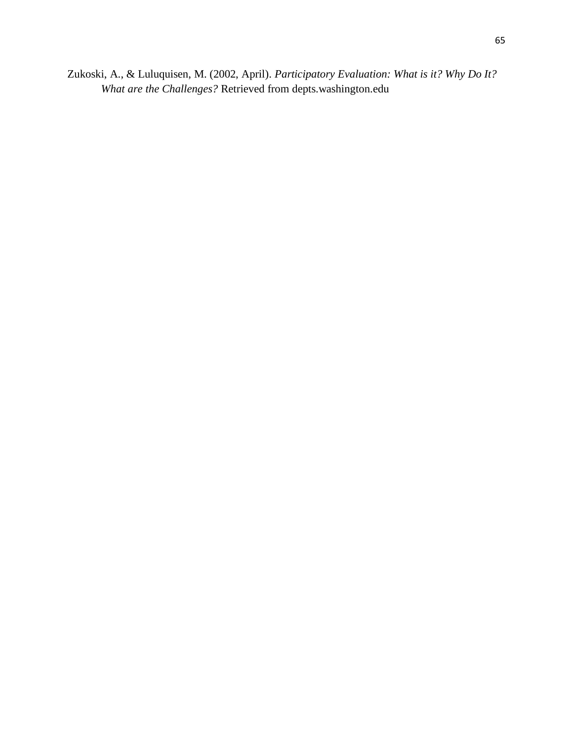Zukoski, A., & Luluquisen, M. (2002, April). *Participatory Evaluation: What is it? Why Do It? What are the Challenges?* Retrieved from depts.washington.edu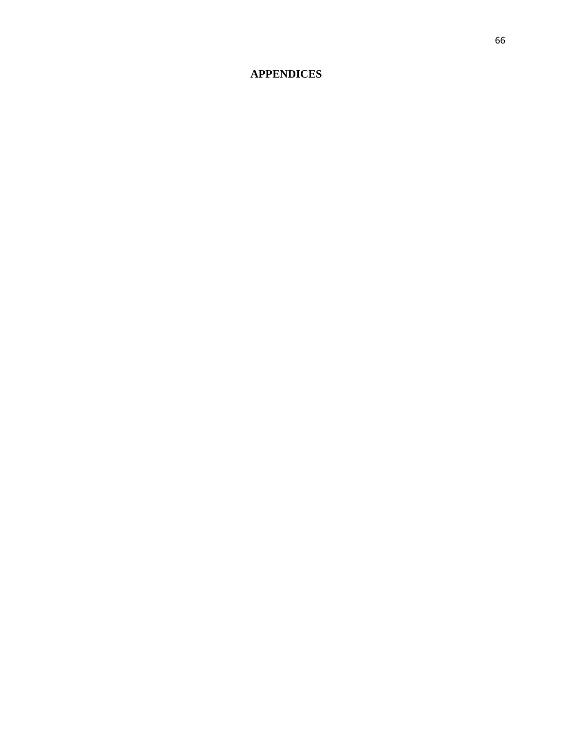# **APPENDICES**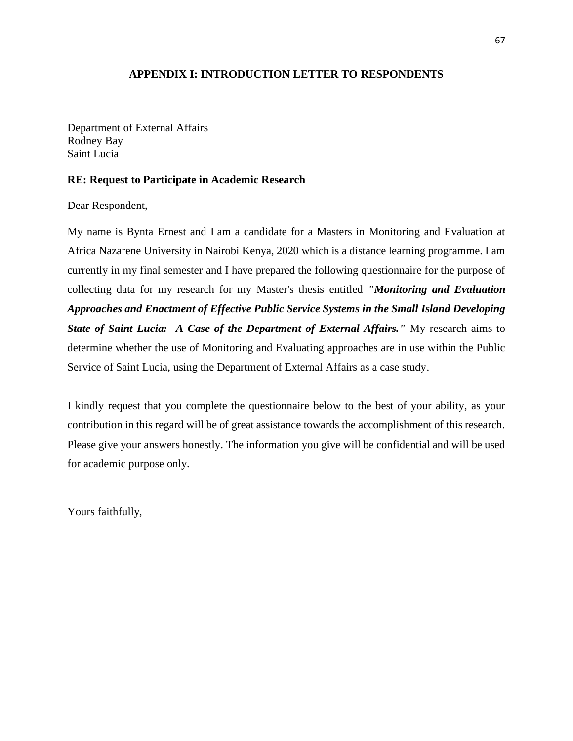## **APPENDIX I: INTRODUCTION LETTER TO RESPONDENTS**

Department of External Affairs Rodney Bay Saint Lucia

### **RE: Request to Participate in Academic Research**

Dear Respondent,

My name is Bynta Ernest and I am a candidate for a Masters in Monitoring and Evaluation at Africa Nazarene University in Nairobi Kenya, 2020 which is a distance learning programme. I am currently in my final semester and I have prepared the following questionnaire for the purpose of collecting data for my research for my Master's thesis entitled *"Monitoring and Evaluation Approaches and Enactment of Effective Public Service Systems in the Small Island Developing State of Saint Lucia: A Case of the Department of External Affairs."* My research aims to determine whether the use of Monitoring and Evaluating approaches are in use within the Public Service of Saint Lucia, using the Department of External Affairs as a case study.

I kindly request that you complete the questionnaire below to the best of your ability, as your contribution in this regard will be of great assistance towards the accomplishment of this research. Please give your answers honestly. The information you give will be confidential and will be used for academic purpose only.

Yours faithfully,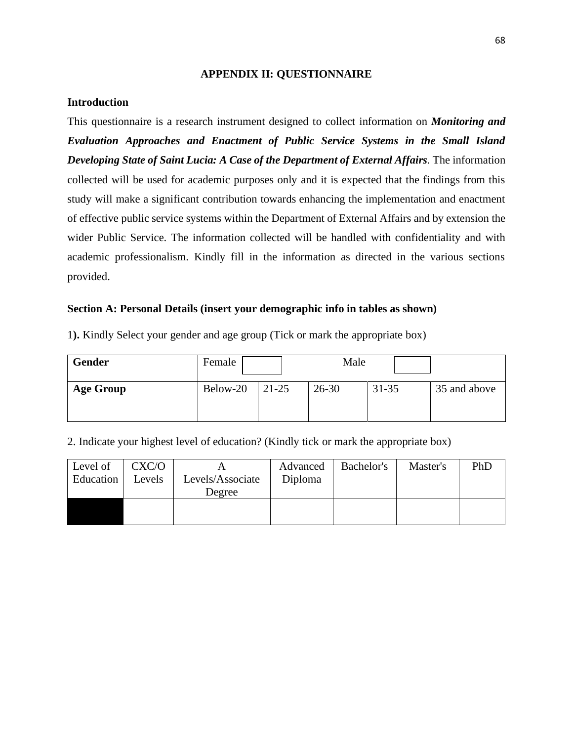#### **APPENDIX II: QUESTIONNAIRE**

#### **Introduction**

This questionnaire is a research instrument designed to collect information on *Monitoring and Evaluation Approaches and Enactment of Public Service Systems in the Small Island Developing State of Saint Lucia: A Case of the Department of External Affairs*. The information collected will be used for academic purposes only and it is expected that the findings from this study will make a significant contribution towards enhancing the implementation and enactment of effective public service systems within the Department of External Affairs and by extension the wider Public Service. The information collected will be handled with confidentiality and with academic professionalism. Kindly fill in the information as directed in the various sections provided.

### **Section A: Personal Details (insert your demographic info in tables as shown)**

|  | 1). Kindly Select your gender and age group (Tick or mark the appropriate box) |  |
|--|--------------------------------------------------------------------------------|--|
|  |                                                                                |  |

| <b>Gender</b>    | Female   |       | Male      |           |              |
|------------------|----------|-------|-----------|-----------|--------------|
| <b>Age Group</b> | Below-20 | 21-25 | $26 - 30$ | $31 - 35$ | 35 and above |

2. Indicate your highest level of education? (Kindly tick or mark the appropriate box)

| Level of<br>Education | CXC/O<br>Levels | Levels/Associate<br>Degree | Advanced<br>Diploma | Bachelor's | Master's | PhD |
|-----------------------|-----------------|----------------------------|---------------------|------------|----------|-----|
|                       |                 |                            |                     |            |          |     |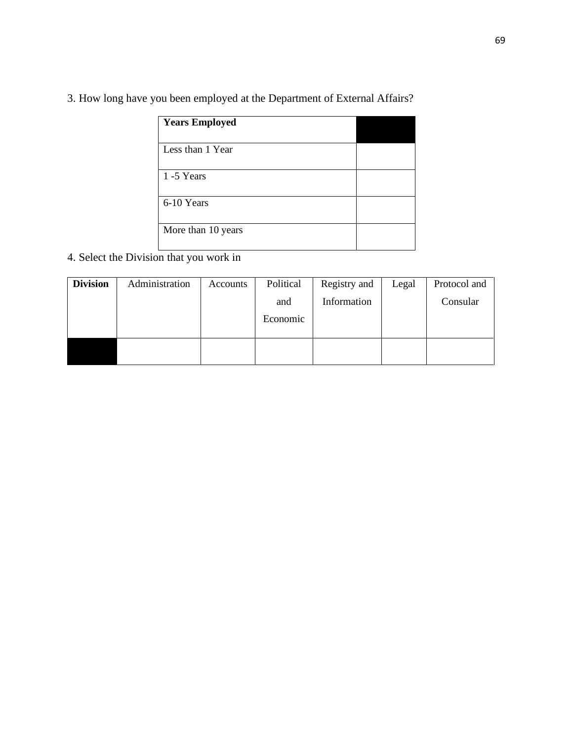3. How long have you been employed at the Department of External Affairs?

| <b>Years Employed</b> |  |
|-----------------------|--|
| Less than 1 Year      |  |
| 1-5 Years             |  |
| 6-10 Years            |  |
| More than 10 years    |  |

4. Select the Division that you work in

| <b>Division</b> | Administration | Accounts | Political | Registry and | Legal | Protocol and |
|-----------------|----------------|----------|-----------|--------------|-------|--------------|
|                 |                |          | and       | Information  |       | Consular     |
|                 |                |          | Economic  |              |       |              |
|                 |                |          |           |              |       |              |
|                 |                |          |           |              |       |              |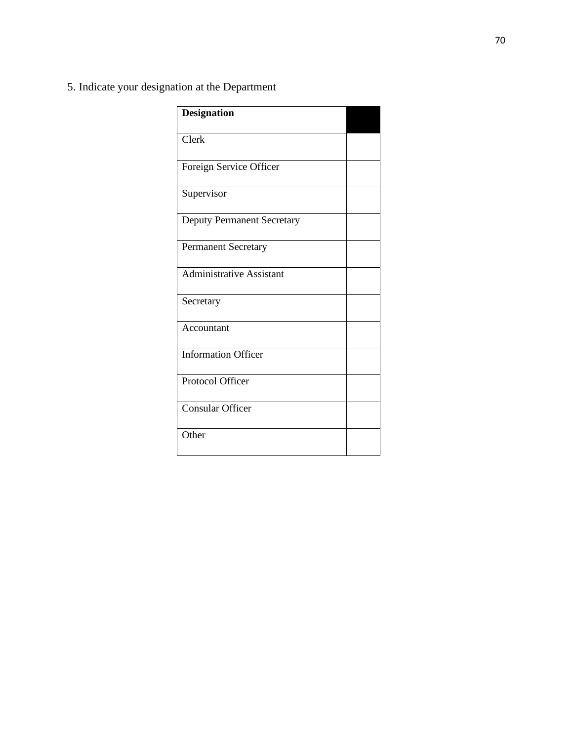5. Indicate your designation at the Department

| <b>Designation</b>                |  |
|-----------------------------------|--|
| Clerk                             |  |
| Foreign Service Officer           |  |
| Supervisor                        |  |
| <b>Deputy Permanent Secretary</b> |  |
| <b>Permanent Secretary</b>        |  |
| <b>Administrative Assistant</b>   |  |
| Secretary                         |  |
| Accountant                        |  |
| <b>Information Officer</b>        |  |
| Protocol Officer                  |  |
| <b>Consular Officer</b>           |  |
| Other                             |  |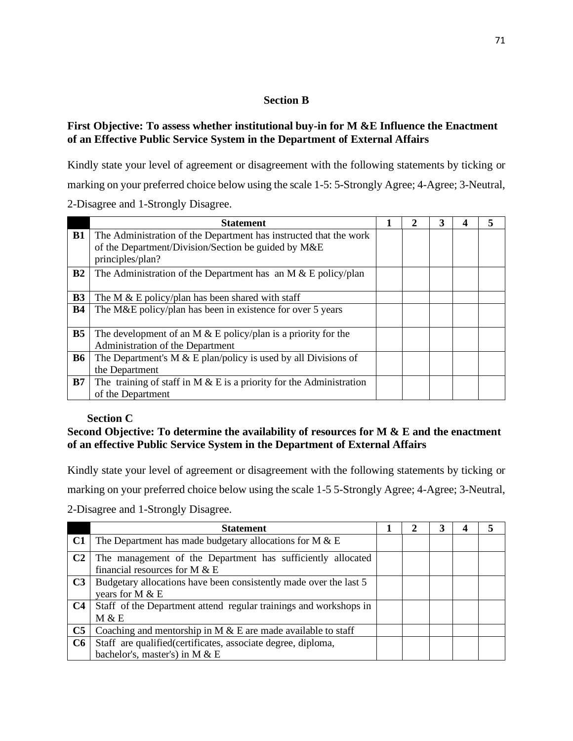## **Section B**

## **First Objective: To assess whether institutional buy-in for M &E Influence the Enactment of an Effective Public Service System in the Department of External Affairs**

Kindly state your level of agreement or disagreement with the following statements by ticking or marking on your preferred choice below using the scale 1-5: 5-Strongly Agree; 4-Agree; 3-Neutral, 2-Disagree and 1-Strongly Disagree.

|                | <b>Statement</b>                                                                                                                             |  | 3 |  |
|----------------|----------------------------------------------------------------------------------------------------------------------------------------------|--|---|--|
| <b>B1</b>      | The Administration of the Department has instructed that the work<br>of the Department/Division/Section be guided by M&E<br>principles/plan? |  |   |  |
| B2             | The Administration of the Department has an M $& \text{E policy/plan}$                                                                       |  |   |  |
| <b>B3</b>      | The M $\&$ E policy/plan has been shared with staff                                                                                          |  |   |  |
| <b>B4</b>      | The M&E policy/plan has been in existence for over 5 years                                                                                   |  |   |  |
| B <sub>5</sub> | The development of an M $&$ E policy/plan is a priority for the<br>Administration of the Department                                          |  |   |  |
| <b>B6</b>      | The Department's M $& \&$ E plan/policy is used by all Divisions of<br>the Department                                                        |  |   |  |
| B7             | The training of staff in M $\&$ E is a priority for the Administration<br>of the Department                                                  |  |   |  |

## **Section C**

## **Second Objective: To determine the availability of resources for M & E and the enactment of an effective Public Service System in the Department of External Affairs**

Kindly state your level of agreement or disagreement with the following statements by ticking or marking on your preferred choice below using the scale 1-5 5-Strongly Agree; 4-Agree; 3-Neutral,

2-Disagree and 1-Strongly Disagree.

|                | <b>Statement</b>                                                                                |  |  |  |
|----------------|-------------------------------------------------------------------------------------------------|--|--|--|
| C1             | The Department has made budgetary allocations for $M & E$                                       |  |  |  |
| C <sub>2</sub> | The management of the Department has sufficiently allocated<br>financial resources for M $& E$  |  |  |  |
| C <sub>3</sub> | Budgetary allocations have been consistently made over the last 5<br>years for M $& E$          |  |  |  |
| C <sub>4</sub> | Staff of the Department attend regular trainings and workshops in<br>M & E                      |  |  |  |
| C <sub>5</sub> | Coaching and mentorship in M $&$ E are made available to staff                                  |  |  |  |
| C6             | Staff are qualified (certificates, associate degree, diploma,<br>bachelor's, master's) in M & E |  |  |  |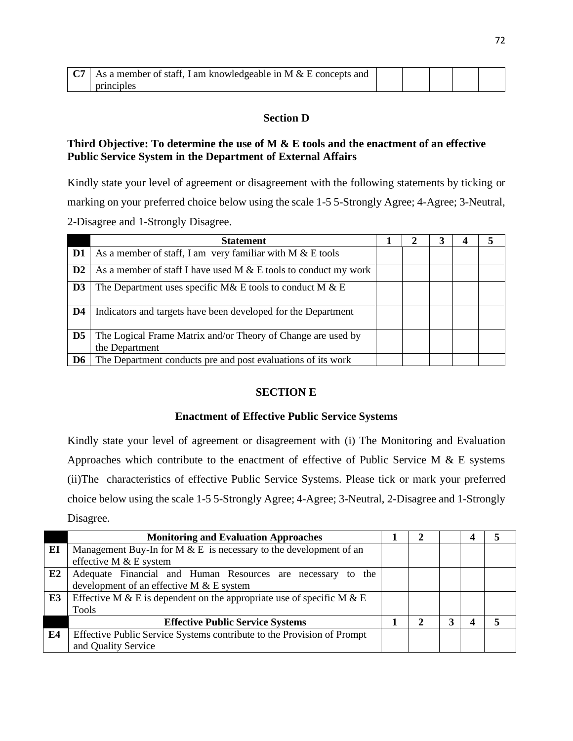| $\sim$ | As a member of staff, I am knowledgeable in M $&$ E concepts and |  |  |  |
|--------|------------------------------------------------------------------|--|--|--|
|        | principles                                                       |  |  |  |

## **Section D**

# **Third Objective: To determine the use of M & E tools and the enactment of an effective Public Service System in the Department of External Affairs**

Kindly state your level of agreement or disagreement with the following statements by ticking or marking on your preferred choice below using the scale 1-5 5-Strongly Agree; 4-Agree; 3-Neutral, 2-Disagree and 1-Strongly Disagree.

|                | <b>Statement</b>                                                               |  | 4 |  |
|----------------|--------------------------------------------------------------------------------|--|---|--|
| D1             | As a member of staff, I am very familiar with $M & E$ tools                    |  |   |  |
| $\mathbf{D2}$  | As a member of staff I have used M $&\&$ E tools to conduct my work            |  |   |  |
| D <sub>3</sub> | The Department uses specific M& E tools to conduct M $& E$                     |  |   |  |
| D <sub>4</sub> | Indicators and targets have been developed for the Department                  |  |   |  |
| D <sub>5</sub> | The Logical Frame Matrix and/or Theory of Change are used by<br>the Department |  |   |  |
| D6             | The Department conducts pre and post evaluations of its work                   |  |   |  |

# **SECTION E**

## **Enactment of Effective Public Service Systems**

Kindly state your level of agreement or disagreement with (i) The Monitoring and Evaluation Approaches which contribute to the enactment of effective of Public Service M  $\&$  E systems (ii)The characteristics of effective Public Service Systems. Please tick or mark your preferred choice below using the scale 1-5 5-Strongly Agree; 4-Agree; 3-Neutral, 2-Disagree and 1-Strongly Disagree.

|                | <b>Monitoring and Evaluation Approaches</b>                            |  |  |  |
|----------------|------------------------------------------------------------------------|--|--|--|
| EI             | Management Buy-In for M $& E$ is necessary to the development of an    |  |  |  |
|                | effective M & E system                                                 |  |  |  |
| E2             | Adequate Financial and Human Resources are necessary to<br>the         |  |  |  |
|                | development of an effective M $&$ E system                             |  |  |  |
| E <sub>3</sub> | Effective M & E is dependent on the appropriate use of specific M & E  |  |  |  |
|                | Tools                                                                  |  |  |  |
|                | <b>Effective Public Service Systems</b>                                |  |  |  |
| E4             | Effective Public Service Systems contribute to the Provision of Prompt |  |  |  |
|                | and Quality Service                                                    |  |  |  |